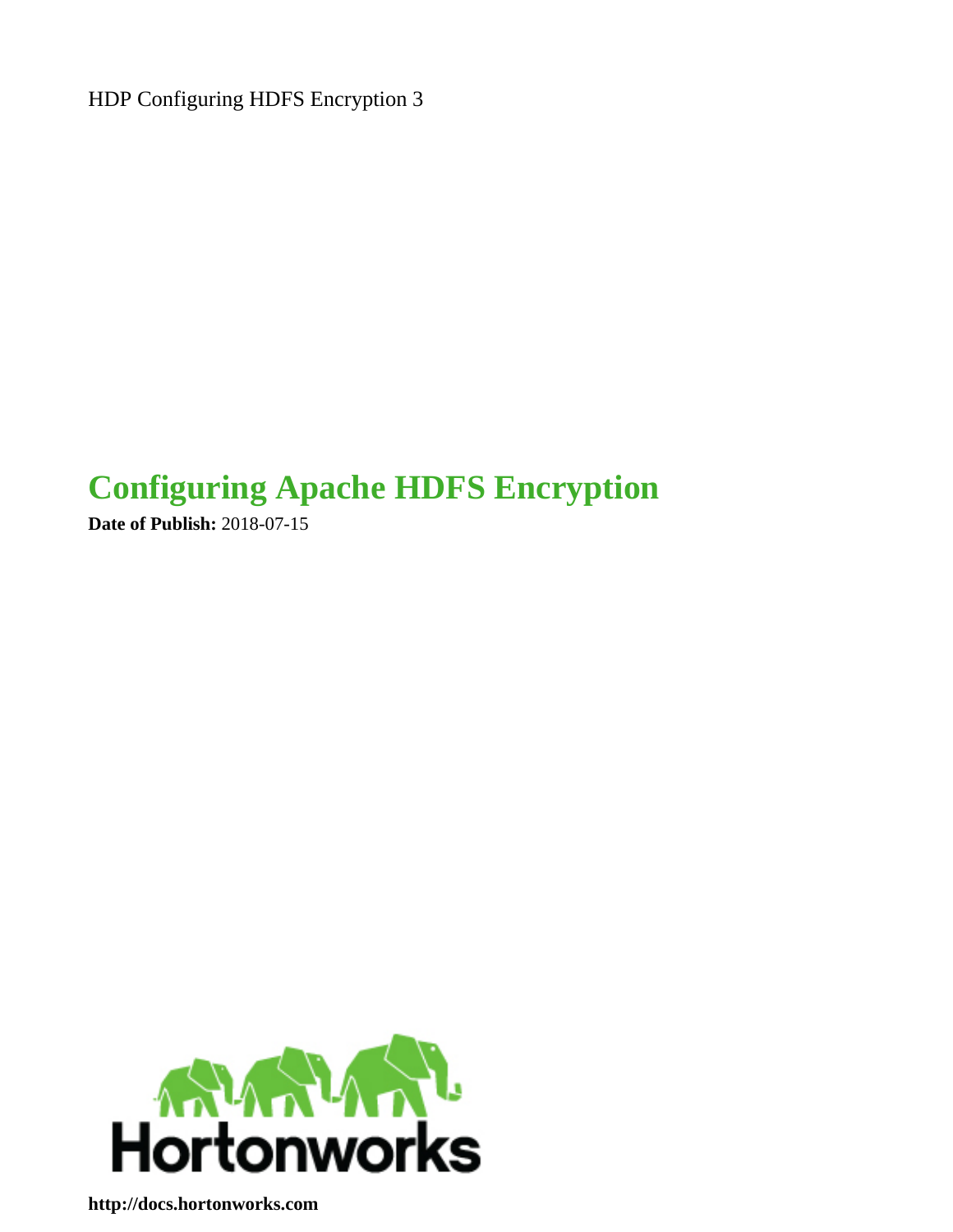HDP Configuring HDFS Encryption 3

# **Configuring Apache HDFS Encryption**

**Date of Publish:** 2018-07-15



**<http://docs.hortonworks.com>**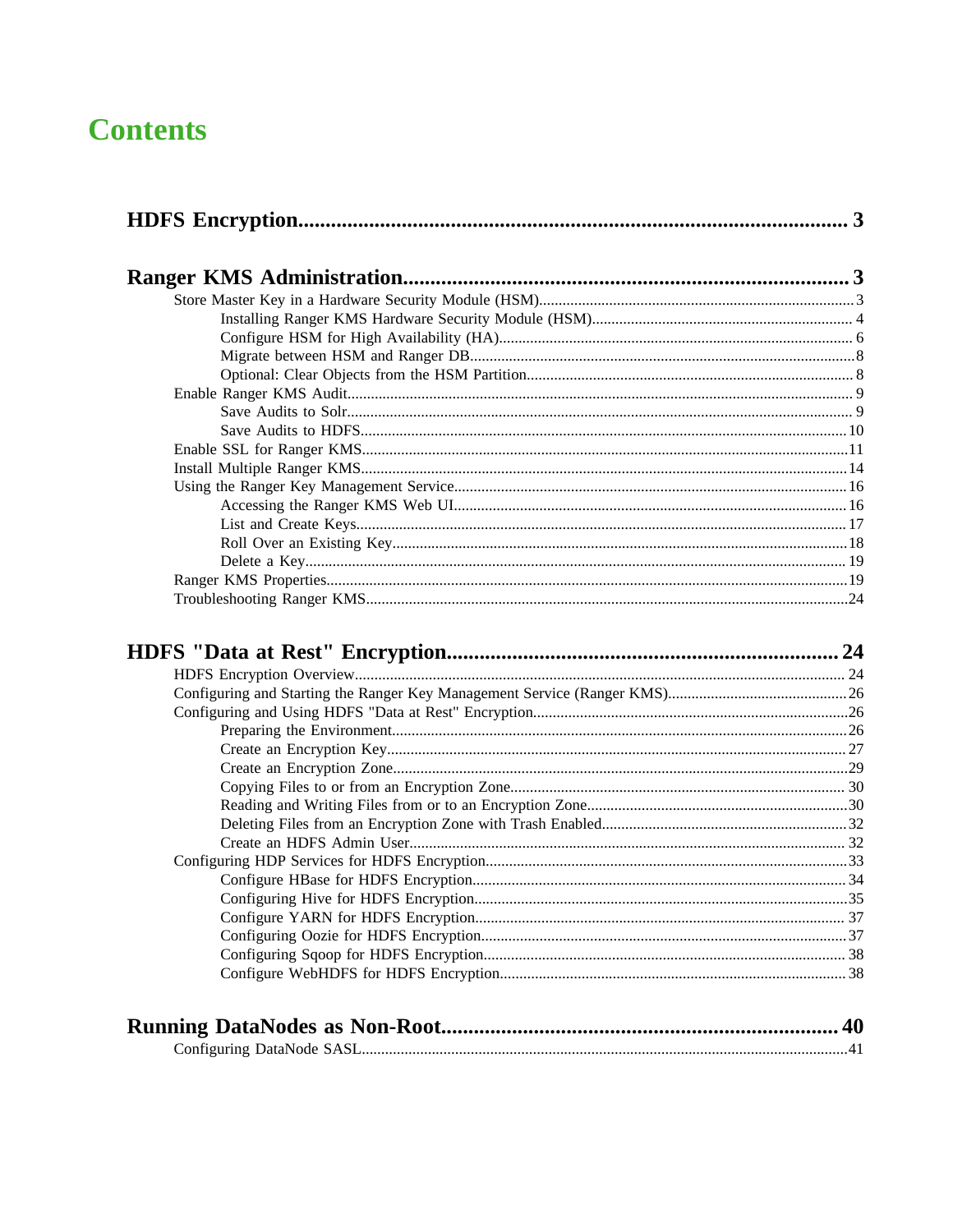# **Contents**

| 24 |
|----|
|    |
|    |
|    |
|    |
|    |
|    |
|    |
|    |
|    |
|    |
|    |
|    |
|    |
|    |
|    |
|    |
|    |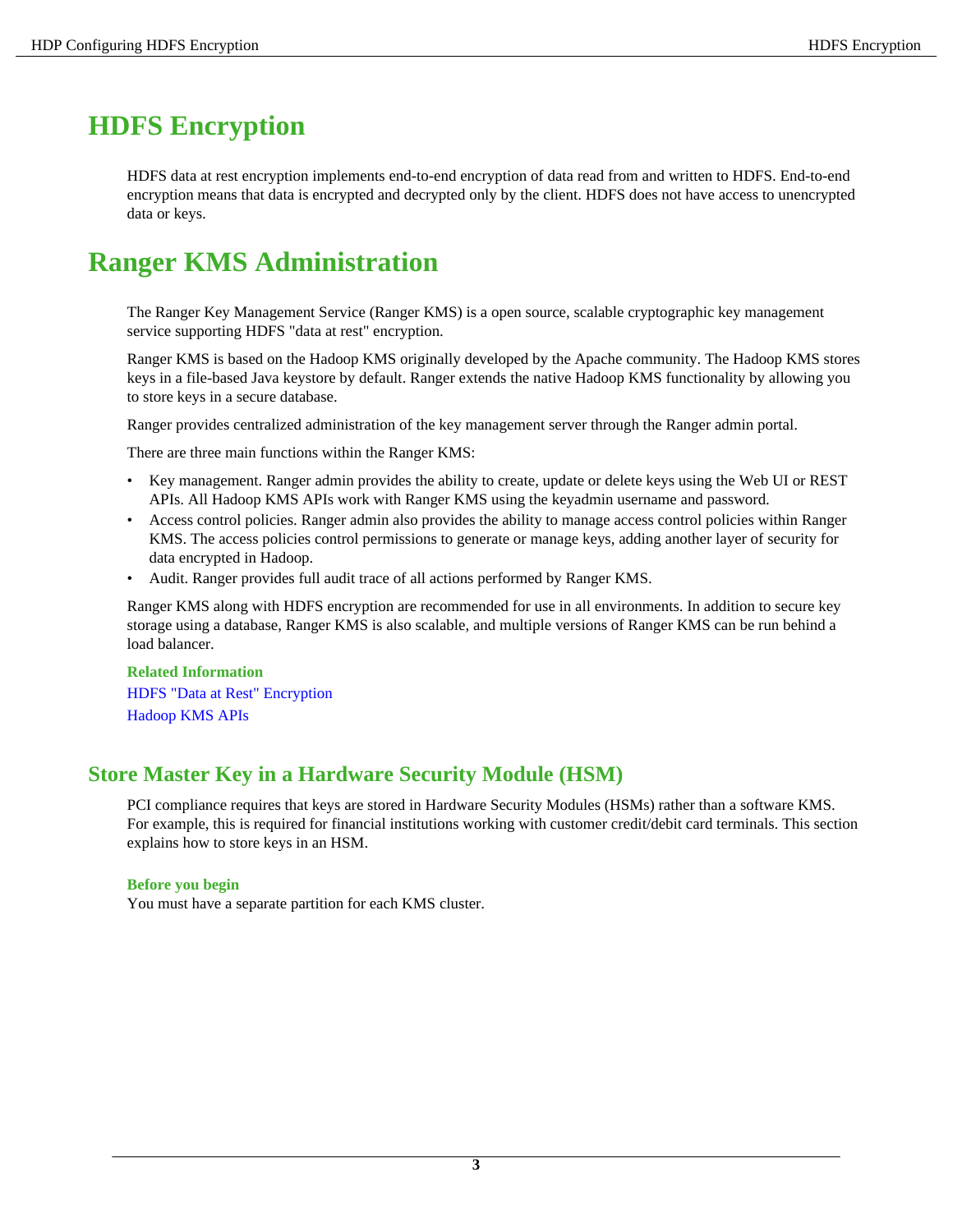# <span id="page-2-0"></span>**HDFS Encryption**

HDFS data at rest encryption implements end-to-end encryption of data read from and written to HDFS. End-to-end encryption means that data is encrypted and decrypted only by the client. HDFS does not have access to unencrypted data or keys.

# <span id="page-2-1"></span>**Ranger KMS Administration**

The Ranger Key Management Service (Ranger KMS) is a open source, scalable cryptographic key management service supporting HDFS "data at rest" encryption.

Ranger KMS is based on the Hadoop KMS originally developed by the Apache community. The Hadoop KMS stores keys in a file-based Java keystore by default. Ranger extends the native Hadoop KMS functionality by allowing you to store keys in a secure database.

Ranger provides centralized administration of the key management server through the Ranger admin portal.

There are three main functions within the Ranger KMS:

- Key management. Ranger admin provides the ability to create, update or delete keys using the Web UI or REST APIs. All Hadoop KMS APIs work with Ranger KMS using the keyadmin username and password.
- Access control policies. Ranger admin also provides the ability to manage access control policies within Ranger KMS. The access policies control permissions to generate or manage keys, adding another layer of security for data encrypted in Hadoop.
- Audit. Ranger provides full audit trace of all actions performed by Ranger KMS.

Ranger KMS along with HDFS encryption are recommended for use in all environments. In addition to secure key storage using a database, Ranger KMS is also scalable, and multiple versions of Ranger KMS can be run behind a load balancer.

# **Related Information** [HDFS "Data at Rest" Encryption](#page-23-1) [Hadoop KMS APIs](https://hadoop.apache.org/docs/current/hadoop-kms/index.html#KMS_HTTP_REST_API)

# <span id="page-2-2"></span>**Store Master Key in a Hardware Security Module (HSM)**

PCI compliance requires that keys are stored in Hardware Security Modules (HSMs) rather than a software KMS. For example, this is required for financial institutions working with customer credit/debit card terminals. This section explains how to store keys in an HSM.

## **Before you begin**

You must have a separate partition for each KMS cluster.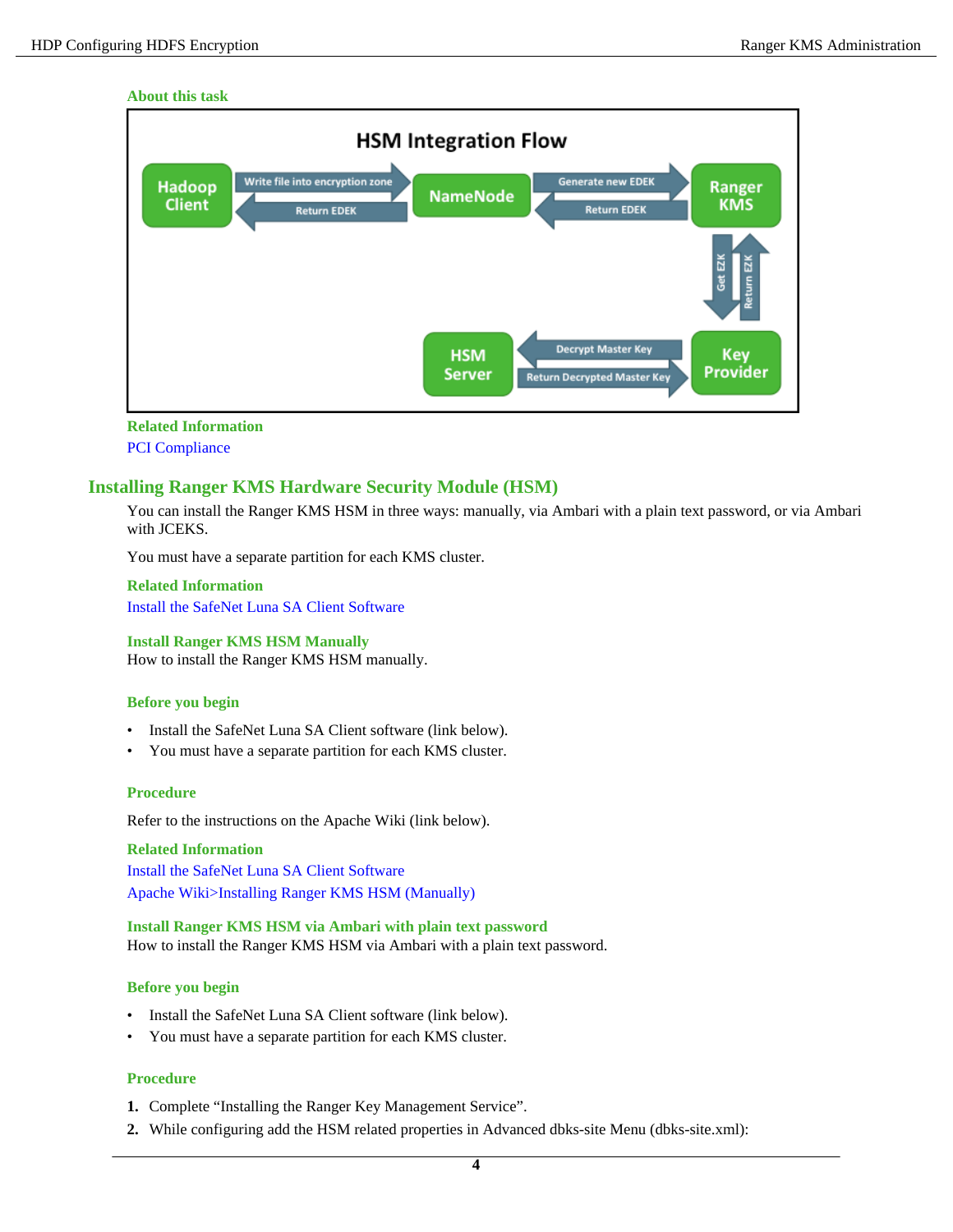#### **About this task**



#### **Related Information**

[PCI Compliance](https://www.pcisecuritystandards.org/)

# <span id="page-3-0"></span>**Installing Ranger KMS Hardware Security Module (HSM)**

You can install the Ranger KMS HSM in three ways: manually, via Ambari with a plain text password, or via Ambari with JCEKS.

You must have a separate partition for each KMS cluster.

#### **Related Information**

[Install the SafeNet Luna SA Client Software](http://cloudhsm-safenet-docs.s3.amazonaws.com/007-011136-002_lunasa_5-1_webhelp_rev-a/Content/configuration/configuration_setup_luna_sa_after_installation.htm)

#### **Install Ranger KMS HSM Manually**

How to install the Ranger KMS HSM manually.

#### **Before you begin**

- Install the SafeNet Luna SA Client software (link below).
- You must have a separate partition for each KMS cluster.

#### **Procedure**

Refer to the instructions on the Apache Wiki (link below).

**Related Information** [Install the SafeNet Luna SA Client Software](http://cloudhsm-safenet-docs.s3.amazonaws.com/007-011136-002_lunasa_5-1_webhelp_rev-a/Content/configuration/configuration_setup_luna_sa_after_installation.htm) [Apache Wiki>Installing Ranger KMS HSM \(Manually\)](https://cwiki.apache.org/confluence/display/RANGER/Ranger+KMS+Luna+HSM+Support#RangerKMSLunaHSMSupport-InstallingRangerKMSHSM(Manually))

**Install Ranger KMS HSM via Ambari with plain text password** How to install the Ranger KMS HSM via Ambari with a plain text password.

#### **Before you begin**

- Install the SafeNet Luna SA Client software (link below).
- You must have a separate partition for each KMS cluster.

- **1.** Complete "Installing the Ranger Key Management Service".
- **2.** While configuring add the HSM related properties in Advanced dbks-site Menu (dbks-site.xml):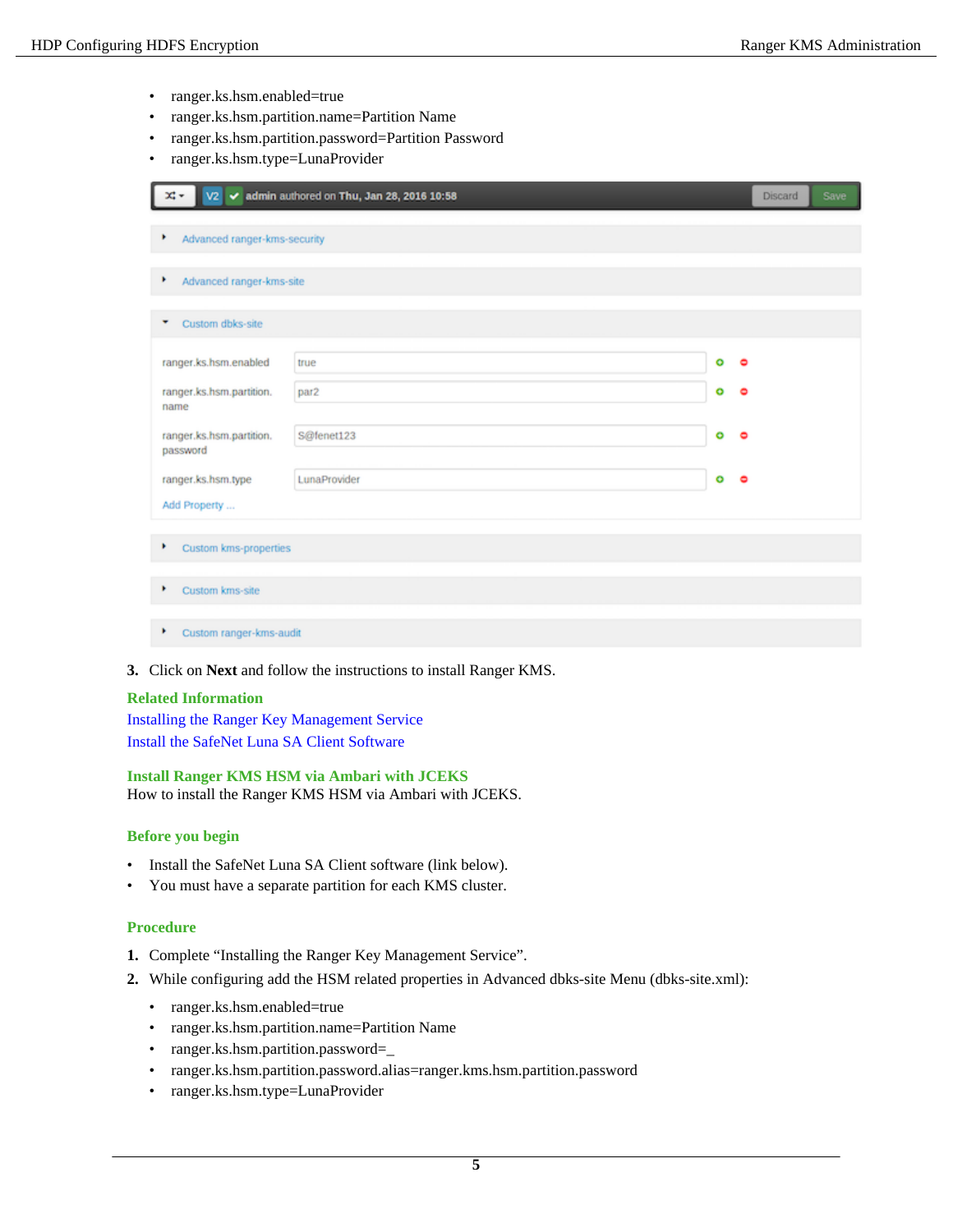- ranger.ks.hsm.enabled=true
- ranger.ks.hsm.partition.name=Partition Name
- ranger.ks.hsm.partition.password=Partition Password
- ranger.ks.hsm.type=LunaProvider

| V2 √ admin authored on Thu, Jan 28, 2016 10:58 |              | Discard | <b>Save</b> |  |  |
|------------------------------------------------|--------------|---------|-------------|--|--|
| Advanced ranger-kms-security<br>٠              |              |         |             |  |  |
| ٠<br>Advanced ranger-kms-site                  |              |         |             |  |  |
| Custom dbks-site<br>۰                          |              |         |             |  |  |
| ranger.ks.hsm.enabled                          | true         | ۰       | ۰           |  |  |
| ranger.ks.hsm.partition.<br>name               | par2         | ۰       | $\bullet$   |  |  |
| ranger.ks.hsm.partition.<br>password           | S@fenet123   | ۰       | $\bullet$   |  |  |
| ranger.ks.hsm.type                             | LunaProvider | ۰       | $\bullet$   |  |  |
| Add Property                                   |              |         |             |  |  |
| ٠<br>Custom kms-properties                     |              |         |             |  |  |
| Custom kms-site<br>٠                           |              |         |             |  |  |
| Custom ranger-kms-audit<br>٠                   |              |         |             |  |  |

**3.** Click on **Next** and follow the instructions to install Ranger KMS.

#### **Related Information**

Installing the Ranger Key Management Service [Install the SafeNet Luna SA Client Software](http://cloudhsm-safenet-docs.s3.amazonaws.com/007-011136-002_lunasa_5-1_webhelp_rev-a/Content/configuration/configuration_setup_luna_sa_after_installation.htm)

#### **Install Ranger KMS HSM via Ambari with JCEKS**

How to install the Ranger KMS HSM via Ambari with JCEKS.

#### **Before you begin**

- Install the SafeNet Luna SA Client software (link below).
- You must have a separate partition for each KMS cluster.

- **1.** Complete "Installing the Ranger Key Management Service".
- **2.** While configuring add the HSM related properties in Advanced dbks-site Menu (dbks-site.xml):
	- ranger.ks.hsm.enabled=true
	- ranger.ks.hsm.partition.name=Partition Name
	- ranger.ks.hsm.partition.password=
	- ranger.ks.hsm.partition.password.alias=ranger.kms.hsm.partition.password
	- ranger.ks.hsm.type=LunaProvider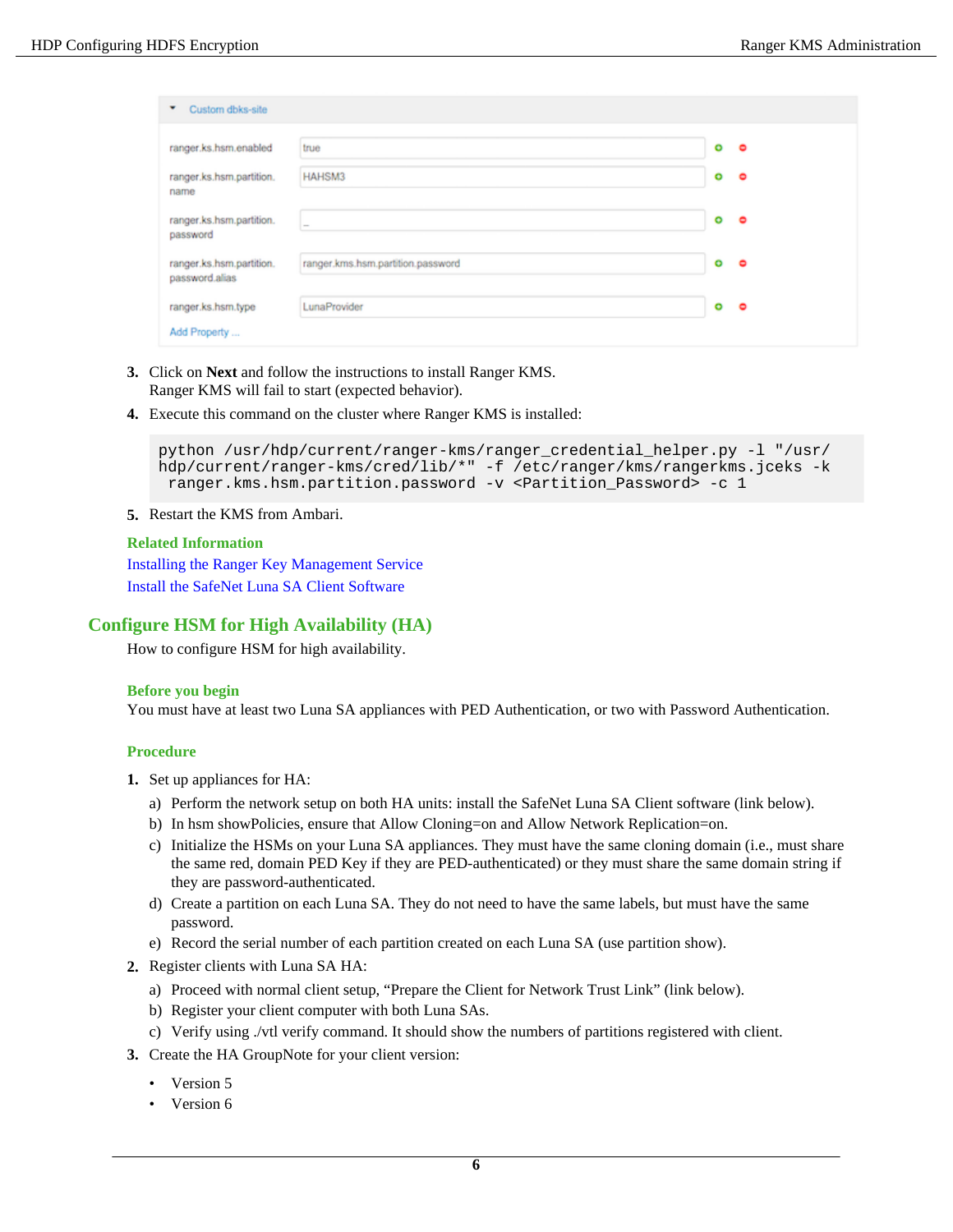| Custom dbks-site<br>۰                      |                                   |   |   |
|--------------------------------------------|-----------------------------------|---|---|
| ranger.ks.hsm.enabled                      | true                              | ۰ | ۰ |
| ranger.ks.hsm.partition.<br>name           | HAHSM3                            | ۰ | ۰ |
| ranger.ks.hsm.partition.<br>password       | $\sim$                            | ۰ | ۰ |
| ranger.ks.hsm.partition.<br>password.alias | ranger.kms.hsm.partition.password | ۰ | ۰ |
| ranger.ks.hsm.type                         | LunaProvider                      | ۰ | ۰ |
| Add Property                               |                                   |   |   |

- **3.** Click on **Next** and follow the instructions to install Ranger KMS. Ranger KMS will fail to start (expected behavior).
- **4.** Execute this command on the cluster where Ranger KMS is installed:

```
python /usr/hdp/current/ranger-kms/ranger_credential_helper.py -l "/usr/
hdp/current/ranger-kms/cred/lib/*" -f /etc/ranger/kms/rangerkms.jceks -k
  ranger.kms.hsm.partition.password -v <Partition_Password> -c 1
```
**5.** Restart the KMS from Ambari.

#### **Related Information**

Installing the Ranger Key Management Service [Install the SafeNet Luna SA Client Software](http://cloudhsm-safenet-docs.s3.amazonaws.com/007-011136-002_lunasa_5-1_webhelp_rev-a/Content/configuration/configuration_setup_luna_sa_after_installation.htm)

# <span id="page-5-0"></span>**Configure HSM for High Availability (HA)**

How to configure HSM for high availability.

#### **Before you begin**

You must have at least two Luna SA appliances with PED Authentication, or two with Password Authentication.

- **1.** Set up appliances for HA:
	- a) Perform the network setup on both HA units: install the SafeNet Luna SA Client software (link below).
	- b) In hsm showPolicies, ensure that Allow Cloning=on and Allow Network Replication=on.
	- c) Initialize the HSMs on your Luna SA appliances. They must have the same cloning domain (i.e., must share the same red, domain PED Key if they are PED-authenticated) or they must share the same domain string if they are password-authenticated.
	- d) Create a partition on each Luna SA. They do not need to have the same labels, but must have the same password.
	- e) Record the serial number of each partition created on each Luna SA (use partition show).
- **2.** Register clients with Luna SA HA:
	- a) Proceed with normal client setup, "Prepare the Client for Network Trust Link" (link below).
	- b) Register your client computer with both Luna SAs.
	- c) Verify using ./vtl verify command. It should show the numbers of partitions registered with client.
- **3.** Create the HA GroupNote for your client version:
	- Version 5
	- Version 6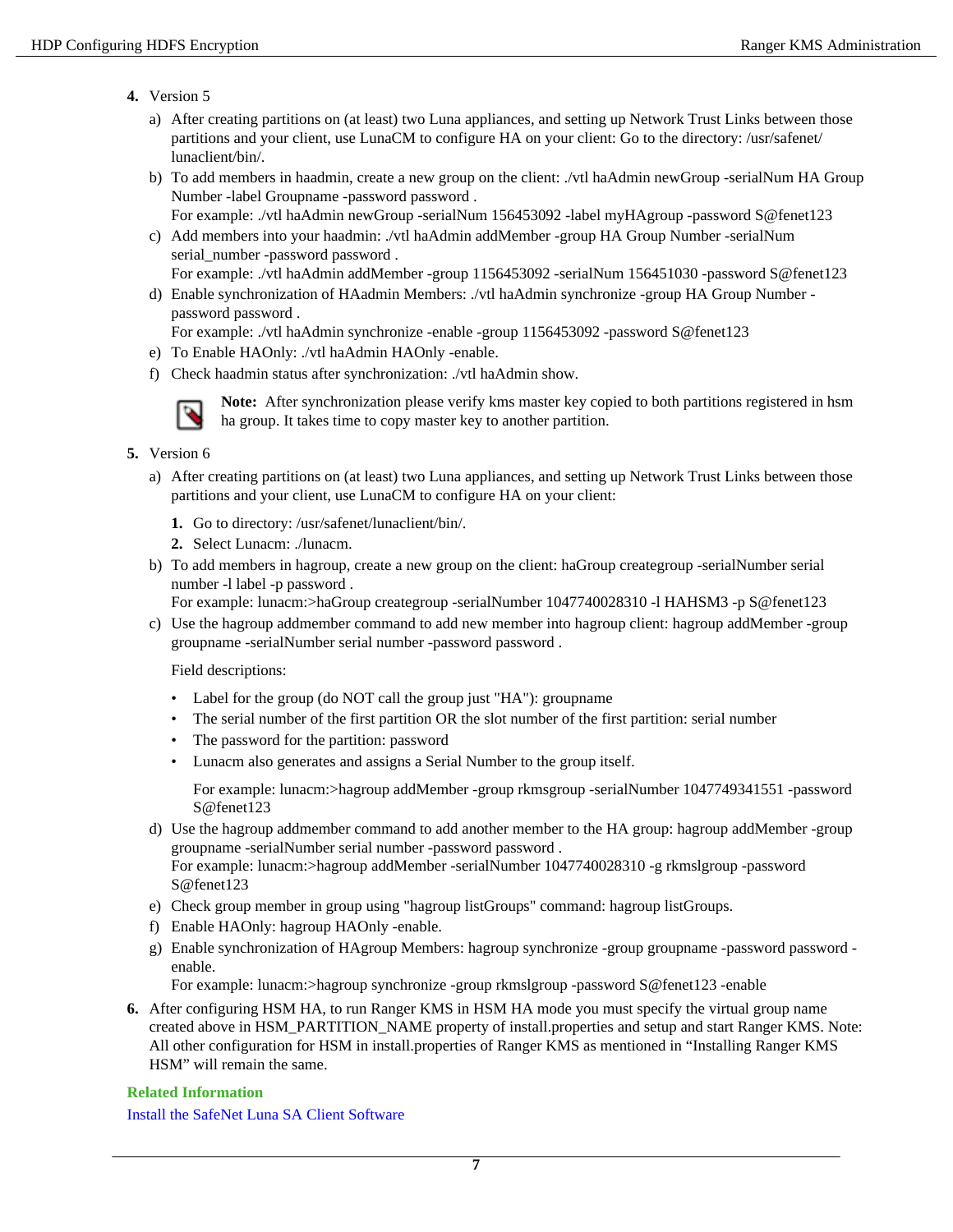#### **4.** Version 5

- a) After creating partitions on (at least) two Luna appliances, and setting up Network Trust Links between those partitions and your client, use LunaCM to configure HA on your client: Go to the directory: /usr/safenet/ lunaclient/bin/.
- b) To add members in haadmin, create a new group on the client: ./vtl haAdmin newGroup -serialNum HA Group Number -label Groupname -password password.
	- For example: ./vtl haAdmin newGroup -serialNum 156453092 -label myHAgroup -password S@fenet123
- c) Add members into your haadmin: ./vtl haAdmin addMember -group HA Group Number -serialNum serial\_number -password password.
	- For example: ./vtl haAdmin addMember -group 1156453092 -serialNum 156451030 -password S@fenet123
- d) Enable synchronization of HAadmin Members: ./vtl haAdmin synchronize -group HA Group Number password password .

For example: ./vtl haAdmin synchronize -enable -group 1156453092 -password S@fenet123

- e) To Enable HAOnly: ./vtl haAdmin HAOnly -enable.
- f) Check haadmin status after synchronization: ./vtl haAdmin show.



**Note:** After synchronization please verify kms master key copied to both partitions registered in hsm ha group. It takes time to copy master key to another partition.

- **5.** Version 6
	- a) After creating partitions on (at least) two Luna appliances, and setting up Network Trust Links between those partitions and your client, use LunaCM to configure HA on your client:
		- **1.** Go to directory: /usr/safenet/lunaclient/bin/.
		- **2.** Select Lunacm: ./lunacm.
	- b) To add members in hagroup, create a new group on the client: haGroup creategroup -serialNumber serial number -l label -p password .

For example: lunacm:>haGroup creategroup -serialNumber 1047740028310 -l HAHSM3 -p S@fenet123

c) Use the hagroup addmember command to add new member into hagroup client: hagroup addMember -group groupname -serialNumber serial number -password password .

Field descriptions:

- Label for the group (do NOT call the group just "HA"): groupname
- The serial number of the first partition OR the slot number of the first partition: serial number
- The password for the partition: password
- Lunacm also generates and assigns a Serial Number to the group itself.

For example: lunacm:>hagroup addMember -group rkmsgroup -serialNumber 1047749341551 -password S@fenet123

- d) Use the hagroup addmember command to add another member to the HA group: hagroup addMember -group groupname -serialNumber serial number -password password . For example: lunacm:>hagroup addMember -serialNumber 1047740028310 -g rkmslgroup -password S@fenet123
- e) Check group member in group using "hagroup listGroups" command: hagroup listGroups.
- f) Enable HAOnly: hagroup HAOnly -enable.
- g) Enable synchronization of HAgroup Members: hagroup synchronize -group groupname -password password enable.

For example: lunacm:>hagroup synchronize -group rkmslgroup -password S@fenet123 -enable

**6.** After configuring HSM HA, to run Ranger KMS in HSM HA mode you must specify the virtual group name created above in HSM\_PARTITION\_NAME property of install.properties and setup and start Ranger KMS. Note: All other configuration for HSM in install.properties of Ranger KMS as mentioned in "Installing Ranger KMS HSM" will remain the same.

#### **Related Information**

[Install the SafeNet Luna SA Client Software](http://cloudhsm-safenet-docs.s3.amazonaws.com/007-011136-002_lunasa_5-1_webhelp_rev-a/Content/configuration/configuration_setup_luna_sa_after_installation.htm)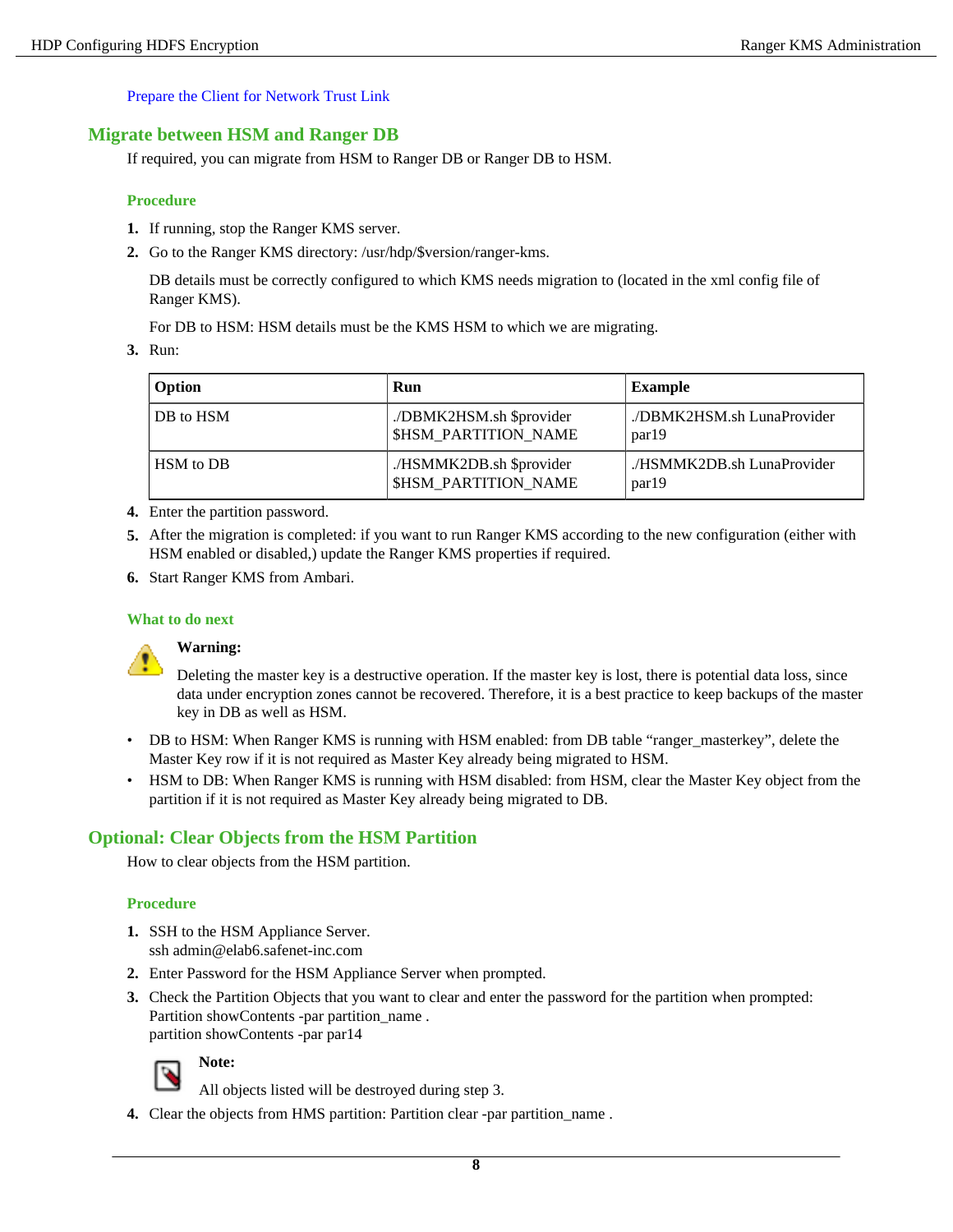[Prepare the Client for Network Trust Link](http://cloudhsm-safenet-docs-5.3.s3-website-us-east-1.amazonaws.com/007-011136-006_lunasa_5-3_webhelp_rev-c/Content/configuration/prepare_the_client_for_network_trust_link.htm)

## <span id="page-7-0"></span>**Migrate between HSM and Ranger DB**

If required, you can migrate from HSM to Ranger DB or Ranger DB to HSM.

#### **Procedure**

- **1.** If running, stop the Ranger KMS server.
- **2.** Go to the Ranger KMS directory: /usr/hdp/\$version/ranger-kms.

DB details must be correctly configured to which KMS needs migration to (located in the xml config file of Ranger KMS).

For DB to HSM: HSM details must be the KMS HSM to which we are migrating.

**3.** Run:

| Option    | Run                                                     | Example                             |
|-----------|---------------------------------------------------------|-------------------------------------|
| DB to HSM | ./DBMK2HSM.sh \$provider<br><b>\$HSM PARTITION NAME</b> | /DBMK2HSM.sh LunaProvider<br>par19  |
| HSM to DB | ./HSMMK2DB.sh \$provider<br><b>\$HSM PARTITION NAME</b> | / HSMMK2DB.sh LunaProvider<br>par19 |

- **4.** Enter the partition password.
- **5.** After the migration is completed: if you want to run Ranger KMS according to the new configuration (either with HSM enabled or disabled,) update the Ranger KMS properties if required.
- **6.** Start Ranger KMS from Ambari.

#### **What to do next**



#### **Warning:**

Deleting the master key is a destructive operation. If the master key is lost, there is potential data loss, since data under encryption zones cannot be recovered. Therefore, it is a best practice to keep backups of the master key in DB as well as HSM.

- DB to HSM: When Ranger KMS is running with HSM enabled: from DB table "ranger\_masterkey", delete the Master Key row if it is not required as Master Key already being migrated to HSM.
- HSM to DB: When Ranger KMS is running with HSM disabled: from HSM, clear the Master Key object from the partition if it is not required as Master Key already being migrated to DB.

## <span id="page-7-1"></span>**Optional: Clear Objects from the HSM Partition**

How to clear objects from the HSM partition.

#### **Procedure**

- **1.** SSH to the HSM Appliance Server. ssh admin@elab6.safenet-inc.com
- **2.** Enter Password for the HSM Appliance Server when prompted.
- **3.** Check the Partition Objects that you want to clear and enter the password for the partition when prompted: Partition showContents -par partition\_name . partition showContents -par par14



**Note:**

All objects listed will be destroyed during step 3.

**4.** Clear the objects from HMS partition: Partition clear -par partition name .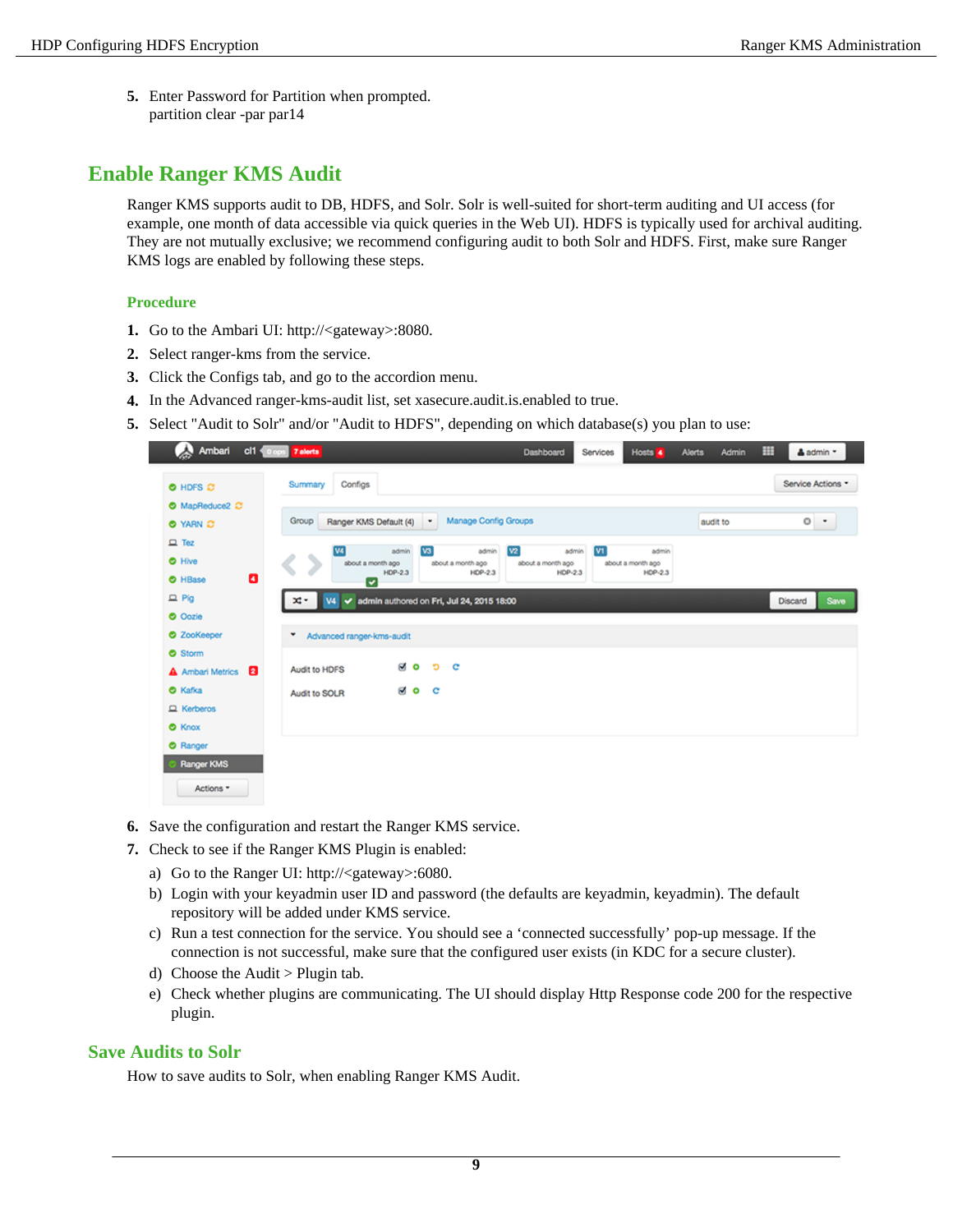**5.** Enter Password for Partition when prompted. partition clear -par par14

# <span id="page-8-0"></span>**Enable Ranger KMS Audit**

Ranger KMS supports audit to DB, HDFS, and Solr. Solr is well-suited for short-term auditing and UI access (for example, one month of data accessible via quick queries in the Web UI). HDFS is typically used for archival auditing. They are not mutually exclusive; we recommend configuring audit to both Solr and HDFS. First, make sure Ranger KMS logs are enabled by following these steps.

#### **Procedure**

- **1.** Go to the Ambari UI: http://<gateway>:8080.
- **2.** Select ranger-kms from the service.
- **3.** Click the Configs tab, and go to the accordion menu.
- **4.** In the Advanced ranger-kms-audit list, set xasecure.audit.is.enabled to true.
- **5.** Select "Audit to Solr" and/or "Audit to HDFS", depending on which database(s) you plan to use:

| Ambari<br>$cl1 \leqslant 0$ opt         | 7 alerts                                                                                               | Dashboard<br>Hosts 4<br>Services                                                             | ▦<br><b>Admin</b><br><b>Alerts</b><br>& admin * |
|-----------------------------------------|--------------------------------------------------------------------------------------------------------|----------------------------------------------------------------------------------------------|-------------------------------------------------|
| O HDFS C                                | Configs<br>Summary                                                                                     |                                                                                              | Service Actions *                               |
| O MapReduce2 C<br>O YARN C              | <b>Manage Config Groups</b><br>Group<br>Ranger KMS Default (4)<br>٠                                    |                                                                                              | $\circ$ .<br>audit to                           |
| $\Box$ Tez<br><b>O</b> Hive             | $\sqrt{3}$<br>admin<br>admin<br>W4<br>about a month ago<br>about a month ago                           | V <sub>2</sub><br>V <sub>1</sub><br>admin<br>admin<br>about a month ago<br>about a month ago |                                                 |
| ø<br><b>O</b> HBase<br>$D$ Pig          | $HDP-2.3$<br>HDP-2.3<br>▽<br>admin authored on Fri, Jul 24, 2015 18:00<br>x.<br><b>V4</b><br>$\bullet$ | HDP-2.3<br>HDP-2.3                                                                           | Save<br>Discard                                 |
| <b>O</b> Oozie<br><b>O</b> ZooKeeper    | ۰                                                                                                      |                                                                                              |                                                 |
| <b>O</b> Storm                          | Advanced ranger-kms-audit<br>⊠ o<br>Ð<br>c                                                             |                                                                                              |                                                 |
| ø<br>A Ambari Metrics<br><b>O</b> Kafka | Audit to HDFS<br>⊌o c<br>Audit to SOLR                                                                 |                                                                                              |                                                 |
| $\Box$ Kerberos<br><b>O</b> Knox        |                                                                                                        |                                                                                              |                                                 |
| C Ranger<br>Ranger KMS                  |                                                                                                        |                                                                                              |                                                 |
| Actions *                               |                                                                                                        |                                                                                              |                                                 |

- **6.** Save the configuration and restart the Ranger KMS service.
- **7.** Check to see if the Ranger KMS Plugin is enabled:
	- a) Go to the Ranger UI: http://<gateway>:6080.
	- b) Login with your keyadmin user ID and password (the defaults are keyadmin, keyadmin). The default repository will be added under KMS service.
	- c) Run a test connection for the service. You should see a 'connected successfully' pop-up message. If the connection is not successful, make sure that the configured user exists (in KDC for a secure cluster).
	- d) Choose the Audit > Plugin tab.
	- e) Check whether plugins are communicating. The UI should display Http Response code 200 for the respective plugin.

#### <span id="page-8-1"></span>**Save Audits to Solr**

How to save audits to Solr, when enabling Ranger KMS Audit.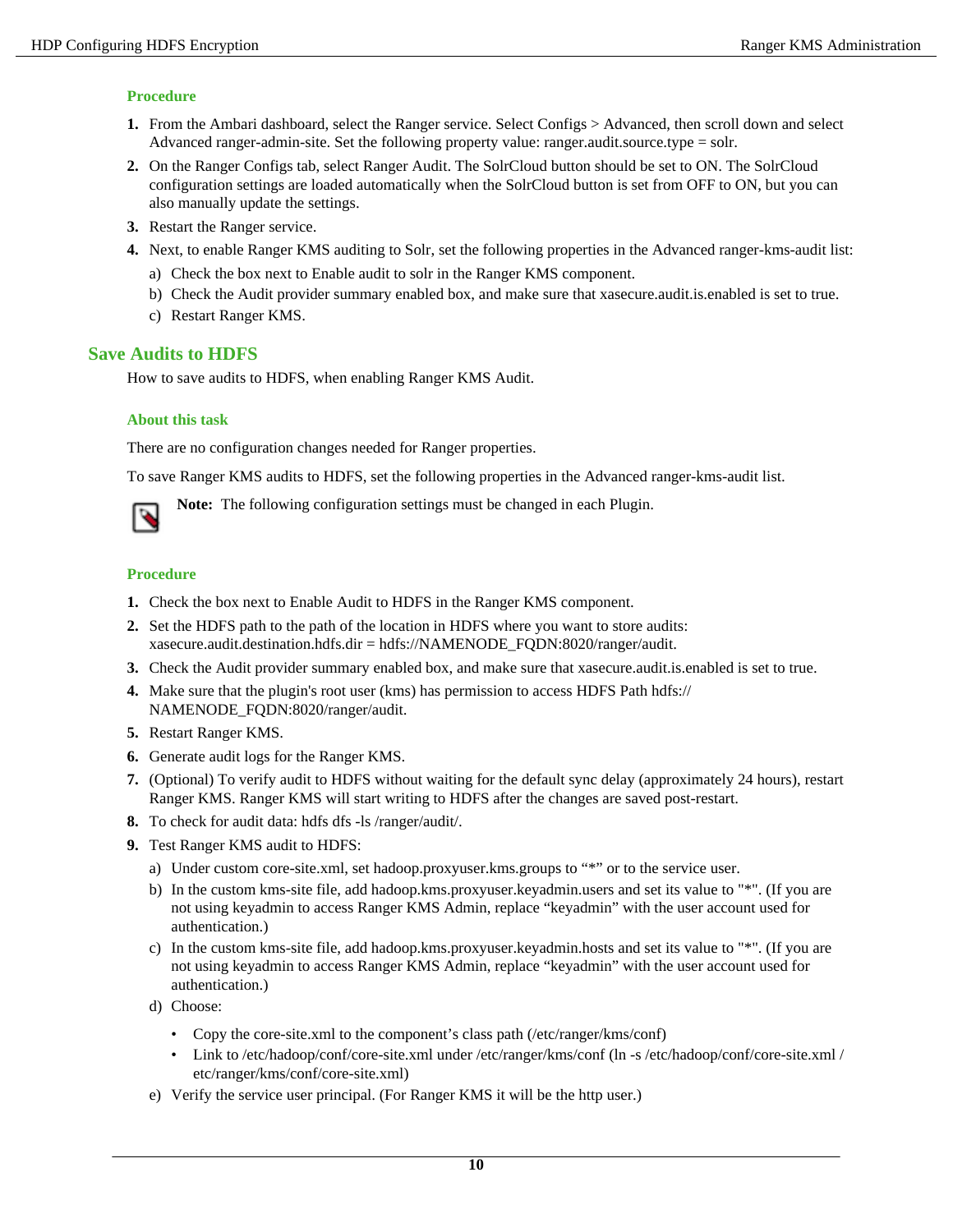## **Procedure**

- **1.** From the Ambari dashboard, select the Ranger service. Select Configs > Advanced, then scroll down and select Advanced ranger-admin-site. Set the following property value: ranger.audit.source.type = solr.
- **2.** On the Ranger Configs tab, select Ranger Audit. The SolrCloud button should be set to ON. The SolrCloud configuration settings are loaded automatically when the SolrCloud button is set from OFF to ON, but you can also manually update the settings.
- **3.** Restart the Ranger service.
- **4.** Next, to enable Ranger KMS auditing to Solr, set the following properties in the Advanced ranger-kms-audit list:
	- a) Check the box next to Enable audit to solr in the Ranger KMS component.
	- b) Check the Audit provider summary enabled box, and make sure that xasecure.audit.is.enabled is set to true.
	- c) Restart Ranger KMS.

## <span id="page-9-0"></span>**Save Audits to HDFS**

How to save audits to HDFS, when enabling Ranger KMS Audit.

#### **About this task**

There are no configuration changes needed for Ranger properties.

To save Ranger KMS audits to HDFS, set the following properties in the Advanced ranger-kms-audit list.



**Note:** The following configuration settings must be changed in each Plugin.

- **1.** Check the box next to Enable Audit to HDFS in the Ranger KMS component.
- **2.** Set the HDFS path to the path of the location in HDFS where you want to store audits: xasecure.audit.destination.hdfs.dir = hdfs://NAMENODE\_FQDN:8020/ranger/audit.
- **3.** Check the Audit provider summary enabled box, and make sure that xasecure.audit.is.enabled is set to true.
- **4.** Make sure that the plugin's root user (kms) has permission to access HDFS Path hdfs:// NAMENODE\_FQDN:8020/ranger/audit.
- **5.** Restart Ranger KMS.
- **6.** Generate audit logs for the Ranger KMS.
- **7.** (Optional) To verify audit to HDFS without waiting for the default sync delay (approximately 24 hours), restart Ranger KMS. Ranger KMS will start writing to HDFS after the changes are saved post-restart.
- **8.** To check for audit data: hdfs dfs -ls /ranger/audit/.
- **9.** Test Ranger KMS audit to HDFS:
	- a) Under custom core-site.xml, set hadoop.proxyuser.kms.groups to "\*" or to the service user.
	- b) In the custom kms-site file, add hadoop.kms.proxyuser.keyadmin.users and set its value to "\*". (If you are not using keyadmin to access Ranger KMS Admin, replace "keyadmin" with the user account used for authentication.)
	- c) In the custom kms-site file, add hadoop.kms.proxyuser.keyadmin.hosts and set its value to "\*". (If you are not using keyadmin to access Ranger KMS Admin, replace "keyadmin" with the user account used for authentication.)
	- d) Choose:
		- Copy the core-site.xml to the component's class path (/etc/ranger/kms/conf)
		- Link to /etc/hadoop/conf/core-site.xml under /etc/ranger/kms/conf (ln -s /etc/hadoop/conf/core-site.xml / etc/ranger/kms/conf/core-site.xml)
	- e) Verify the service user principal. (For Ranger KMS it will be the http user.)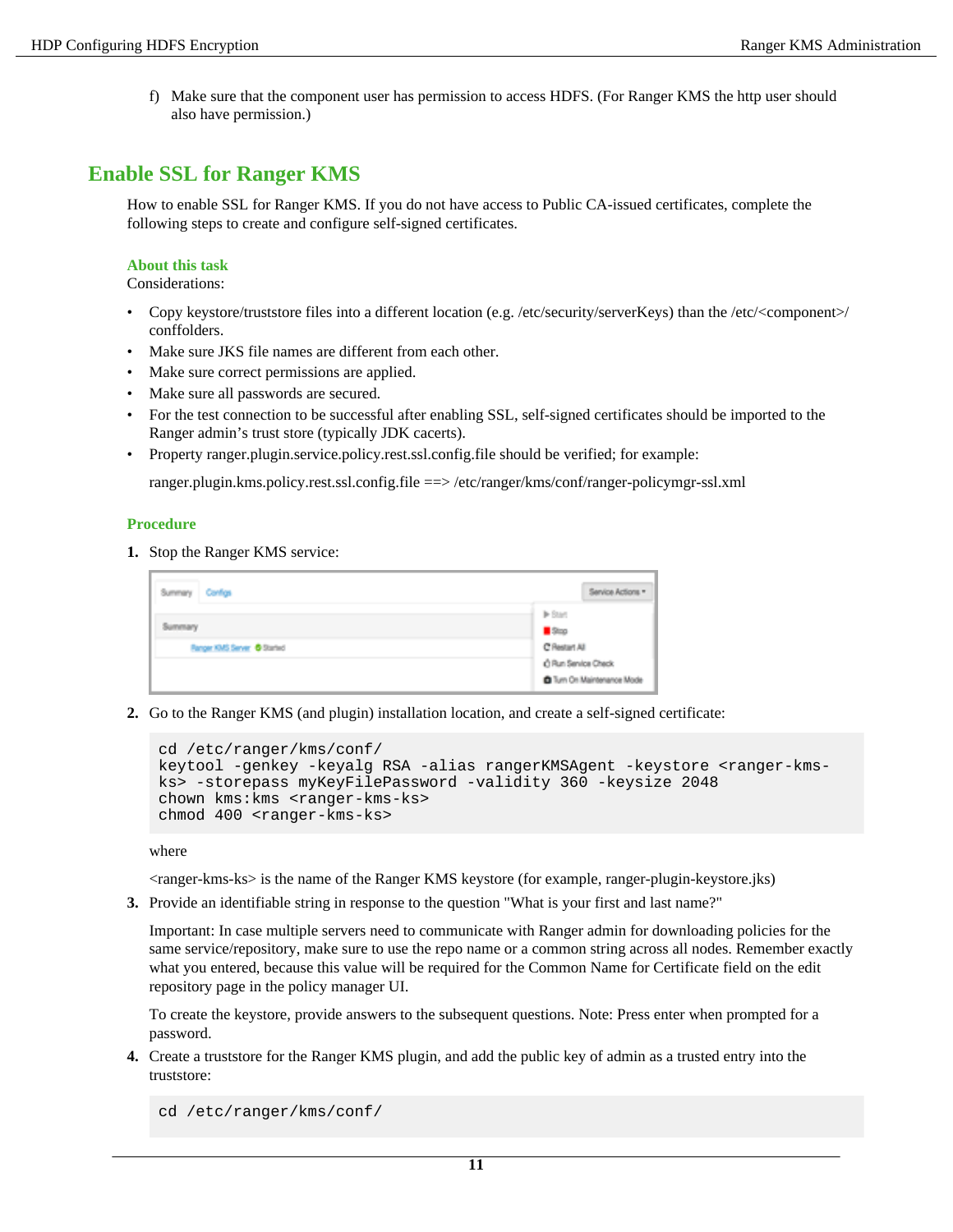f) Make sure that the component user has permission to access HDFS. (For Ranger KMS the http user should also have permission.)

# <span id="page-10-0"></span>**Enable SSL for Ranger KMS**

How to enable SSL for Ranger KMS. If you do not have access to Public CA-issued certificates, complete the following steps to create and configure self-signed certificates.

#### **About this task**

Considerations:

- Copy keystore/truststore files into a different location (e.g. /etc/security/serverKeys) than the /etc/<component>/ conffolders.
- Make sure JKS file names are different from each other.
- Make sure correct permissions are applied.
- Make sure all passwords are secured.
- For the test connection to be successful after enabling SSL, self-signed certificates should be imported to the Ranger admin's trust store (typically JDK cacerts).
- Property ranger.plugin.service.policy.rest.ssl.config.file should be verified; for example:

ranger.plugin.kms.policy.rest.ssl.config.file ==> /etc/ranger/kms/conf/ranger-policymgr-ssl.xml

#### **Procedure**

**1.** Stop the Ranger KMS service:

| Configs<br>Summary                     | Service Actions *                                              |
|----------------------------------------|----------------------------------------------------------------|
| Summary<br>Fanger KMS Server @ Started | <b>IF Start</b><br>500<br>C Restart All<br>C Run Service Check |
|                                        | Turn On Maintenance Mode                                       |

**2.** Go to the Ranger KMS (and plugin) installation location, and create a self-signed certificate:

```
cd /etc/ranger/kms/conf/
keytool -genkey -keyalg RSA -alias rangerKMSAgent -keystore <ranger-kms-
ks> -storepass myKeyFilePassword -validity 360 -keysize 2048
chown kms:kms <ranger-kms-ks>
chmod 400 <ranger-kms-ks>
```
where

<ranger-kms-ks> is the name of the Ranger KMS keystore (for example, ranger-plugin-keystore.jks)

**3.** Provide an identifiable string in response to the question "What is your first and last name?"

Important: In case multiple servers need to communicate with Ranger admin for downloading policies for the same service/repository, make sure to use the repo name or a common string across all nodes. Remember exactly what you entered, because this value will be required for the Common Name for Certificate field on the edit repository page in the policy manager UI.

To create the keystore, provide answers to the subsequent questions. Note: Press enter when prompted for a password.

**4.** Create a truststore for the Ranger KMS plugin, and add the public key of admin as a trusted entry into the truststore:

cd /etc/ranger/kms/conf/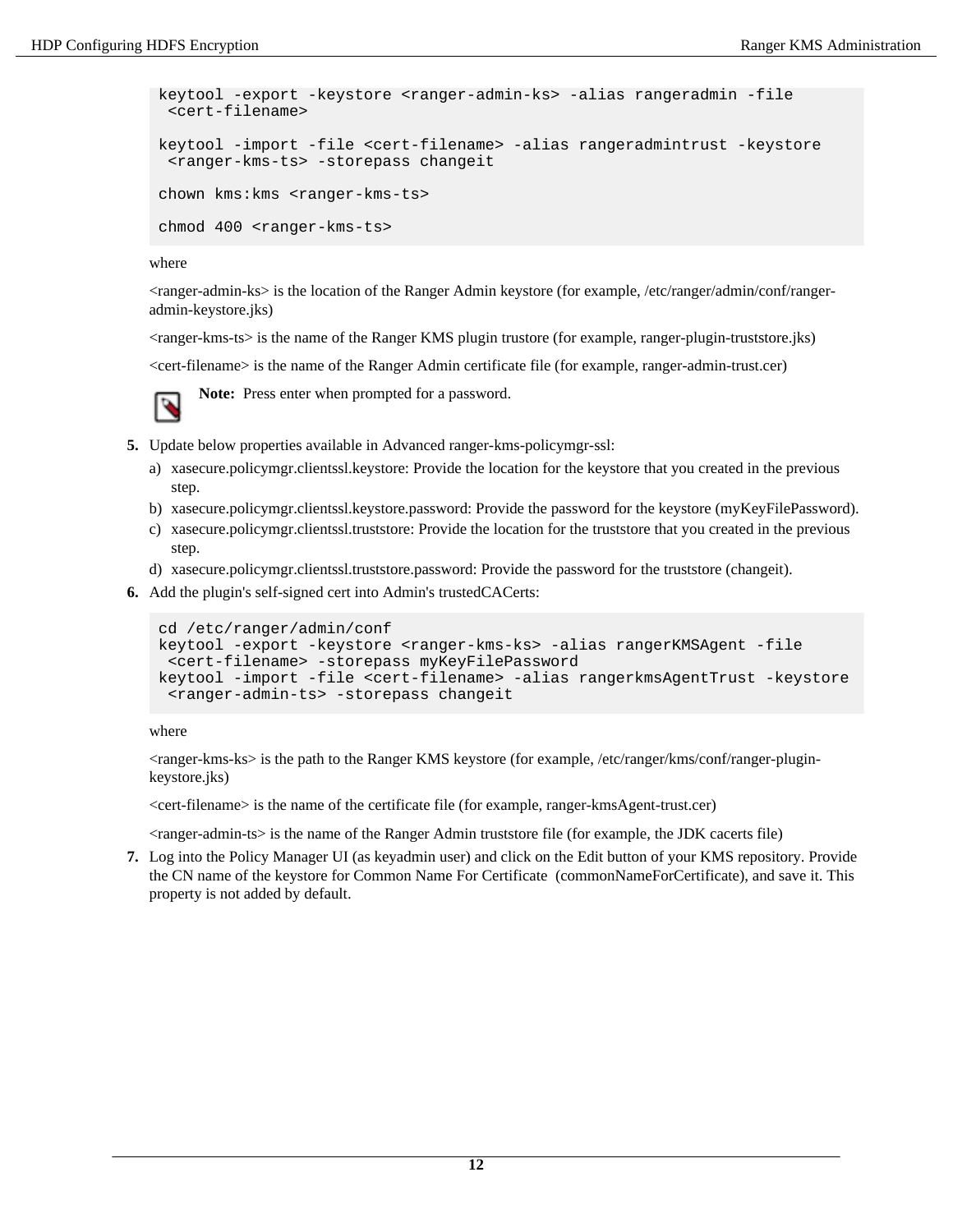```
keytool -export -keystore <ranger-admin-ks> -alias rangeradmin -file
  <cert-filename>
keytool -import -file <cert-filename> -alias rangeradmintrust -keystore
  <ranger-kms-ts> -storepass changeit
chown kms:kms <ranger-kms-ts>
chmod 400 <ranger-kms-ts>
```
where

<ranger-admin-ks> is the location of the Ranger Admin keystore (for example, /etc/ranger/admin/conf/rangeradmin-keystore.jks)

<ranger-kms-ts> is the name of the Ranger KMS plugin trustore (for example, ranger-plugin-truststore.jks)

<cert-filename> is the name of the Ranger Admin certificate file (for example, ranger-admin-trust.cer)

**Note:** Press enter when prompted for a password.

- **5.** Update below properties available in Advanced ranger-kms-policymgr-ssl:
	- a) xasecure.policymgr.clientssl.keystore: Provide the location for the keystore that you created in the previous step.
	- b) xasecure.policymgr.clientssl.keystore.password: Provide the password for the keystore (myKeyFilePassword).
	- c) xasecure.policymgr.clientssl.truststore: Provide the location for the truststore that you created in the previous step.
	- d) xasecure.policymgr.clientssl.truststore.password: Provide the password for the truststore (changeit).
- **6.** Add the plugin's self-signed cert into Admin's trustedCACerts:

```
cd /etc/ranger/admin/conf
keytool -export -keystore <ranger-kms-ks> -alias rangerKMSAgent -file
  <cert-filename> -storepass myKeyFilePassword
keytool -import -file <cert-filename> -alias rangerkmsAgentTrust -keystore
  <ranger-admin-ts> -storepass changeit
```
where

<ranger-kms-ks> is the path to the Ranger KMS keystore (for example, /etc/ranger/kms/conf/ranger-pluginkeystore.jks)

<cert-filename> is the name of the certificate file (for example, ranger-kmsAgent-trust.cer)

<ranger-admin-ts> is the name of the Ranger Admin truststore file (for example, the JDK cacerts file)

**7.** Log into the Policy Manager UI (as keyadmin user) and click on the Edit button of your KMS repository. Provide the CN name of the keystore for Common Name For Certificate (commonNameForCertificate), and save it. This property is not added by default.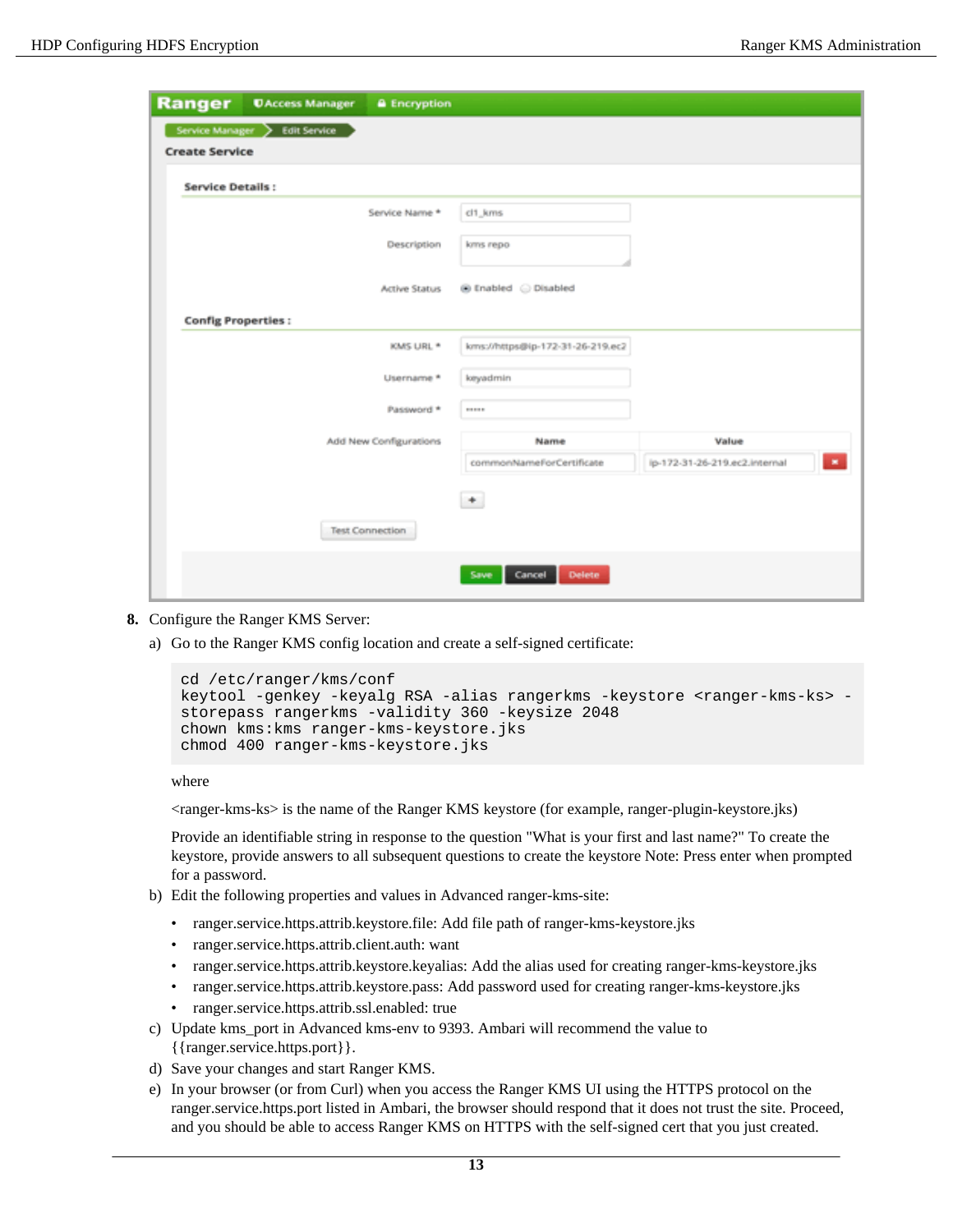| Ranger                         | <b>UAccess Manager</b> | <b>a</b> Encryption    |                                  |                                         |  |  |  |  |  |
|--------------------------------|------------------------|------------------------|----------------------------------|-----------------------------------------|--|--|--|--|--|
| Service Manager > Edit Service |                        |                        |                                  |                                         |  |  |  |  |  |
| <b>Create Service</b>          |                        |                        |                                  |                                         |  |  |  |  |  |
| <b>Service Details:</b>        |                        |                        |                                  |                                         |  |  |  |  |  |
|                                |                        | Service Name *         | cl1_kms                          |                                         |  |  |  |  |  |
|                                |                        | Description            | kms repo                         |                                         |  |  |  |  |  |
|                                |                        | Active Status          | @ Enabled @ Disabled             |                                         |  |  |  |  |  |
| <b>Config Properties:</b>      |                        |                        |                                  |                                         |  |  |  |  |  |
|                                |                        | KMS URL *              | kms://https@ip-172-31-26-219.ec2 |                                         |  |  |  |  |  |
|                                |                        | Username *             | keyadmin                         |                                         |  |  |  |  |  |
|                                |                        | Password *             | 111111                           |                                         |  |  |  |  |  |
|                                |                        | Add New Configurations | Name                             | Value                                   |  |  |  |  |  |
|                                |                        |                        | commonNameForCertificate         | ip-172-31-26-219.ec2.internal<br>$\sim$ |  |  |  |  |  |
|                                |                        |                        | $^+$                             |                                         |  |  |  |  |  |
|                                |                        | <b>Test Connection</b> |                                  |                                         |  |  |  |  |  |
|                                |                        |                        | <b>Delete</b><br>Save<br>Cancel  |                                         |  |  |  |  |  |

- **8.** Configure the Ranger KMS Server:
	- a) Go to the Ranger KMS config location and create a self-signed certificate:

```
cd /etc/ranger/kms/conf
keytool -genkey -keyalg RSA -alias rangerkms -keystore <ranger-kms-ks> -
storepass rangerkms -validity 360 -keysize 2048
chown kms: kms ranger-kms-keystore.jks
chmod 400 ranger-kms-keystore.jks
```
where

<ranger-kms-ks> is the name of the Ranger KMS keystore (for example, ranger-plugin-keystore.jks)

Provide an identifiable string in response to the question "What is your first and last name?" To create the keystore, provide answers to all subsequent questions to create the keystore Note: Press enter when prompted for a password.

- b) Edit the following properties and values in Advanced ranger-kms-site:
	- ranger.service.https.attrib.keystore.file: Add file path of ranger-kms-keystore.jks
	- ranger.service.https.attrib.client.auth: want
	- ranger.service.https.attrib.keystore.keyalias: Add the alias used for creating ranger-kms-keystore.jks
	- ranger.service.https.attrib.keystore.pass: Add password used for creating ranger-kms-keystore.jks
	- ranger.service.https.attrib.ssl.enabled: true
- c) Update kms\_port in Advanced kms-env to 9393. Ambari will recommend the value to {{ranger.service.https.port}}.
- d) Save your changes and start Ranger KMS.
- e) In your browser (or from Curl) when you access the Ranger KMS UI using the HTTPS protocol on the ranger.service.https.port listed in Ambari, the browser should respond that it does not trust the site. Proceed, and you should be able to access Ranger KMS on HTTPS with the self-signed cert that you just created.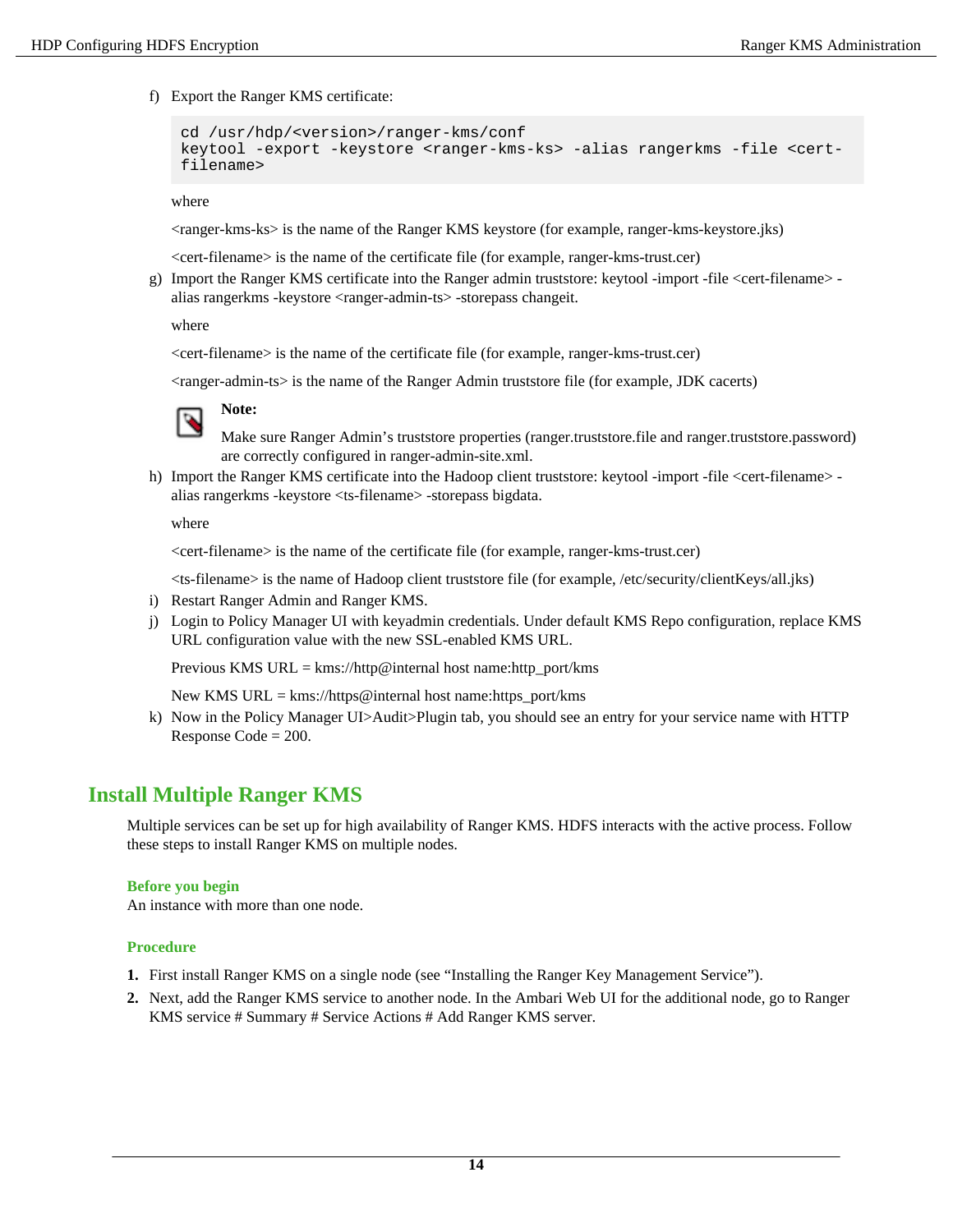f) Export the Ranger KMS certificate:

```
cd /usr/hdp/<version>/ranger-kms/conf
keytool -export -keystore <ranger-kms-ks> -alias rangerkms -file <cert-
filename>
```
where

<ranger-kms-ks> is the name of the Ranger KMS keystore (for example, ranger-kms-keystore.jks)

<cert-filename> is the name of the certificate file (for example, ranger-kms-trust.cer)

g) Import the Ranger KMS certificate into the Ranger admin truststore: keytool -import -file <cert-filename> alias rangerkms -keystore <ranger-admin-ts> -storepass changeit.

where

<cert-filename> is the name of the certificate file (for example, ranger-kms-trust.cer)

<ranger-admin-ts> is the name of the Ranger Admin truststore file (for example, JDK cacerts)



**Note:**

Make sure Ranger Admin's truststore properties (ranger.truststore.file and ranger.truststore.password) are correctly configured in ranger-admin-site.xml.

h) Import the Ranger KMS certificate into the Hadoop client truststore: keytool -import -file <cert-filename> alias rangerkms -keystore <ts-filename> -storepass bigdata.

where

<cert-filename> is the name of the certificate file (for example, ranger-kms-trust.cer)

<ts-filename> is the name of Hadoop client truststore file (for example, /etc/security/clientKeys/all.jks)

- i) Restart Ranger Admin and Ranger KMS.
- j) Login to Policy Manager UI with keyadmin credentials. Under default KMS Repo configuration, replace KMS URL configuration value with the new SSL-enabled KMS URL.

Previous KMS URL =  $kms$ ://http@internal host name:http\_port/kms

New KMS URL = kms://https@internal host name:https\_port/kms

k) Now in the Policy Manager UI>Audit>Plugin tab, you should see an entry for your service name with HTTP Response Code = 200.

# <span id="page-13-0"></span>**Install Multiple Ranger KMS**

Multiple services can be set up for high availability of Ranger KMS. HDFS interacts with the active process. Follow these steps to install Ranger KMS on multiple nodes.

#### **Before you begin**

An instance with more than one node.

- **1.** First install Ranger KMS on a single node (see "Installing the Ranger Key Management Service").
- **2.** Next, add the Ranger KMS service to another node. In the Ambari Web UI for the additional node, go to Ranger KMS service # Summary # Service Actions # Add Ranger KMS server.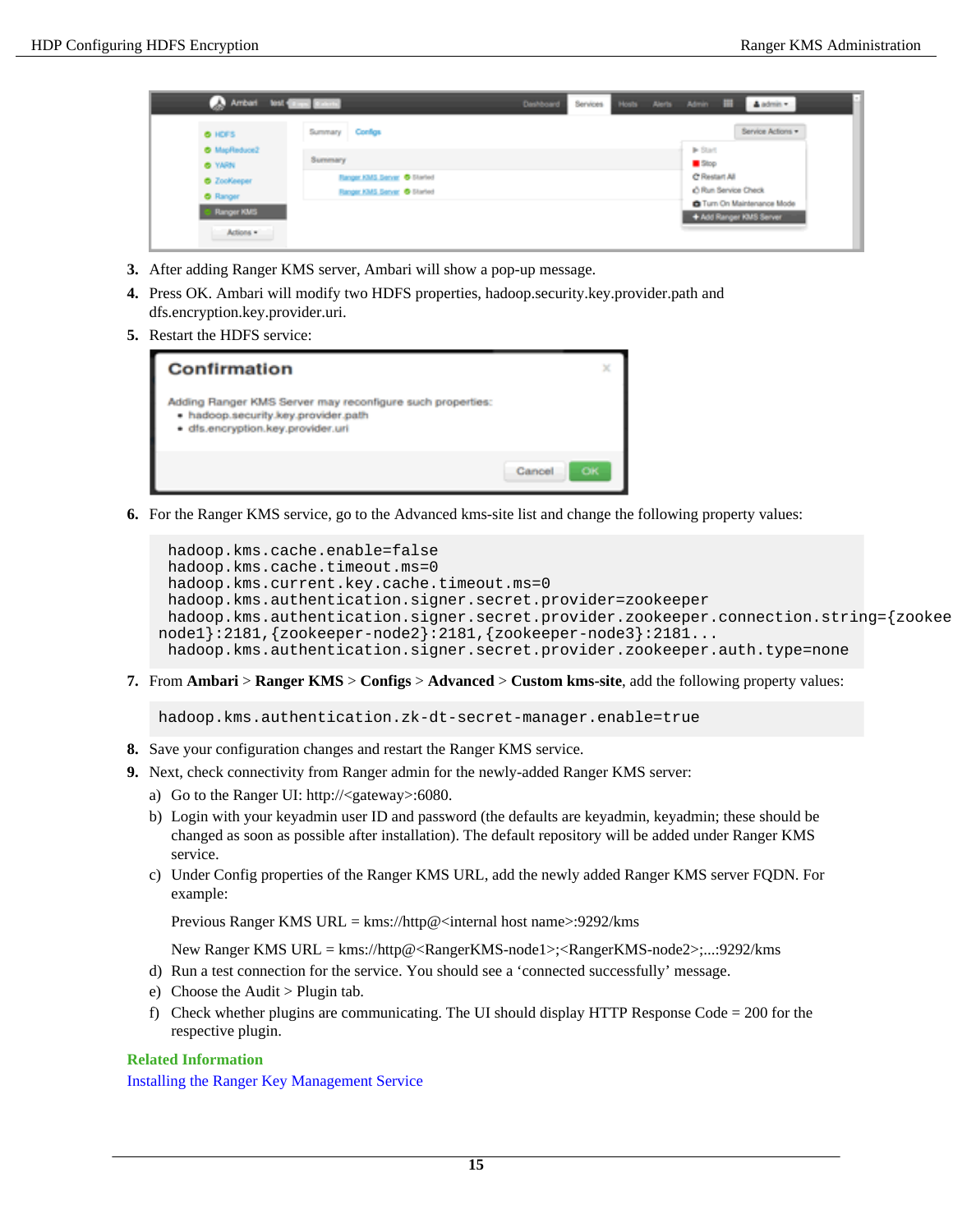| Ambari test <b>Stand Stand</b>        | Dashboard                                                  | Services |  |                                      | Hosts Alerts Admin III              | A admin - |                                                       |
|---------------------------------------|------------------------------------------------------------|----------|--|--------------------------------------|-------------------------------------|-----------|-------------------------------------------------------|
| O HDFS                                | Summary Configs                                            |          |  |                                      |                                     |           | Service Actions                                       |
| O MapReduce2<br><b>O</b> YARN         | Summary                                                    |          |  |                                      | $\blacktriangleright$ Start<br>Stop |           |                                                       |
| <b>O</b> ZooKeeper<br><b>O</b> Ranger | Ranger KMS Server @ Started<br>Ranger KMS Server @ Started |          |  | C Restart All<br>C Run Service Check |                                     |           |                                                       |
| - Ranger KMS                          |                                                            |          |  |                                      |                                     |           | C Turn On Maintenance Mode<br>+ Add Ranger KMS Server |
| Actions .                             |                                                            |          |  |                                      |                                     |           |                                                       |

- **3.** After adding Ranger KMS server, Ambari will show a pop-up message.
- **4.** Press OK. Ambari will modify two HDFS properties, hadoop.security.key.provider.path and dfs.encryption.key.provider.uri.
- **5.** Restart the HDFS service:



**6.** For the Ranger KMS service, go to the Advanced kms-site list and change the following property values:

```
hadoop.kms.cache.enable=false
 hadoop.kms.cache.timeout.ms=0 
 hadoop.kms.current.key.cache.timeout.ms=0 
 hadoop.kms.authentication.signer.secret.provider=zookeeper 
 hadoop.kms.authentication.signer.secret.provider.zookeeper.connection.string={zookeeper-
node1}:2181,{zookeeper-node2}:2181,{zookeeper-node3}:2181... 
 hadoop.kms.authentication.signer.secret.provider.zookeeper.auth.type=none
```
**7.** From **Ambari** > **Ranger KMS** > **Configs** > **Advanced** > **Custom kms-site**, add the following property values:

hadoop.kms.authentication.zk-dt-secret-manager.enable=true

- **8.** Save your configuration changes and restart the Ranger KMS service.
- **9.** Next, check connectivity from Ranger admin for the newly-added Ranger KMS server:
	- a) Go to the Ranger UI: http://<gateway>:6080.
	- b) Login with your keyadmin user ID and password (the defaults are keyadmin, keyadmin; these should be changed as soon as possible after installation). The default repository will be added under Ranger KMS service.
	- c) Under Config properties of the Ranger KMS URL, add the newly added Ranger KMS server FQDN. For example:

Previous Ranger KMS URL = kms://http@<internal host name>:9292/kms

New Ranger KMS URL = kms://http@<RangerKMS-node1>;<RangerKMS-node2>;...:9292/kms

- d) Run a test connection for the service. You should see a 'connected successfully' message.
- e) Choose the Audit > Plugin tab.
- f) Check whether plugins are communicating. The UI should display HTTP Response Code  $= 200$  for the respective plugin.

#### **Related Information**

Installing the Ranger Key Management Service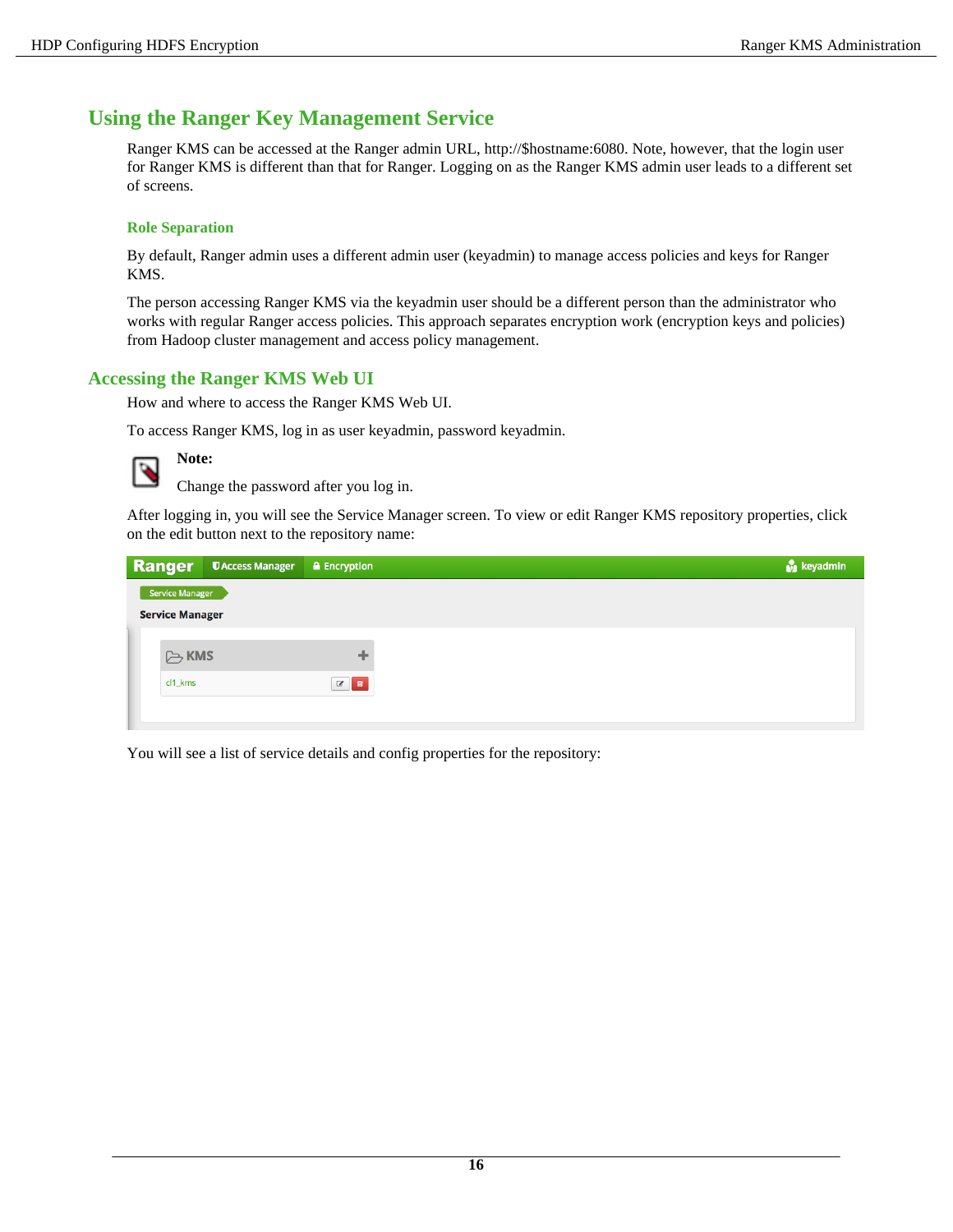# <span id="page-15-0"></span>**Using the Ranger Key Management Service**

Ranger KMS can be accessed at the Ranger admin URL, http://\$hostname:6080. Note, however, that the login user for Ranger KMS is different than that for Ranger. Logging on as the Ranger KMS admin user leads to a different set of screens.

#### **Role Separation**

By default, Ranger admin uses a different admin user (keyadmin) to manage access policies and keys for Ranger KMS.

The person accessing Ranger KMS via the keyadmin user should be a different person than the administrator who works with regular Ranger access policies. This approach separates encryption work (encryption keys and policies) from Hadoop cluster management and access policy management.

## <span id="page-15-1"></span>**Accessing the Ranger KMS Web UI**

How and where to access the Ranger KMS Web UI.

To access Ranger KMS, log in as user keyadmin, password keyadmin.



# **Note:**

Change the password after you log in.

After logging in, you will see the Service Manager screen. To view or edit Ranger KMS repository properties, click on the edit button next to the repository name:

| Ranger                 | <b>UAccess Manager</b> | <b>a</b> Encryption |
|------------------------|------------------------|---------------------|
| Service Manager        |                        |                     |
| <b>Service Manager</b> |                        |                     |
|                        |                        |                     |
| <b>B</b> KMS           |                        | ÷                   |
| cl1_kms                |                        | ■■                  |
|                        |                        |                     |

You will see a list of service details and config properties for the repository: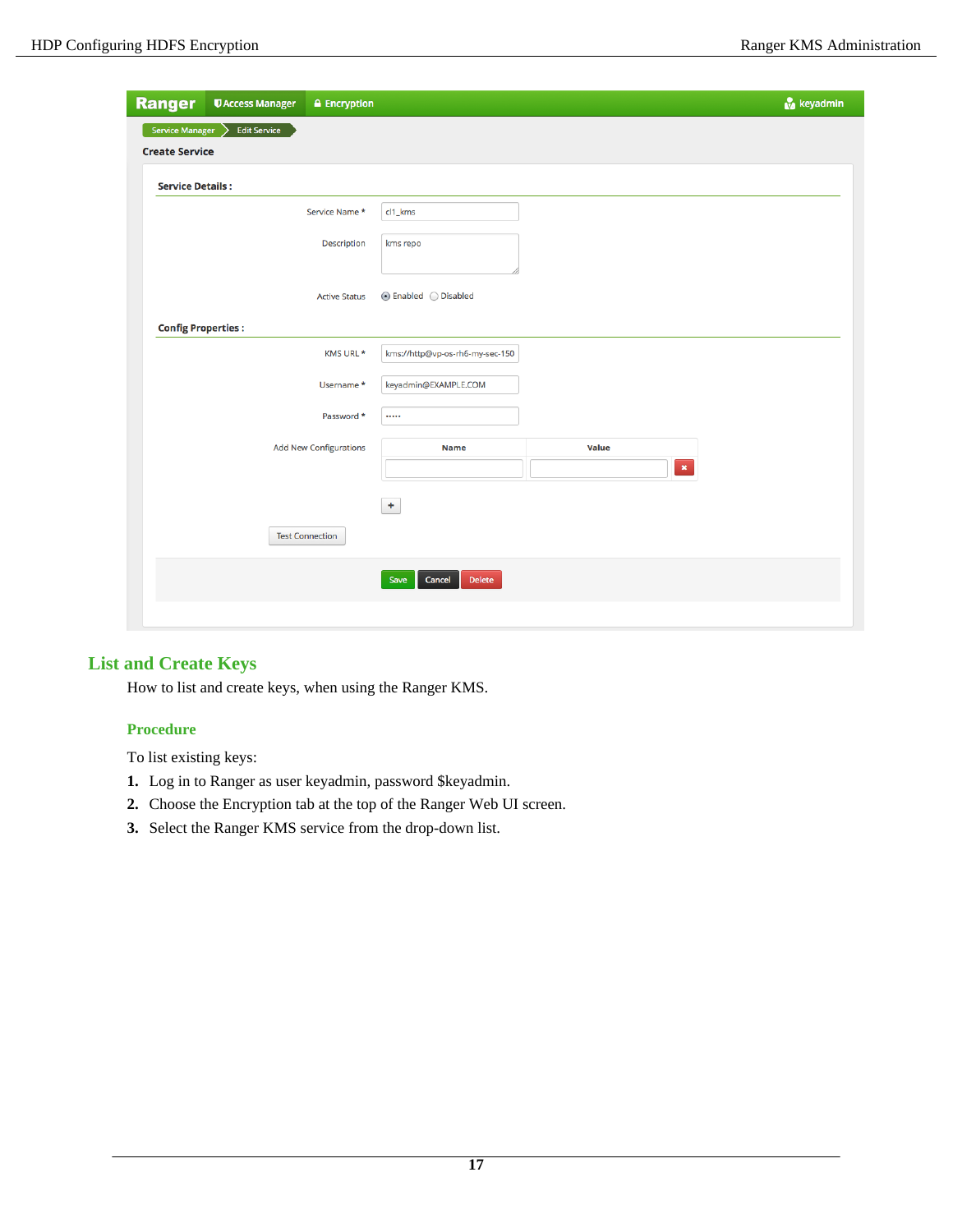| <b>Ranger</b>             | <b><i><u>DAccess Manager</u></i></b> | <b>A</b> Encryption           |                                  |              | keyadmin       |
|---------------------------|--------------------------------------|-------------------------------|----------------------------------|--------------|----------------|
| <b>Service Manager</b>    | <b>Edit Service</b><br>↘             |                               |                                  |              |                |
| <b>Create Service</b>     |                                      |                               |                                  |              |                |
| <b>Service Details:</b>   |                                      |                               |                                  |              |                |
|                           |                                      | Service Name *                | cl1_kms                          |              |                |
|                           |                                      | Description                   | kms repo                         |              |                |
|                           |                                      | <b>Active Status</b>          | $\odot$ Enabled $\odot$ Disabled |              |                |
| <b>Config Properties:</b> |                                      |                               |                                  |              |                |
|                           |                                      | KMS URL *                     | kms://http@vp-os-rh6-my-sec-150  |              |                |
|                           |                                      | Username*                     | keyadmin@EXAMPLE.COM             |              |                |
|                           |                                      | Password *                    |                                  |              |                |
|                           |                                      | <b>Add New Configurations</b> | <b>Name</b>                      | <b>Value</b> |                |
|                           |                                      |                               |                                  |              | $\pmb{\times}$ |
|                           |                                      |                               | ÷                                |              |                |
|                           |                                      | <b>Test Connection</b>        |                                  |              |                |
|                           |                                      |                               | Save<br>Cancel<br>Delete         |              |                |
|                           |                                      |                               |                                  |              |                |

# <span id="page-16-0"></span>**List and Create Keys**

How to list and create keys, when using the Ranger KMS.

## **Procedure**

To list existing keys:

- **1.** Log in to Ranger as user keyadmin, password \$keyadmin.
- **2.** Choose the Encryption tab at the top of the Ranger Web UI screen.
- **3.** Select the Ranger KMS service from the drop-down list.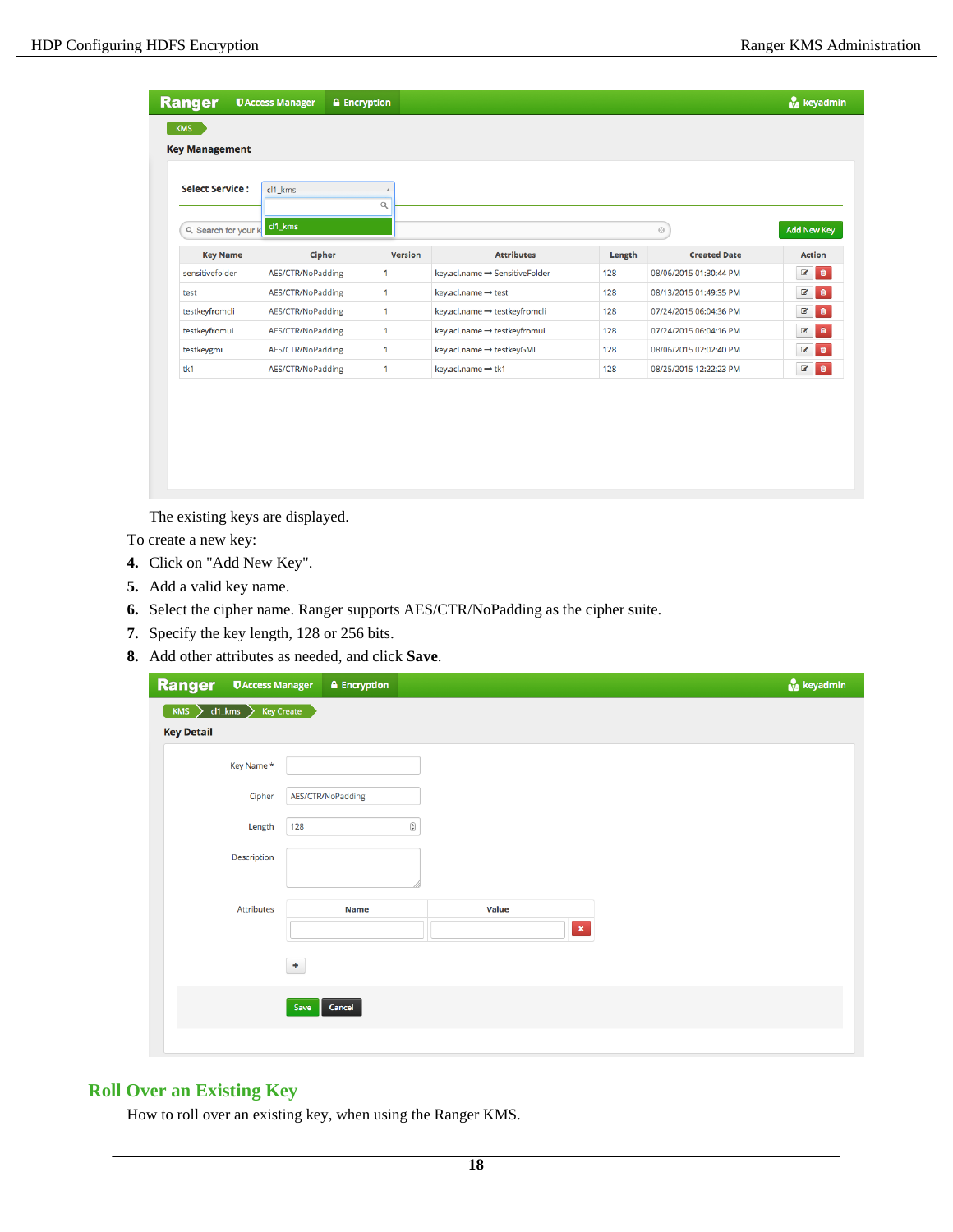| <b>Ranger</b>          | <b><i>UAccess Manager</i></b> | <b>A</b> Encryption |                |                                |        |                        | <b>N</b> keyadmin |
|------------------------|-------------------------------|---------------------|----------------|--------------------------------|--------|------------------------|-------------------|
| <b>KMS</b>             |                               |                     |                |                                |        |                        |                   |
| <b>Key Management</b>  |                               |                     |                |                                |        |                        |                   |
| <b>Select Service:</b> | cl1_kms                       |                     |                |                                |        |                        |                   |
| Q Search for your I    | $cl1$ <sub>_</sub> kms        | $\alpha$            |                |                                |        | $\odot$                | Add New Key       |
| <b>Key Name</b>        |                               | Cipher              | <b>Version</b> | <b>Attributes</b>              | Length | <b>Created Date</b>    | <b>Action</b>     |
| sensitivefolder        | AES/CTR/NoPadding             | $\mathbf{1}$        |                | key.acl.name → SensitiveFolder | 128    | 08/06/2015 01:30:44 PM | $\epsilon$<br>會   |
| test                   | AES/CTR/NoPadding             | $\mathbf{1}$        |                | key.acl.name → test            | 128    | 08/13/2015 01:49:35 PM | 會<br>$\mathbf{z}$ |
| testkeyfromcli         | AES/CTR/NoPadding             | 1                   |                | key.acl.name → testkeyfromcli  | 128    | 07/24/2015 06:04:36 PM | $\epsilon$<br>音   |
| testkeyfromui          | AES/CTR/NoPadding             | $\mathbf{1}$        |                | key.acl.name → testkeyfromui   | 128    | 07/24/2015 06:04:16 PM | 會<br>$\bullet$    |
| testkeygmi             | AES/CTR/NoPadding             | $\mathbf 1$         |                | key.acl.name → testkeyGMI      | 128    | 08/06/2015 02:02:40 PM | 會<br>$\mathbf Z$  |
| tk1                    | AES/CTR/NoPadding             | $\mathbf{1}$        |                | key.acl.name → tk1             | 128    | 08/25/2015 12:22:23 PM | 意<br>$\epsilon$   |

The existing keys are displayed.

To create a new key:

- **4.** Click on "Add New Key".
- **5.** Add a valid key name.
- **6.** Select the cipher name. Ranger supports AES/CTR/NoPadding as the cipher suite.
- **7.** Specify the key length, 128 or 256 bits.
- **8.** Add other attributes as needed, and click **Save**.

| <b>Ranger</b>                                     | <b>U</b> Access Manager |                   | $\triangle$ Encryption |                        |       |              |  |  | keyadmin |
|---------------------------------------------------|-------------------------|-------------------|------------------------|------------------------|-------|--------------|--|--|----------|
| $KMS$ $\left\{\right\}$ cl1_kms $\left\{\right\}$ |                         | <b>Key Create</b> |                        |                        |       |              |  |  |          |
| <b>Key Detail</b>                                 |                         |                   |                        |                        |       |              |  |  |          |
|                                                   | Key Name *              |                   |                        |                        |       |              |  |  |          |
|                                                   | Cipher                  |                   | AES/CTR/NoPadding      |                        |       |              |  |  |          |
|                                                   | Length                  | 128               |                        | $\widehat{\mathbf{G}}$ |       |              |  |  |          |
|                                                   | Description             |                   |                        |                        |       |              |  |  |          |
|                                                   | <b>Attributes</b>       |                   | <b>Name</b>            |                        | Value | $\mathbf{x}$ |  |  |          |
|                                                   |                         | $\pm$             |                        |                        |       |              |  |  |          |
|                                                   |                         | Save              | Cancel                 |                        |       |              |  |  |          |
|                                                   |                         |                   |                        |                        |       |              |  |  |          |

# <span id="page-17-0"></span>**Roll Over an Existing Key**

How to roll over an existing key, when using the Ranger KMS.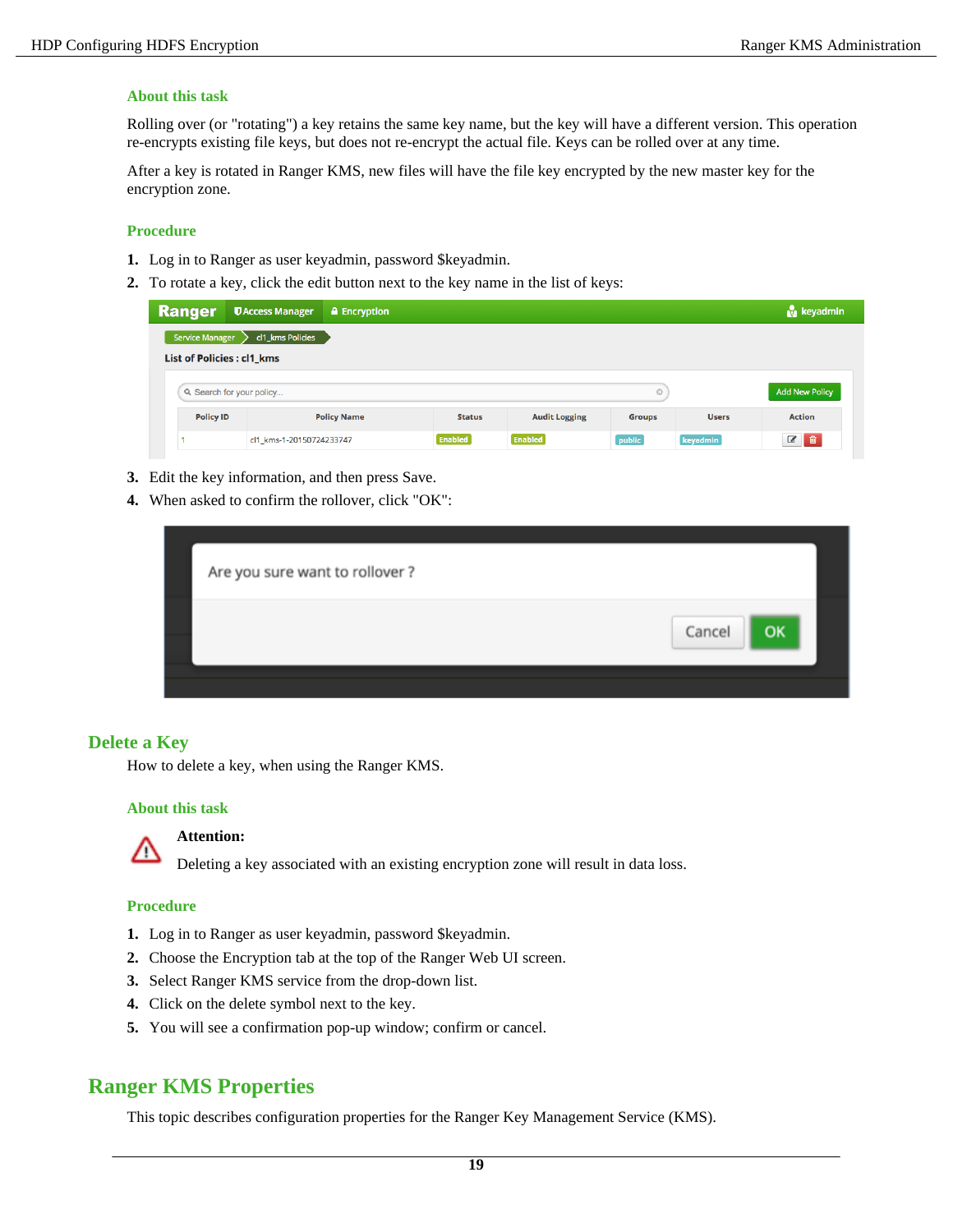#### **About this task**

Rolling over (or "rotating") a key retains the same key name, but the key will have a different version. This operation re-encrypts existing file keys, but does not re-encrypt the actual file. Keys can be rolled over at any time.

After a key is rotated in Ranger KMS, new files will have the file key encrypted by the new master key for the encryption zone.

#### **Procedure**

- **1.** Log in to Ranger as user keyadmin, password \$keyadmin.
- **2.** To rotate a key, click the edit button next to the key name in the list of keys:

| <b>Ranger</b>                              | <b>UAccess Manager</b> | <b>A</b> Encryption |               |                      |               |              | <b>N</b> keyadmin     |
|--------------------------------------------|------------------------|---------------------|---------------|----------------------|---------------|--------------|-----------------------|
| cl1_kms Policies<br><b>Service Manager</b> |                        |                     |               |                      |               |              |                       |
| <b>List of Policies: cl1 kms</b>           |                        |                     |               |                      |               |              |                       |
| Q Search for your policy                   |                        |                     |               |                      | $_{\odot}$    |              | <b>Add New Policy</b> |
|                                            |                        |                     |               |                      |               |              |                       |
| <b>Policy ID</b>                           |                        | <b>Policy Name</b>  | <b>Status</b> | <b>Audit Logging</b> | <b>Groups</b> | <b>Users</b> | <b>Action</b>         |

- **3.** Edit the key information, and then press Save.
- **4.** When asked to confirm the rollover, click "OK":

| Are you sure want to rollover? |  |        |    |
|--------------------------------|--|--------|----|
|                                |  | Cancel | OK |
|                                |  |        |    |

#### <span id="page-18-0"></span>**Delete a Key**

How to delete a key, when using the Ranger KMS.

#### **About this task**



# **Attention:**

Deleting a key associated with an existing encryption zone will result in data loss.

#### **Procedure**

- **1.** Log in to Ranger as user keyadmin, password \$keyadmin.
- **2.** Choose the Encryption tab at the top of the Ranger Web UI screen.
- **3.** Select Ranger KMS service from the drop-down list.
- **4.** Click on the delete symbol next to the key.
- **5.** You will see a confirmation pop-up window; confirm or cancel.

# <span id="page-18-1"></span>**Ranger KMS Properties**

This topic describes configuration properties for the Ranger Key Management Service (KMS).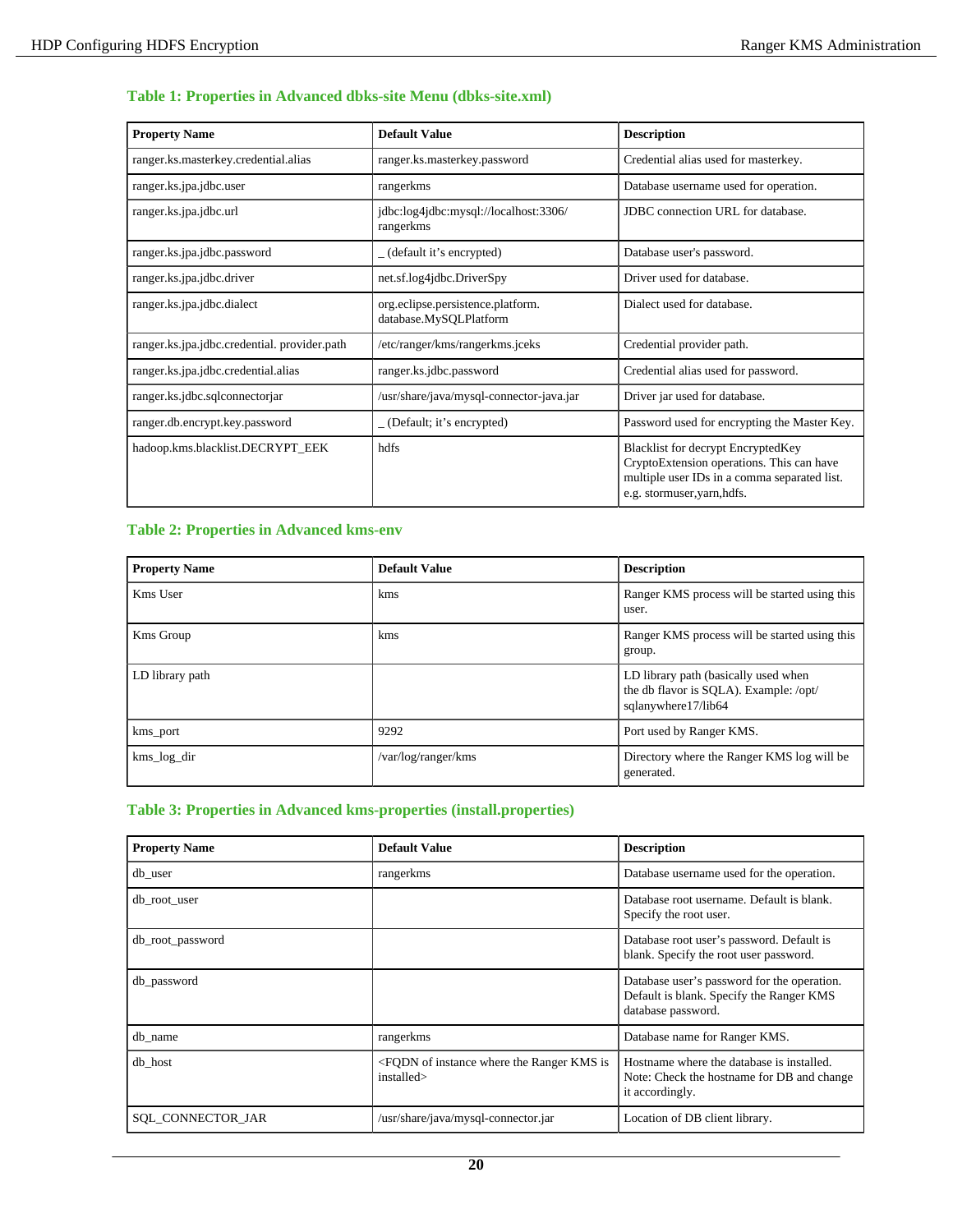## **Table 1: Properties in Advanced dbks-site Menu (dbks-site.xml)**

| <b>Property Name</b>                        | <b>Default Value</b>                                        | <b>Description</b>                                                                                                                                                    |
|---------------------------------------------|-------------------------------------------------------------|-----------------------------------------------------------------------------------------------------------------------------------------------------------------------|
| ranger.ks.masterkey.credential.alias        | ranger.ks.masterkey.password                                | Credential alias used for masterkey.                                                                                                                                  |
| ranger.ks.jpa.jdbc.user                     | rangerkms                                                   | Database username used for operation.                                                                                                                                 |
| ranger.ks.jpa.jdbc.url                      | jdbc:log4jdbc:mysql://localhost:3306/<br>rangerkms          | JDBC connection URL for database.                                                                                                                                     |
| ranger.ks.jpa.jdbc.password                 | (default it's encrypted)                                    | Database user's password.                                                                                                                                             |
| ranger.ks.jpa.jdbc.driver                   | net.sf.log4jdbc.DriverSpy                                   | Driver used for database.                                                                                                                                             |
| ranger.ks.jpa.jdbc.dialect                  | org.eclipse.persistence.platform.<br>database.MySQLPlatform | Dialect used for database.                                                                                                                                            |
| ranger.ks.jpa.jdbc.credential.provider.path | /etc/ranger/kms/rangerkms.jceks                             | Credential provider path.                                                                                                                                             |
| ranger.ks.jpa.jdbc.credential.alias         | ranger.ks.jdbc.password                                     | Credential alias used for password.                                                                                                                                   |
| ranger.ks.jdbc.sqlconnectorjar              | /usr/share/java/mysql-connector-java.jar                    | Driver jar used for database.                                                                                                                                         |
| ranger.db.encrypt.key.password              | (Default; it's encrypted)                                   | Password used for encrypting the Master Key.                                                                                                                          |
| hadoop.kms.blacklist.DECRYPT_EEK            | hdfs                                                        | <b>Blacklist for decrypt EncryptedKey</b><br>CryptoExtension operations. This can have<br>multiple user IDs in a comma separated list.<br>e.g. stormuser, yarn, hdfs. |

## **Table 2: Properties in Advanced kms-env**

| <b>Property Name</b> | <b>Default Value</b> | <b>Description</b>                                                                                    |
|----------------------|----------------------|-------------------------------------------------------------------------------------------------------|
| Kms User             | kms                  | Ranger KMS process will be started using this<br>user.                                                |
| <b>Kms</b> Group     | kms                  | Ranger KMS process will be started using this<br>group.                                               |
| LD library path      |                      | LD library path (basically used when<br>the db flavor is SQLA). Example: /opt/<br>sqlanywhere17/lib64 |
| kms_port             | 9292                 | Port used by Ranger KMS.                                                                              |
| kms_log_dir          | /var/log/ranger/kms  | Directory where the Ranger KMS log will be<br>generated.                                              |

### **Table 3: Properties in Advanced kms-properties (install.properties)**

| <b>Property Name</b> | <b>Default Value</b>                                                                   | <b>Description</b>                                                                                            |
|----------------------|----------------------------------------------------------------------------------------|---------------------------------------------------------------------------------------------------------------|
| db user              | rangerkms                                                                              | Database username used for the operation.                                                                     |
| db_root_user         |                                                                                        | Database root username. Default is blank.<br>Specify the root user.                                           |
| db_root_password     |                                                                                        | Database root user's password. Default is<br>blank. Specify the root user password.                           |
| db_password          |                                                                                        | Database user's password for the operation.<br>Default is blank. Specify the Ranger KMS<br>database password. |
| db_name              | rangerkms                                                                              | Database name for Ranger KMS.                                                                                 |
| db host              | <fodn instance="" is<br="" kms="" of="" ranger="" the="" where="">installed&gt;</fodn> | Hostname where the database is installed.<br>Note: Check the hostname for DB and change<br>it accordingly.    |
| SQL_CONNECTOR_JAR    | /usr/share/java/mysql-connector.jar                                                    | Location of DB client library.                                                                                |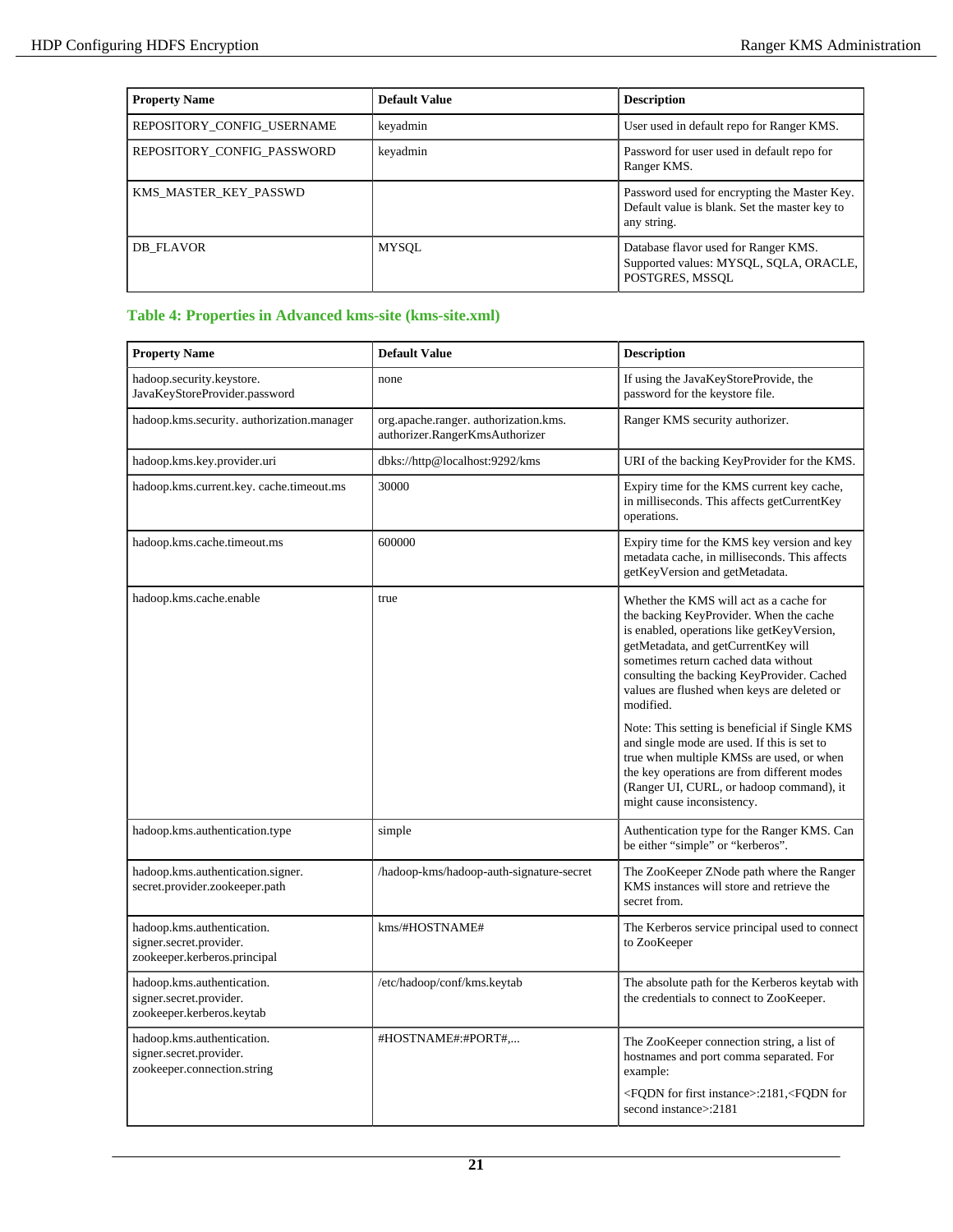| <b>Property Name</b>       | <b>Default Value</b> | <b>Description</b>                                                                                           |
|----------------------------|----------------------|--------------------------------------------------------------------------------------------------------------|
| REPOSITORY_CONFIG_USERNAME | keyadmin             | User used in default repo for Ranger KMS.                                                                    |
| REPOSITORY CONFIG PASSWORD | keyadmin             | Password for user used in default repo for<br>Ranger KMS.                                                    |
| KMS_MASTER_KEY_PASSWD      |                      | Password used for encrypting the Master Key.<br>Default value is blank. Set the master key to<br>any string. |
| DB FLAVOR                  | MYSQL                | Database flavor used for Ranger KMS.<br>Supported values: MYSQL, SQLA, ORACLE,<br>POSTGRES, MSSOL            |

# **Table 4: Properties in Advanced kms-site (kms-site.xml)**

| <b>Property Name</b>                                                                  | <b>Default Value</b>                                                   | <b>Description</b>                                                                                                                                                                                                                                                                                                        |
|---------------------------------------------------------------------------------------|------------------------------------------------------------------------|---------------------------------------------------------------------------------------------------------------------------------------------------------------------------------------------------------------------------------------------------------------------------------------------------------------------------|
| hadoop.security.keystore.<br>JavaKeyStoreProvider.password                            | none                                                                   | If using the JavaKeyStoreProvide, the<br>password for the keystore file.                                                                                                                                                                                                                                                  |
| hadoop.kms.security. authorization.manager                                            | org.apache.ranger.authorization.kms.<br>authorizer.RangerKmsAuthorizer | Ranger KMS security authorizer.                                                                                                                                                                                                                                                                                           |
| hadoop.kms.key.provider.uri                                                           | dbks://http@localhost:9292/kms                                         | URI of the backing KeyProvider for the KMS.                                                                                                                                                                                                                                                                               |
| hadoop.kms.current.key.cache.timeout.ms                                               | 30000                                                                  | Expiry time for the KMS current key cache,<br>in milliseconds. This affects getCurrentKey<br>operations.                                                                                                                                                                                                                  |
| hadoop.kms.cache.timeout.ms                                                           | 600000                                                                 | Expiry time for the KMS key version and key<br>metadata cache, in milliseconds. This affects<br>getKeyVersion and getMetadata.                                                                                                                                                                                            |
| hadoop.kms.cache.enable                                                               | true                                                                   | Whether the KMS will act as a cache for<br>the backing KeyProvider. When the cache<br>is enabled, operations like getKeyVersion,<br>getMetadata, and getCurrentKey will<br>sometimes return cached data without<br>consulting the backing KeyProvider. Cached<br>values are flushed when keys are deleted or<br>modified. |
|                                                                                       |                                                                        | Note: This setting is beneficial if Single KMS<br>and single mode are used. If this is set to<br>true when multiple KMSs are used, or when<br>the key operations are from different modes<br>(Ranger UI, CURL, or hadoop command), it<br>might cause inconsistency.                                                       |
| hadoop.kms.authentication.type                                                        | simple                                                                 | Authentication type for the Ranger KMS. Can<br>be either "simple" or "kerberos".                                                                                                                                                                                                                                          |
| hadoop.kms.authentication.signer.<br>secret.provider.zookeeper.path                   | /hadoop-kms/hadoop-auth-signature-secret                               | The ZooKeeper ZNode path where the Ranger<br>KMS instances will store and retrieve the<br>secret from.                                                                                                                                                                                                                    |
| hadoop.kms.authentication.<br>signer.secret.provider.<br>zookeeper.kerberos.principal | kms/#HOSTNAME#                                                         | The Kerberos service principal used to connect<br>to ZooKeeper                                                                                                                                                                                                                                                            |
| hadoop.kms.authentication.<br>signer.secret.provider.<br>zookeeper.kerberos.keytab    | /etc/hadoop/conf/kms.keytab                                            | The absolute path for the Kerberos keytab with<br>the credentials to connect to ZooKeeper.                                                                                                                                                                                                                                |
| hadoop.kms.authentication.<br>signer.secret.provider.<br>zookeeper.connection.string  | #HOSTNAME#:#PORT#,                                                     | The ZooKeeper connection string, a list of<br>hostnames and port comma separated. For<br>example:                                                                                                                                                                                                                         |
|                                                                                       |                                                                        | <fqdn first="" for="" instance="">:2181,<fqdn for<br="">second instance&gt;:2181</fqdn></fqdn>                                                                                                                                                                                                                            |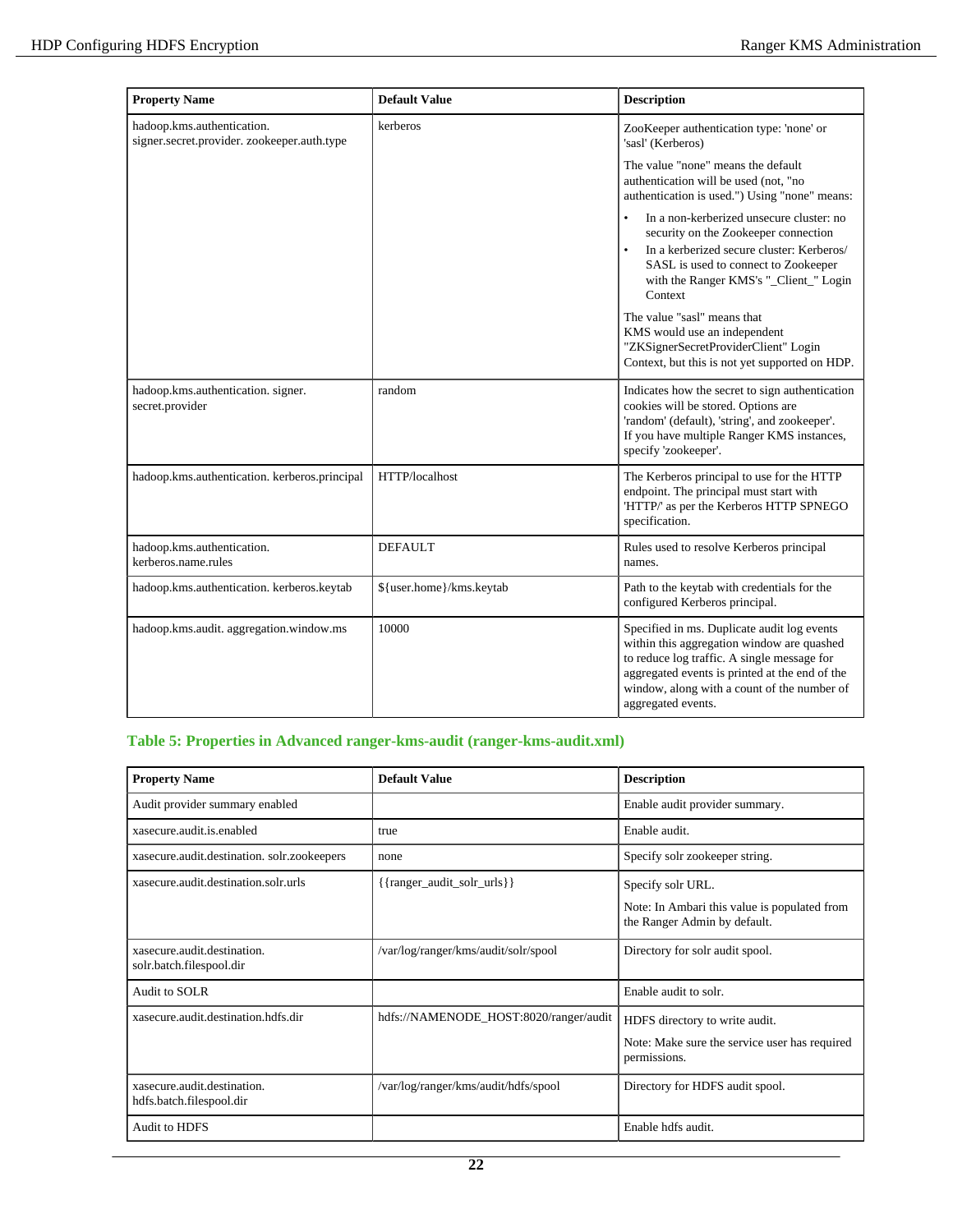| <b>Property Name</b>                                                     | <b>Default Value</b>     | <b>Description</b>                                                                                                                                                                                                                                              |
|--------------------------------------------------------------------------|--------------------------|-----------------------------------------------------------------------------------------------------------------------------------------------------------------------------------------------------------------------------------------------------------------|
| hadoop.kms.authentication.<br>signer.secret.provider.zookeeper.auth.type | kerberos                 | ZooKeeper authentication type: 'none' or<br>'sasl' (Kerberos)                                                                                                                                                                                                   |
|                                                                          |                          | The value "none" means the default<br>authentication will be used (not, "no<br>authentication is used.") Using "none" means:                                                                                                                                    |
|                                                                          |                          | In a non-kerberized unsecure cluster: no<br>security on the Zookeeper connection<br>In a kerberized secure cluster: Kerberos/<br>SASL is used to connect to Zookeeper<br>with the Ranger KMS's "_Client_" Login<br>Context                                      |
|                                                                          |                          | The value "sasl" means that<br>KMS would use an independent<br>"ZKSignerSecretProviderClient" Login<br>Context, but this is not yet supported on HDP.                                                                                                           |
| hadoop.kms.authentication. signer.<br>secret.provider                    | random                   | Indicates how the secret to sign authentication<br>cookies will be stored. Options are<br>'random' (default), 'string', and zookeeper'.<br>If you have multiple Ranger KMS instances,<br>specify 'zookeeper'.                                                   |
| hadoop.kms.authentication. kerberos.principal                            | HTTP/localhost           | The Kerberos principal to use for the HTTP<br>endpoint. The principal must start with<br>'HTTP/' as per the Kerberos HTTP SPNEGO<br>specification.                                                                                                              |
| hadoop.kms.authentication.<br>kerberos.name.rules                        | <b>DEFAULT</b>           | Rules used to resolve Kerberos principal<br>names.                                                                                                                                                                                                              |
| hadoop.kms.authentication. kerberos.keytab                               | \${user.home}/kms.keytab | Path to the keytab with credentials for the<br>configured Kerberos principal.                                                                                                                                                                                   |
| hadoop.kms.audit. aggregation.window.ms                                  | 10000                    | Specified in ms. Duplicate audit log events<br>within this aggregation window are quashed<br>to reduce log traffic. A single message for<br>aggregated events is printed at the end of the<br>window, along with a count of the number of<br>aggregated events. |

# **Table 5: Properties in Advanced ranger-kms-audit (ranger-kms-audit.xml)**

| <b>Property Name</b>                                    | Default Value                               | <b>Description</b>                                                           |
|---------------------------------------------------------|---------------------------------------------|------------------------------------------------------------------------------|
| Audit provider summary enabled                          |                                             | Enable audit provider summary.                                               |
| xasecure.audit.is.enabled                               | true                                        | Enable audit.                                                                |
| xasecure.audit.destination. solr.zookeepers             | none                                        | Specify solr zookeeper string.                                               |
| xasecure.audit.destination.solr.urls                    | $\{\{\text{ranger\_audit\_solv\_urls}\}\}\$ | Specify solr URL.                                                            |
|                                                         |                                             | Note: In Ambari this value is populated from<br>the Ranger Admin by default. |
| xasecure.audit.destination.<br>solr.batch.filespool.dir | /var/log/ranger/kms/audit/solr/spool        | Directory for solr audit spool.                                              |
| Audit to SOLR                                           |                                             | Enable audit to solr.                                                        |
| xasecure.audit.destination.hdfs.dir                     | hdfs://NAMENODE_HOST:8020/ranger/audit      | HDFS directory to write audit.                                               |
|                                                         |                                             | Note: Make sure the service user has required<br>permissions.                |
| xasecure.audit.destination.<br>hdfs.batch.filespool.dir | /var/log/ranger/kms/audit/hdfs/spool        | Directory for HDFS audit spool.                                              |
| <b>Audit to HDFS</b>                                    |                                             | Enable hdfs audit.                                                           |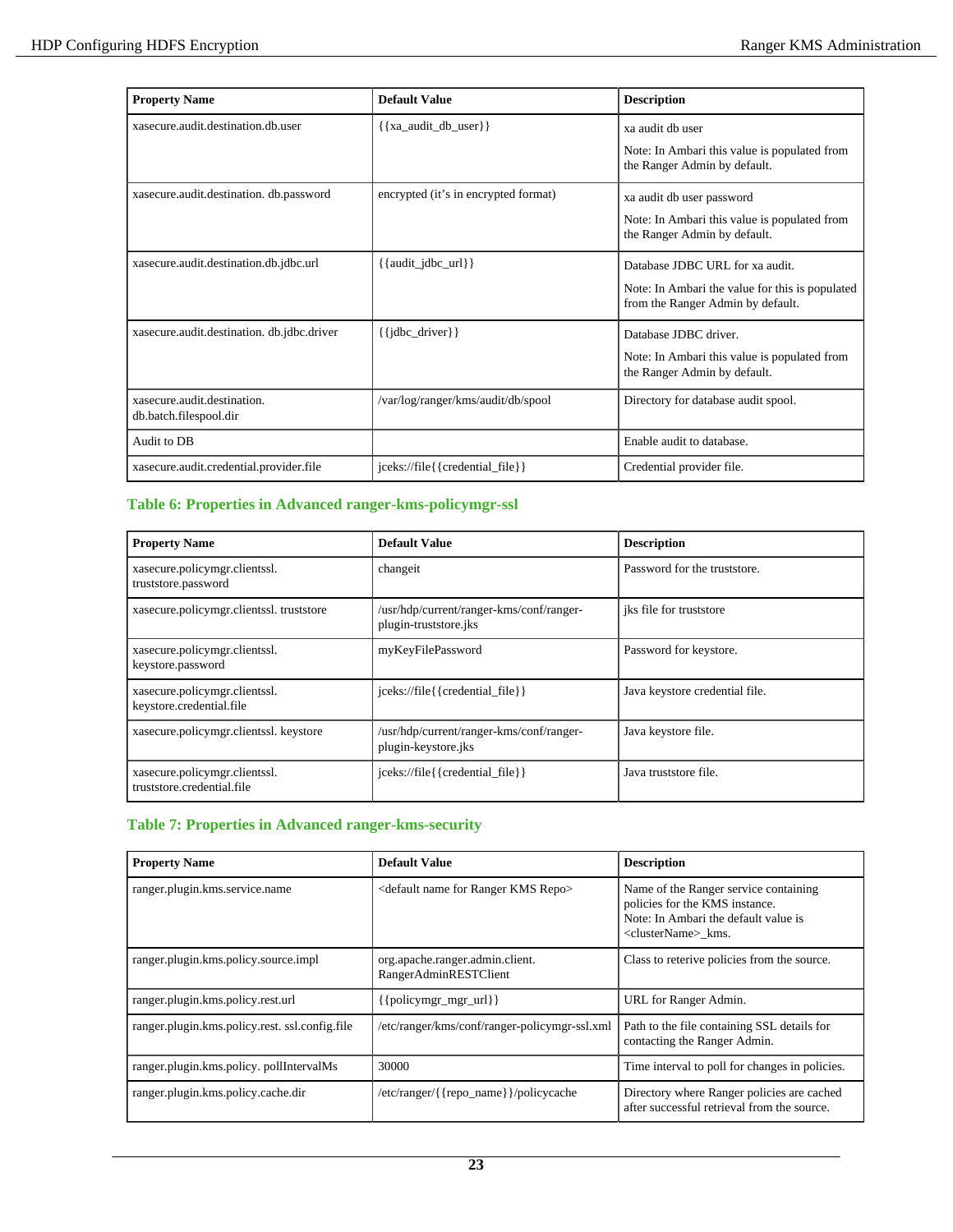| <b>Property Name</b>                                  | Default Value                        | <b>Description</b>                                                                   |
|-------------------------------------------------------|--------------------------------------|--------------------------------------------------------------------------------------|
| xasecure.audit.destination.db.user                    | $\{\{xa\_audit\_db\_user\}\}\$       | xa audit db user                                                                     |
|                                                       |                                      | Note: In Ambari this value is populated from<br>the Ranger Admin by default.         |
| xasecure.audit.destination. db.password               | encrypted (it's in encrypted format) | xa audit db user password                                                            |
|                                                       |                                      | Note: In Ambari this value is populated from<br>the Ranger Admin by default.         |
| xasecure.audit.destination.db.jdbc.url                | $\{\{\text{audit}_jdbc\_url\}\}\$    | Database JDBC URL for xa audit.                                                      |
|                                                       |                                      | Note: In Ambari the value for this is populated<br>from the Ranger Admin by default. |
| xasecure.audit.destination.db.jdbc.driver             | $\{\{\text{idbc\_driver}\}\}\$       | Database JDBC driver.                                                                |
|                                                       |                                      | Note: In Ambari this value is populated from<br>the Ranger Admin by default.         |
| xasecure.audit.destination.<br>db.batch.filespool.dir | /var/log/ranger/kms/audit/db/spool   | Directory for database audit spool.                                                  |
| Audit to DB                                           |                                      | Enable audit to database.                                                            |
| xasecure.audit.credential.provider.file               | jceks://file{{credential_file}}      | Credential provider file.                                                            |

# **Table 6: Properties in Advanced ranger-kms-policymgr-ssl**

| <b>Property Name</b>                                        | <b>Default Value</b>                                              | <b>Description</b>             |  |
|-------------------------------------------------------------|-------------------------------------------------------------------|--------------------------------|--|
| xasecure.policymgr.clientssl.<br>truststore.password        | changeit                                                          | Password for the truststore.   |  |
| xasecure.policymgr.clientssl.truststore                     | /usr/hdp/current/ranger-kms/conf/ranger-<br>plugin-truststore.jks | iks file for truststore        |  |
| xasecure.policymgr.clientssl.<br>keystore.password          | myKeyFilePassword                                                 | Password for keystore.         |  |
| xasecure.policymgr.clientssl.<br>keystore.credential.file   | jceks://file{{credential_file}}                                   | Java keystore credential file. |  |
| xasecure.policymgr.clientssl. keystore                      | /usr/hdp/current/ranger-kms/conf/ranger-<br>plugin-keystore.jks   | Java keystore file.            |  |
| xasecure.policymgr.clientssl.<br>truststore.credential.file | jceks://file{{credential_file}}                                   | Java truststore file.          |  |

## **Table 7: Properties in Advanced ranger-kms-security**

| <b>Property Name</b>                          | <b>Default Value</b>                                        | <b>Description</b>                                                                                                                                  |
|-----------------------------------------------|-------------------------------------------------------------|-----------------------------------------------------------------------------------------------------------------------------------------------------|
| ranger.plugin.kms.service.name                | <default for="" kms="" name="" ranger="" repo=""></default> | Name of the Ranger service containing<br>policies for the KMS instance.<br>Note: In Ambari the default value is<br><clustername>_kms.</clustername> |
| ranger.plugin.kms.policy.source.impl          | org.apache.ranger.admin.client.<br>RangerAdminRESTClient    | Class to reterive policies from the source.                                                                                                         |
| ranger.plugin.kms.policy.rest.url             | $\{\{\text{policymgr_mgr_url}\}\}\$                         | URL for Ranger Admin.                                                                                                                               |
| ranger.plugin.kms.policy.rest.ssl.config.file | /etc/ranger/kms/conf/ranger-policymgr-ssl.xml               | Path to the file containing SSL details for<br>contacting the Ranger Admin.                                                                         |
| ranger.plugin.kms.policy.pollIntervalMs       | 30000                                                       | Time interval to poll for changes in policies.                                                                                                      |
| ranger.plugin.kms.policy.cache.dir            | /etc/ranger/{{repo_name}}/policycache                       | Directory where Ranger policies are cached<br>after successful retrieval from the source.                                                           |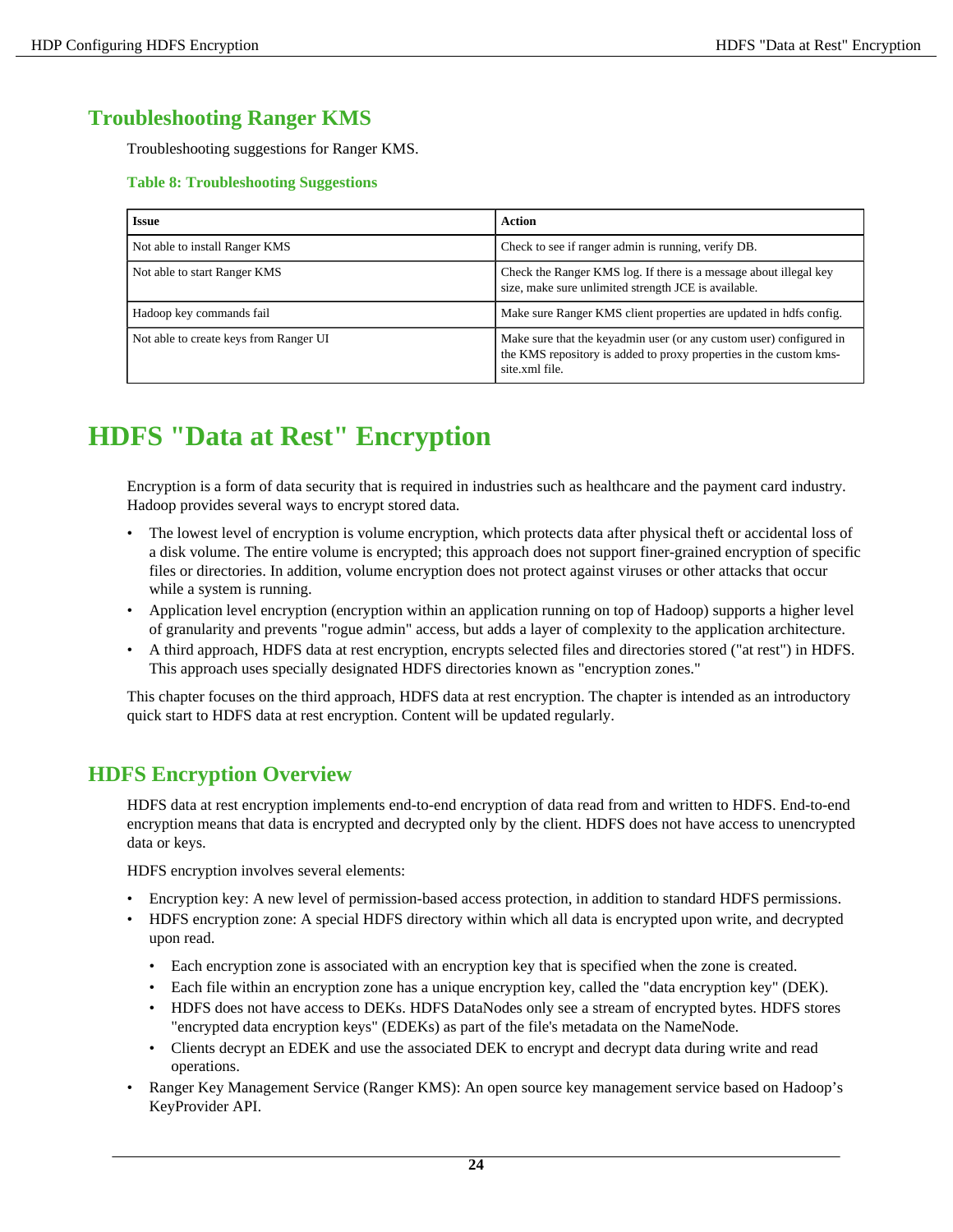# <span id="page-23-0"></span>**Troubleshooting Ranger KMS**

Troubleshooting suggestions for Ranger KMS.

## **Table 8: Troubleshooting Suggestions**

| <b>Issue</b>                           | Action                                                                                                                                                      |
|----------------------------------------|-------------------------------------------------------------------------------------------------------------------------------------------------------------|
| Not able to install Ranger KMS         | Check to see if ranger admin is running, verify DB.                                                                                                         |
| Not able to start Ranger KMS           | Check the Ranger KMS log. If there is a message about illegal key<br>size, make sure unlimited strength JCE is available.                                   |
| Hadoop key commands fail               | Make sure Ranger KMS client properties are updated in hdfs config.                                                                                          |
| Not able to create keys from Ranger UI | Make sure that the keyadmin user (or any custom user) configured in<br>the KMS repository is added to proxy properties in the custom kms-<br>site.xml file. |

# <span id="page-23-1"></span>**HDFS "Data at Rest" Encryption**

Encryption is a form of data security that is required in industries such as healthcare and the payment card industry. Hadoop provides several ways to encrypt stored data.

- The lowest level of encryption is volume encryption, which protects data after physical theft or accidental loss of a disk volume. The entire volume is encrypted; this approach does not support finer-grained encryption of specific files or directories. In addition, volume encryption does not protect against viruses or other attacks that occur while a system is running.
- Application level encryption (encryption within an application running on top of Hadoop) supports a higher level of granularity and prevents "rogue admin" access, but adds a layer of complexity to the application architecture.
- A third approach, HDFS data at rest encryption, encrypts selected files and directories stored ("at rest") in HDFS. This approach uses specially designated HDFS directories known as "encryption zones."

This chapter focuses on the third approach, HDFS data at rest encryption. The chapter is intended as an introductory quick start to HDFS data at rest encryption. Content will be updated regularly.

# <span id="page-23-2"></span>**HDFS Encryption Overview**

HDFS data at rest encryption implements end-to-end encryption of data read from and written to HDFS. End-to-end encryption means that data is encrypted and decrypted only by the client. HDFS does not have access to unencrypted data or keys.

HDFS encryption involves several elements:

- Encryption key: A new level of permission-based access protection, in addition to standard HDFS permissions.
- HDFS encryption zone: A special HDFS directory within which all data is encrypted upon write, and decrypted upon read.
	- Each encryption zone is associated with an encryption key that is specified when the zone is created.
	- Each file within an encryption zone has a unique encryption key, called the "data encryption key" (DEK).
	- HDFS does not have access to DEKs. HDFS DataNodes only see a stream of encrypted bytes. HDFS stores "encrypted data encryption keys" (EDEKs) as part of the file's metadata on the NameNode.
	- Clients decrypt an EDEK and use the associated DEK to encrypt and decrypt data during write and read operations.
- Ranger Key Management Service (Ranger KMS): An open source key management service based on Hadoop's KeyProvider API.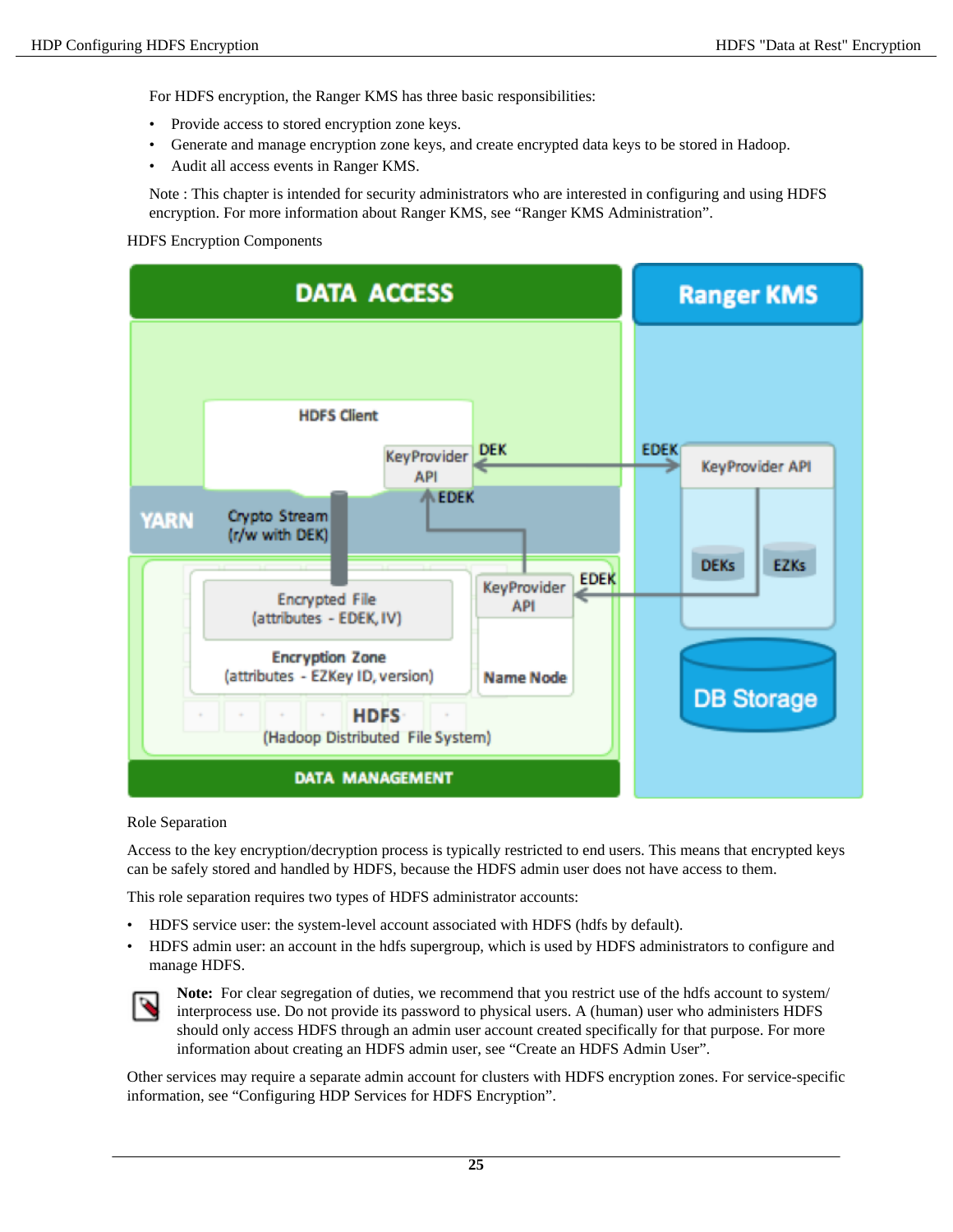For HDFS encryption, the Ranger KMS has three basic responsibilities:

- Provide access to stored encryption zone keys.
- Generate and manage encryption zone keys, and create encrypted data keys to be stored in Hadoop.
- Audit all access events in Ranger KMS.

Note : This chapter is intended for security administrators who are interested in configuring and using HDFS encryption. For more information about Ranger KMS, see "Ranger KMS Administration".

HDFS Encryption Components



#### Role Separation

Access to the key encryption/decryption process is typically restricted to end users. This means that encrypted keys can be safely stored and handled by HDFS, because the HDFS admin user does not have access to them.

This role separation requires two types of HDFS administrator accounts:

- HDFS service user: the system-level account associated with HDFS (hdfs by default).
- HDFS admin user: an account in the hdfs supergroup, which is used by HDFS administrators to configure and manage HDFS.



Note: For clear segregation of duties, we recommend that you restrict use of the hdfs account to system/ interprocess use. Do not provide its password to physical users. A (human) user who administers HDFS should only access HDFS through an admin user account created specifically for that purpose. For more information about creating an HDFS admin user, see "Create an HDFS Admin User".

Other services may require a separate admin account for clusters with HDFS encryption zones. For service-specific information, see "Configuring HDP Services for HDFS Encryption".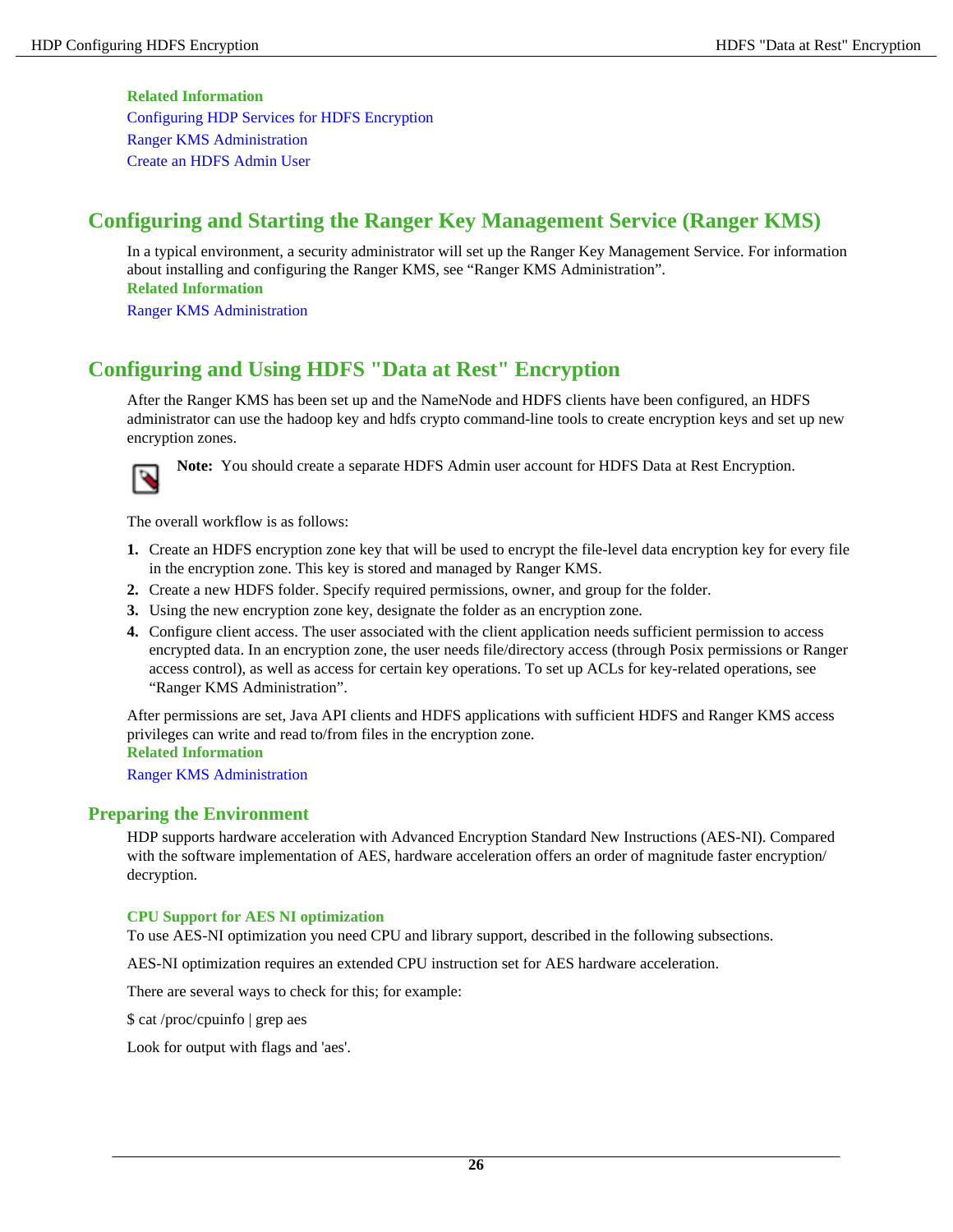#### **Related Information**

[Configuring HDP Services for HDFS Encryption](#page-32-0) [Ranger KMS Administration](#page-2-1) [Create an HDFS Admin User](#page-31-1)

# <span id="page-25-0"></span>**Configuring and Starting the Ranger Key Management Service (Ranger KMS)**

In a typical environment, a security administrator will set up the Ranger Key Management Service. For information about installing and configuring the Ranger KMS, see "Ranger KMS Administration". **Related Information**

[Ranger KMS Administration](#page-2-1)

# <span id="page-25-1"></span>**Configuring and Using HDFS "Data at Rest" Encryption**

After the Ranger KMS has been set up and the NameNode and HDFS clients have been configured, an HDFS administrator can use the hadoop key and hdfs crypto command-line tools to create encryption keys and set up new encryption zones.



**Note:** You should create a separate HDFS Admin user account for HDFS Data at Rest Encryption.

The overall workflow is as follows:

- **1.** Create an HDFS encryption zone key that will be used to encrypt the file-level data encryption key for every file in the encryption zone. This key is stored and managed by Ranger KMS.
- **2.** Create a new HDFS folder. Specify required permissions, owner, and group for the folder.
- **3.** Using the new encryption zone key, designate the folder as an encryption zone.
- **4.** Configure client access. The user associated with the client application needs sufficient permission to access encrypted data. In an encryption zone, the user needs file/directory access (through Posix permissions or Ranger access control), as well as access for certain key operations. To set up ACLs for key-related operations, see "Ranger KMS Administration".

After permissions are set, Java API clients and HDFS applications with sufficient HDFS and Ranger KMS access privileges can write and read to/from files in the encryption zone.

**Related Information**

[Ranger KMS Administration](#page-2-1)

# <span id="page-25-2"></span>**Preparing the Environment**

HDP supports hardware acceleration with Advanced Encryption Standard New Instructions (AES-NI). Compared with the software implementation of AES, hardware acceleration offers an order of magnitude faster encryption/ decryption.

#### **CPU Support for AES NI optimization**

To use AES-NI optimization you need CPU and library support, described in the following subsections.

AES-NI optimization requires an extended CPU instruction set for AES hardware acceleration.

There are several ways to check for this; for example:

\$ cat /proc/cpuinfo | grep aes

Look for output with flags and 'aes'.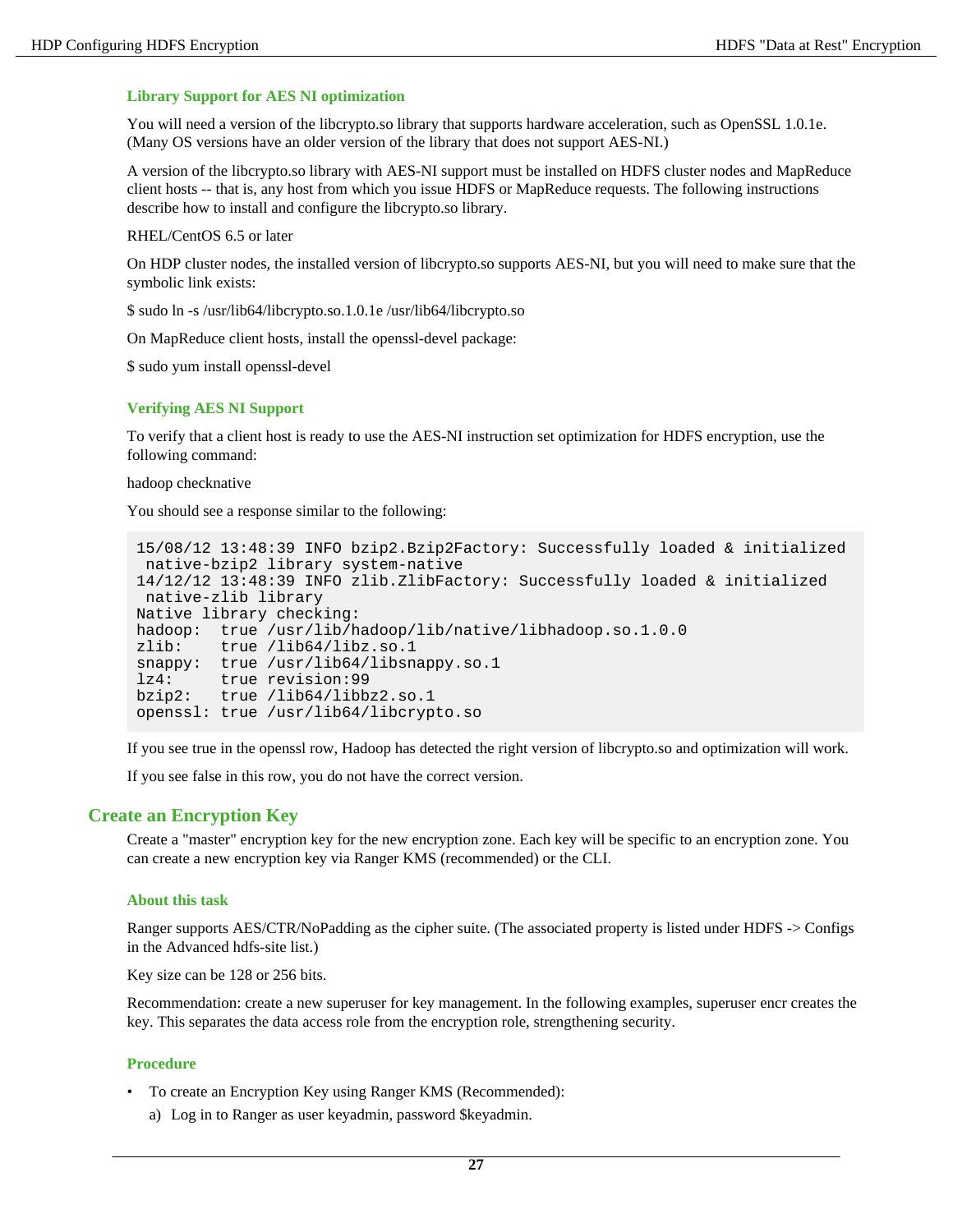#### **Library Support for AES NI optimization**

You will need a version of the libcrypto.so library that supports hardware acceleration, such as OpenSSL 1.0.1e. (Many OS versions have an older version of the library that does not support AES-NI.)

A version of the libcrypto.so library with AES-NI support must be installed on HDFS cluster nodes and MapReduce client hosts -- that is, any host from which you issue HDFS or MapReduce requests. The following instructions describe how to install and configure the libcrypto.so library.

RHEL/CentOS 6.5 or later

On HDP cluster nodes, the installed version of libcrypto.so supports AES-NI, but you will need to make sure that the symbolic link exists:

\$ sudo ln -s /usr/lib64/libcrypto.so.1.0.1e /usr/lib64/libcrypto.so

On MapReduce client hosts, install the openssl-devel package:

\$ sudo yum install openssl-devel

#### **Verifying AES NI Support**

To verify that a client host is ready to use the AES-NI instruction set optimization for HDFS encryption, use the following command:

hadoop checknative

You should see a response similar to the following:

```
15/08/12 13:48:39 INFO bzip2.Bzip2Factory: Successfully loaded & initialized
 native-bzip2 library system-native
14/12/12 13:48:39 INFO zlib.ZlibFactory: Successfully loaded & initialized
 native-zlib library
Native library checking:
hadoop: true /usr/lib/hadoop/lib/native/libhadoop.so.1.0.0
zlib: true /lib64/libz.so.1
snappy: true /usr/lib64/libsnappy.so.1
lz4: true revision:99<br>bzip2: true /lib64/libb
         true /lib64/libbz2.so.1
openssl: true /usr/lib64/libcrypto.so
```
If you see true in the openssl row, Hadoop has detected the right version of libcrypto.so and optimization will work.

If you see false in this row, you do not have the correct version.

#### <span id="page-26-0"></span>**Create an Encryption Key**

Create a "master" encryption key for the new encryption zone. Each key will be specific to an encryption zone. You can create a new encryption key via Ranger KMS (recommended) or the CLI.

#### **About this task**

Ranger supports AES/CTR/NoPadding as the cipher suite. (The associated property is listed under HDFS -> Configs in the Advanced hdfs-site list.)

Key size can be 128 or 256 bits.

Recommendation: create a new superuser for key management. In the following examples, superuser encr creates the key. This separates the data access role from the encryption role, strengthening security.

- To create an Encryption Key using Ranger KMS (Recommended):
	- a) Log in to Ranger as user keyadmin, password \$keyadmin.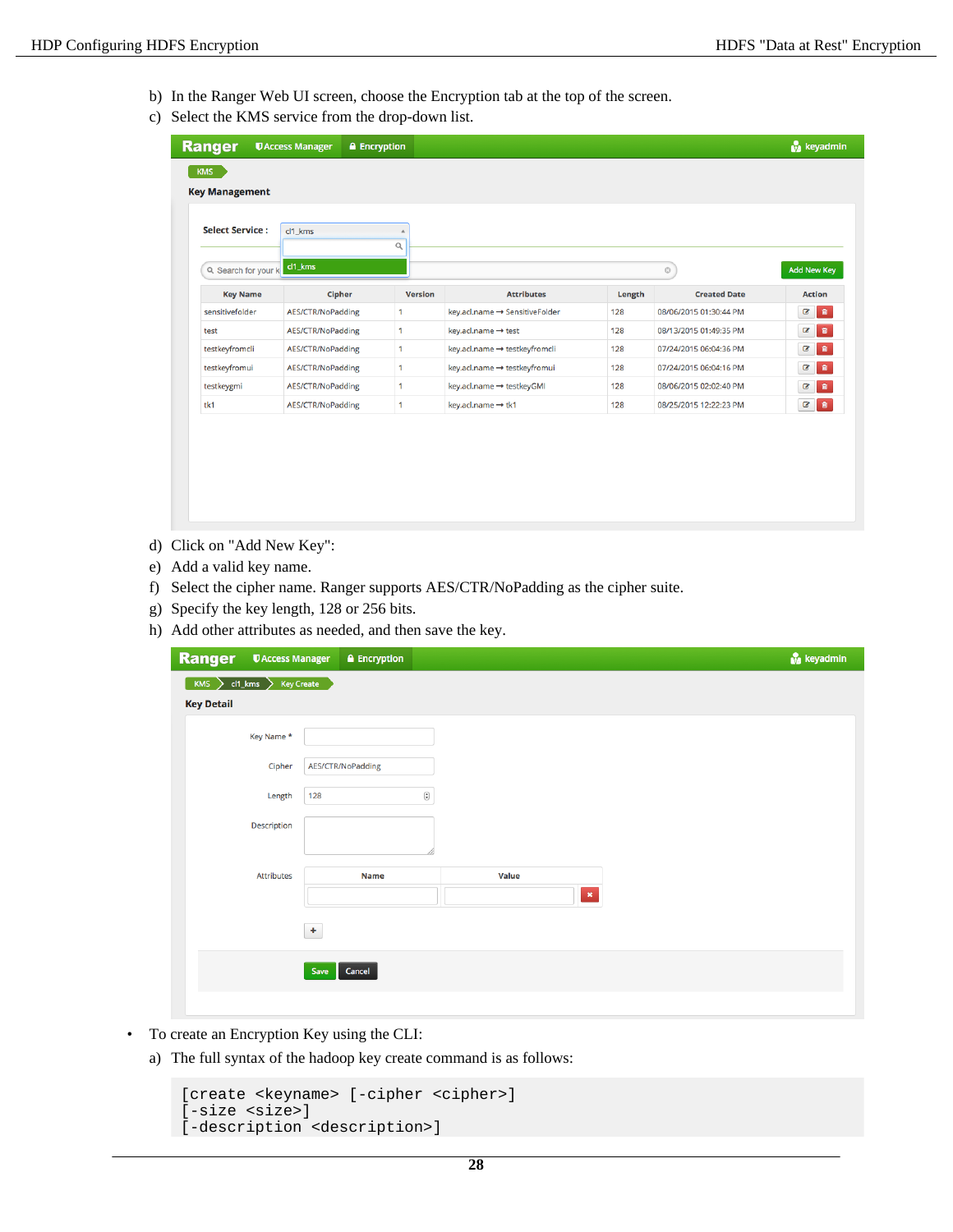- b) In the Ranger Web UI screen, choose the Encryption tab at the top of the screen.
- c) Select the KMS service from the drop-down list.

| <b>Ranger</b>          | <b>UAccess Manager</b>   | <b>A</b> Encryption |                                |        |                        | <b>M</b> keyadmin                          |
|------------------------|--------------------------|---------------------|--------------------------------|--------|------------------------|--------------------------------------------|
| <b>KMS</b>             |                          |                     |                                |        |                        |                                            |
| <b>Key Management</b>  |                          |                     |                                |        |                        |                                            |
| <b>Select Service:</b> | cl1 kms                  |                     |                                |        |                        |                                            |
|                        |                          | Q                   |                                |        |                        |                                            |
| Q Search for your k    | cl1_kms                  |                     |                                |        | $\odot$                | Add New Key                                |
| <b>Key Name</b>        | <b>Cipher</b>            | <b>Version</b>      | <b>Attributes</b>              | Length | <b>Created Date</b>    | <b>Action</b>                              |
| sensitivefolder        | AES/CTR/NoPadding        | 1                   | key.acl.name → SensitiveFolder | 128    | 08/06/2015 01:30:44 PM | $\bullet$<br>$\alpha$                      |
| test                   | AES/CTR/NoPadding        | 1                   | key.acl.name → test            | 128    | 08/13/2015 01:49:35 PM | $\bullet$<br>$\epsilon$                    |
| testkeyfromcli         | AES/CTR/NoPadding        | 1                   | key.acl.name → testkeyfromcli  | 128    | 07/24/2015 06:04:36 PM | $\bullet$<br>$\epsilon$                    |
| testkeyfromui          | <b>AES/CTR/NoPadding</b> | 1                   | key.acl.name → testkeyfromui   | 128    | 07/24/2015 06:04:16 PM | $\bullet$<br>$\mathbf{z}$                  |
| testkeygmi             | AES/CTR/NoPadding        | 1                   | key.acl.name → testkeyGMI      | 128    | 08/06/2015 02:02:40 PM | $\mathbf{B}$<br>$\textcolor{red}{\bullet}$ |
| tk1                    | AES/CTR/NoPadding        | 1                   | key.acl.name → tk1             | 128    | 08/25/2015 12:22:23 PM | $\bullet$<br>$\bullet$                     |
|                        |                          |                     |                                |        |                        |                                            |
|                        |                          |                     |                                |        |                        |                                            |
|                        |                          |                     |                                |        |                        |                                            |
|                        |                          |                     |                                |        |                        |                                            |

- d) Click on "Add New Key":
- e) Add a valid key name.
- f) Select the cipher name. Ranger supports AES/CTR/NoPadding as the cipher suite.
- g) Specify the key length, 128 or 256 bits.
- h) Add other attributes as needed, and then save the key.

| Ranger            | <b>U</b> Access Manager        |       | <b>A</b> Encryption |                                                              |       |              |  | keyadmin |
|-------------------|--------------------------------|-------|---------------------|--------------------------------------------------------------|-------|--------------|--|----------|
|                   | $KMS > cl1_{Kms} > Key Create$ |       |                     |                                                              |       |              |  |          |
| <b>Key Detail</b> |                                |       |                     |                                                              |       |              |  |          |
|                   | Key Name*                      |       |                     |                                                              |       |              |  |          |
|                   | Cipher                         |       | AES/CTR/NoPadding   |                                                              |       |              |  |          |
|                   | Length                         | 128   |                     | $\left(\begin{matrix} \bullet\\ \bullet \end{matrix}\right)$ |       |              |  |          |
|                   | Description                    |       |                     |                                                              |       |              |  |          |
|                   | <b>Attributes</b>              |       | <b>Name</b>         |                                                              | Value |              |  |          |
|                   |                                |       |                     |                                                              |       | $\mathbf{x}$ |  |          |
|                   |                                | $\pm$ |                     |                                                              |       |              |  |          |
|                   |                                | Save  | Cancel              |                                                              |       |              |  |          |
|                   |                                |       |                     |                                                              |       |              |  |          |

- To create an Encryption Key using the CLI:
	- a) The full syntax of the hadoop key create command is as follows:

```
[create <keyname> [-cipher <cipher>] 
[-size <size>] 
[-description <description>]
```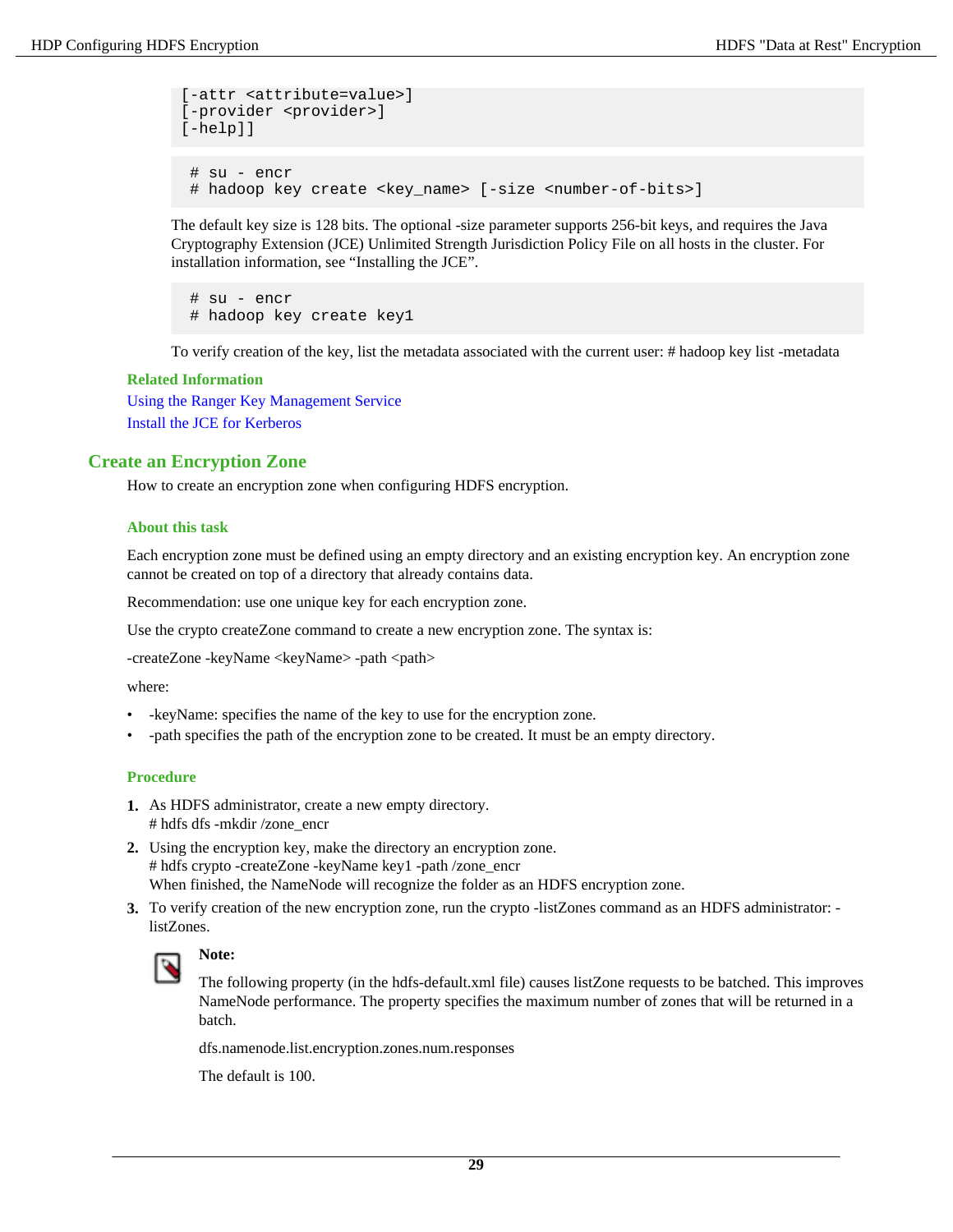```
[-attr <attribute=value>] 
[-provider <provider>] 
[-help]]
  # su - encr
```
# hadoop key create <key\_name> [-size <number-of-bits>]

The default key size is 128 bits. The optional -size parameter supports 256-bit keys, and requires the Java Cryptography Extension (JCE) Unlimited Strength Jurisdiction Policy File on all hosts in the cluster. For installation information, see "Installing the JCE".

 # su - encr # hadoop key create key1

To verify creation of the key, list the metadata associated with the current user: # hadoop key list -metadata

#### **Related Information**

[Using the Ranger Key Management Service](#page-15-0) Install the JCE for Kerberos

#### <span id="page-28-0"></span>**Create an Encryption Zone**

How to create an encryption zone when configuring HDFS encryption.

#### **About this task**

Each encryption zone must be defined using an empty directory and an existing encryption key. An encryption zone cannot be created on top of a directory that already contains data.

Recommendation: use one unique key for each encryption zone.

Use the crypto createZone command to create a new encryption zone. The syntax is:

-createZone -keyName <keyName> -path <path>

where:

- -keyName: specifies the name of the key to use for the encryption zone.
- -path specifies the path of the encryption zone to be created. It must be an empty directory.

#### **Procedure**

- **1.** As HDFS administrator, create a new empty directory. # hdfs dfs -mkdir /zone\_encr
- **2.** Using the encryption key, make the directory an encryption zone. # hdfs crypto -createZone -keyName key1 -path /zone\_encr When finished, the NameNode will recognize the folder as an HDFS encryption zone.
- **3.** To verify creation of the new encryption zone, run the crypto -listZones command as an HDFS administrator: listZones.



# **Note:**

The following property (in the hdfs-default.xml file) causes listZone requests to be batched. This improves NameNode performance. The property specifies the maximum number of zones that will be returned in a batch.

dfs.namenode.list.encryption.zones.num.responses

The default is 100.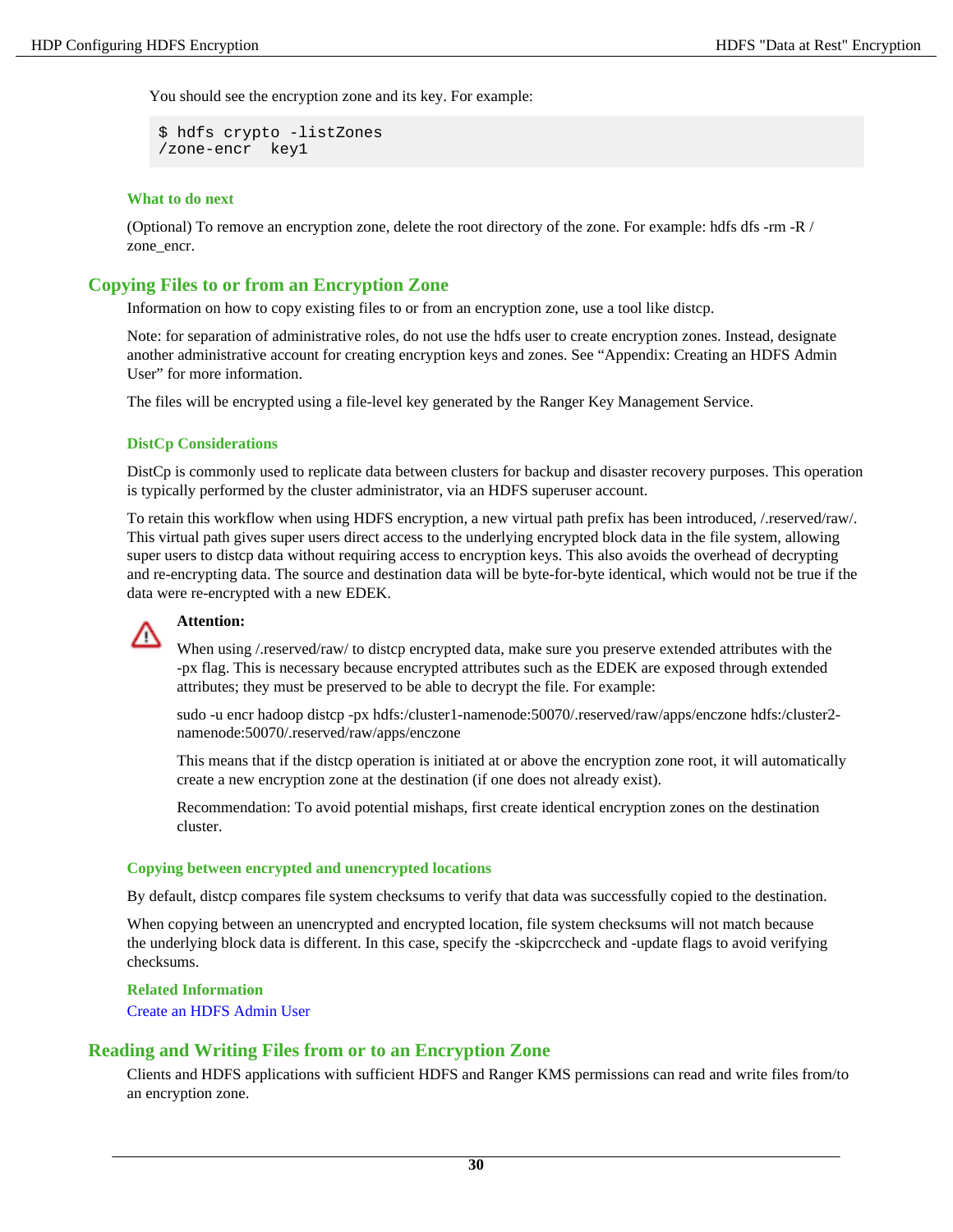You should see the encryption zone and its key. For example:

```
$ hdfs crypto -listZones 
/zone-encr key1
```
#### **What to do next**

(Optional) To remove an encryption zone, delete the root directory of the zone. For example: hdfs dfs -rm -R / zone\_encr.

### <span id="page-29-0"></span>**Copying Files to or from an Encryption Zone**

Information on how to copy existing files to or from an encryption zone, use a tool like distcp.

Note: for separation of administrative roles, do not use the hdfs user to create encryption zones. Instead, designate another administrative account for creating encryption keys and zones. See "Appendix: Creating an HDFS Admin User" for more information.

The files will be encrypted using a file-level key generated by the Ranger Key Management Service.

#### **DistCp Considerations**

DistCp is commonly used to replicate data between clusters for backup and disaster recovery purposes. This operation is typically performed by the cluster administrator, via an HDFS superuser account.

To retain this workflow when using HDFS encryption, a new virtual path prefix has been introduced, /.reserved/raw/. This virtual path gives super users direct access to the underlying encrypted block data in the file system, allowing super users to distcp data without requiring access to encryption keys. This also avoids the overhead of decrypting and re-encrypting data. The source and destination data will be byte-for-byte identical, which would not be true if the data were re-encrypted with a new EDEK.

#### **Attention:**

When using /.reserved/raw/ to distep encrypted data, make sure you preserve extended attributes with the -px flag. This is necessary because encrypted attributes such as the EDEK are exposed through extended attributes; they must be preserved to be able to decrypt the file. For example:

sudo -u encr hadoop distcp -px hdfs:/cluster1-namenode:50070/.reserved/raw/apps/enczone hdfs:/cluster2 namenode:50070/.reserved/raw/apps/enczone

This means that if the distcp operation is initiated at or above the encryption zone root, it will automatically create a new encryption zone at the destination (if one does not already exist).

Recommendation: To avoid potential mishaps, first create identical encryption zones on the destination cluster.

#### **Copying between encrypted and unencrypted locations**

By default, distcp compares file system checksums to verify that data was successfully copied to the destination.

When copying between an unencrypted and encrypted location, file system checksums will not match because the underlying block data is different. In this case, specify the -skipcrccheck and -update flags to avoid verifying checksums.

#### **Related Information**

[Create an HDFS Admin User](#page-31-1)

#### <span id="page-29-1"></span>**Reading and Writing Files from or to an Encryption Zone**

Clients and HDFS applications with sufficient HDFS and Ranger KMS permissions can read and write files from/to an encryption zone.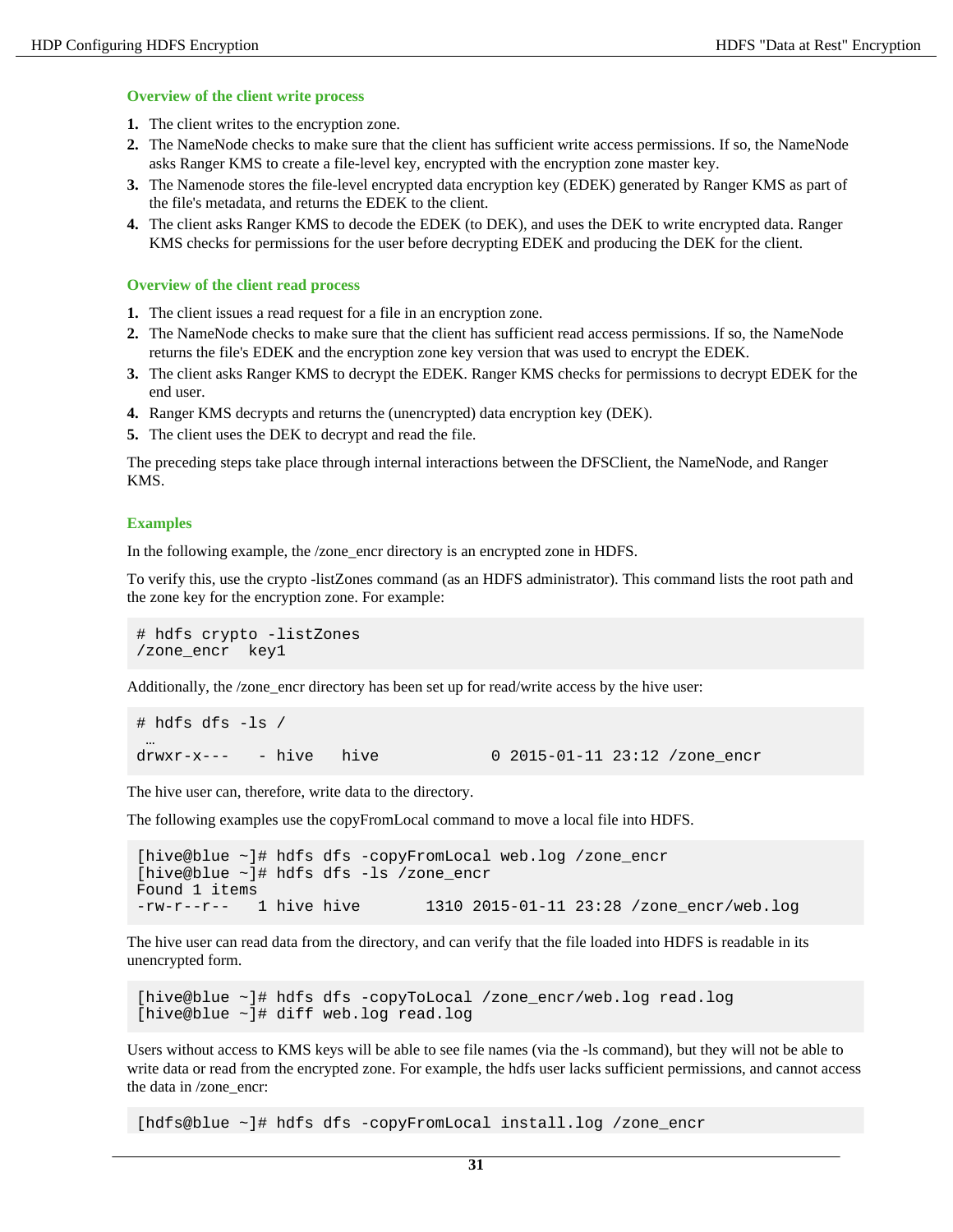#### **Overview of the client write process**

- **1.** The client writes to the encryption zone.
- **2.** The NameNode checks to make sure that the client has sufficient write access permissions. If so, the NameNode asks Ranger KMS to create a file-level key, encrypted with the encryption zone master key.
- **3.** The Namenode stores the file-level encrypted data encryption key (EDEK) generated by Ranger KMS as part of the file's metadata, and returns the EDEK to the client.
- **4.** The client asks Ranger KMS to decode the EDEK (to DEK), and uses the DEK to write encrypted data. Ranger KMS checks for permissions for the user before decrypting EDEK and producing the DEK for the client.

#### **Overview of the client read process**

- **1.** The client issues a read request for a file in an encryption zone.
- **2.** The NameNode checks to make sure that the client has sufficient read access permissions. If so, the NameNode returns the file's EDEK and the encryption zone key version that was used to encrypt the EDEK.
- **3.** The client asks Ranger KMS to decrypt the EDEK. Ranger KMS checks for permissions to decrypt EDEK for the end user.
- **4.** Ranger KMS decrypts and returns the (unencrypted) data encryption key (DEK).
- **5.** The client uses the DEK to decrypt and read the file.

The preceding steps take place through internal interactions between the DFSClient, the NameNode, and Ranger KMS.

#### **Examples**

In the following example, the /zone\_encr directory is an encrypted zone in HDFS.

To verify this, use the crypto -listZones command (as an HDFS administrator). This command lists the root path and the zone key for the encryption zone. For example:

```
# hdfs crypto -listZones
/zone_encr key1
```
Additionally, the /zone\_encr directory has been set up for read/write access by the hive user:

```
# hdfs dfs -ls /
drwxr-x---- hive hive 0 2015-01-11 23:12 /zone encr
```
The hive user can, therefore, write data to the directory.

The following examples use the copyFromLocal command to move a local file into HDFS.

```
[hive@blue ~]# hdfs dfs -copyFromLocal web.log /zone_encr
[hive@blue ~]# hdfs dfs -ls /zone_encr
Found 1 items
-rw-r--r-- 1 hive hive 1310 2015-01-11 23:28 /zone_encr/web.log
```
The hive user can read data from the directory, and can verify that the file loaded into HDFS is readable in its unencrypted form.

[hive@blue ~]# hdfs dfs -copyToLocal /zone\_encr/web.log read.log [hive@blue ~]# diff web.log read.log

Users without access to KMS keys will be able to see file names (via the -ls command), but they will not be able to write data or read from the encrypted zone. For example, the hdfs user lacks sufficient permissions, and cannot access the data in /zone\_encr:

[hdfs@blue ~]# hdfs dfs -copyFromLocal install.log /zone\_encr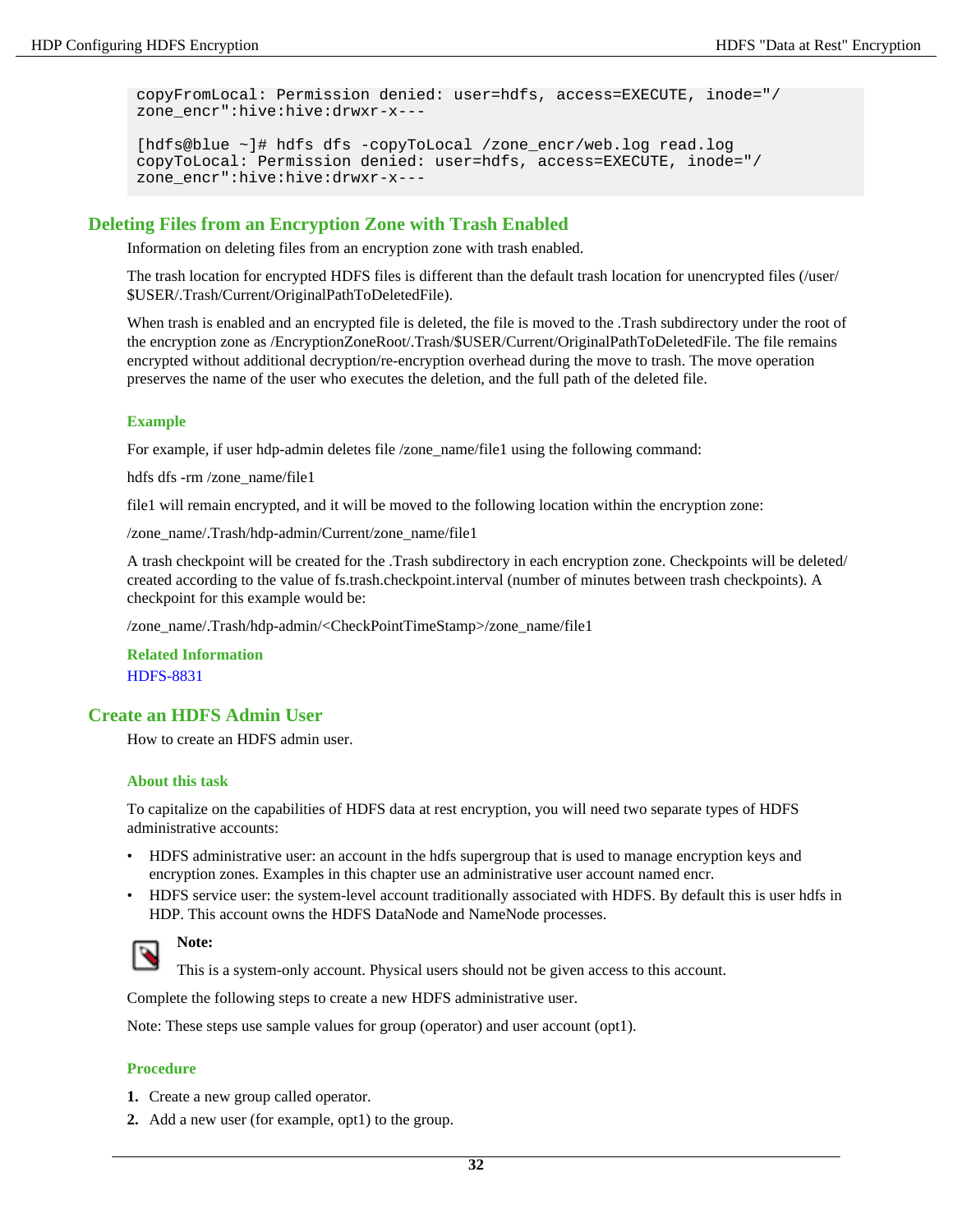```
copyFromLocal: Permission denied: user=hdfs, access=EXECUTE, inode="/
zone_encr":hive:hive:drwxr-x---
```

```
[hdfs@blue ~]# hdfs dfs -copyToLocal /zone_encr/web.log read.log
copyToLocal: Permission denied: user=hdfs, access=EXECUTE, inode="/
zone encr":hive:hive:drwxr-x---
```
# <span id="page-31-0"></span>**Deleting Files from an Encryption Zone with Trash Enabled**

Information on deleting files from an encryption zone with trash enabled.

The trash location for encrypted HDFS files is different than the default trash location for unencrypted files (/user/ \$USER/.Trash/Current/OriginalPathToDeletedFile).

When trash is enabled and an encrypted file is deleted, the file is moved to the .Trash subdirectory under the root of the encryption zone as /EncryptionZoneRoot/.Trash/\$USER/Current/OriginalPathToDeletedFile. The file remains encrypted without additional decryption/re-encryption overhead during the move to trash. The move operation preserves the name of the user who executes the deletion, and the full path of the deleted file.

#### **Example**

For example, if user hdp-admin deletes file /zone\_name/file1 using the following command:

hdfs dfs -rm /zone\_name/file1

file1 will remain encrypted, and it will be moved to the following location within the encryption zone:

/zone\_name/.Trash/hdp-admin/Current/zone\_name/file1

A trash checkpoint will be created for the .Trash subdirectory in each encryption zone. Checkpoints will be deleted/ created according to the value of fs.trash.checkpoint.interval (number of minutes between trash checkpoints). A checkpoint for this example would be:

/zone\_name/.Trash/hdp-admin/<CheckPointTimeStamp>/zone\_name/file1

**Related Information** [HDFS-8831](https://issues.apache.org/jira/browse/HDFS-8831)

## <span id="page-31-1"></span>**Create an HDFS Admin User**

How to create an HDFS admin user.

#### **About this task**

To capitalize on the capabilities of HDFS data at rest encryption, you will need two separate types of HDFS administrative accounts:

- HDFS administrative user: an account in the hdfs supergroup that is used to manage encryption keys and encryption zones. Examples in this chapter use an administrative user account named encr.
- HDFS service user: the system-level account traditionally associated with HDFS. By default this is user hdfs in HDP. This account owns the HDFS DataNode and NameNode processes.



# **Note:**

This is a system-only account. Physical users should not be given access to this account.

Complete the following steps to create a new HDFS administrative user.

Note: These steps use sample values for group (operator) and user account (opt1).

- **1.** Create a new group called operator.
- **2.** Add a new user (for example, opt1) to the group.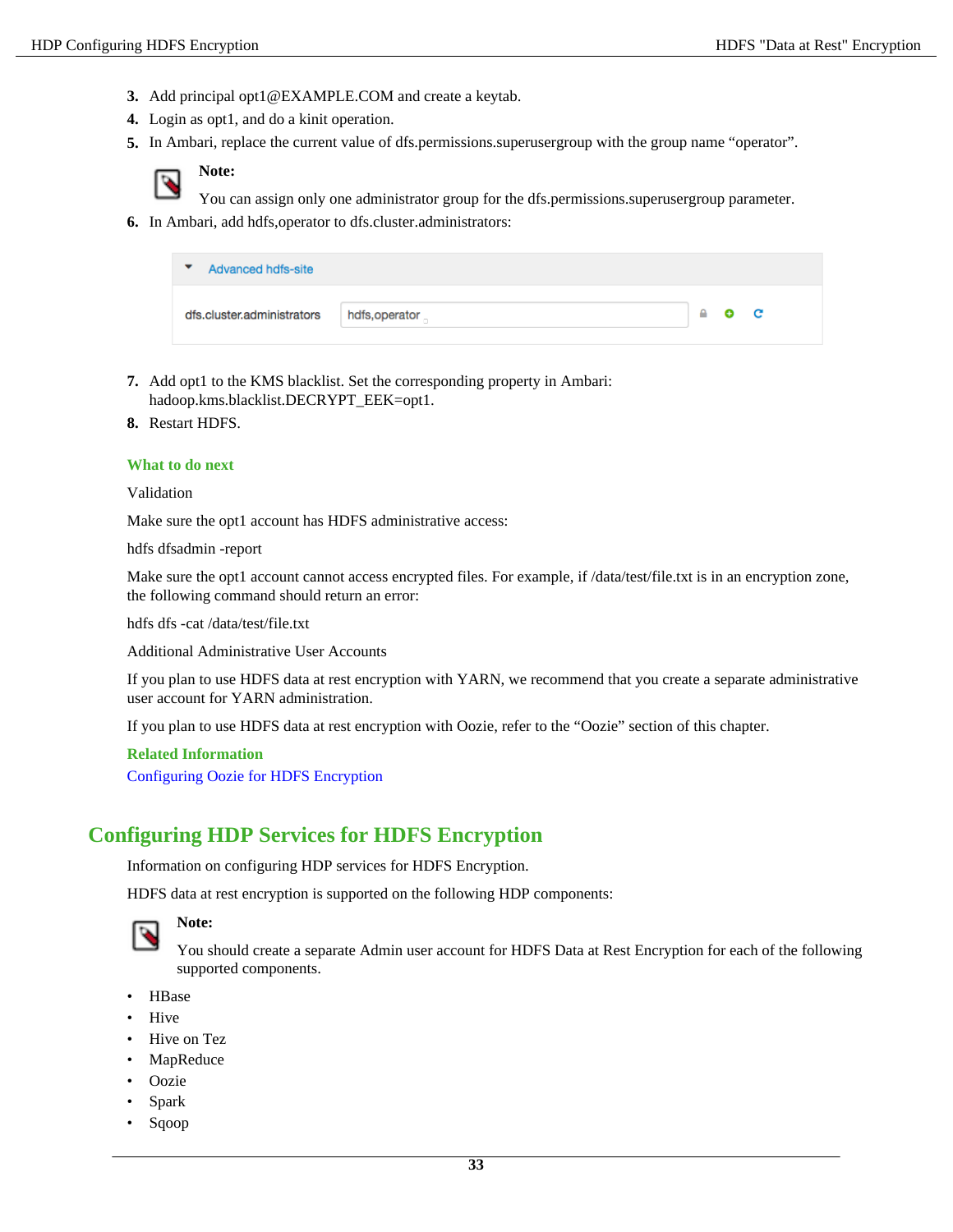- **3.** Add principal opt1@EXAMPLE.COM and create a keytab.
- **4.** Login as opt1, and do a kinit operation.
- **5.** In Ambari, replace the current value of dfs.permissions.superusergroup with the group name "operator".



You can assign only one administrator group for the dfs.permissions.superusergroup parameter.

**6.** In Ambari, add hdfs,operator to dfs.cluster.administrators:

| Advanced hdfs-site<br>▼    |                |                             |  |
|----------------------------|----------------|-----------------------------|--|
| dfs.cluster.administrators | hdfs, operator | $\bullet$ $\bullet$ $\circ$ |  |

- **7.** Add opt1 to the KMS blacklist. Set the corresponding property in Ambari: hadoop.kms.blacklist.DECRYPT\_EEK=opt1.
- **8.** Restart HDFS.

#### **What to do next**

Validation

Make sure the opt1 account has HDFS administrative access:

hdfs dfsadmin -report

Make sure the opt1 account cannot access encrypted files. For example, if  $\frac{\text{data}}{\text{test}}$ : txt is in an encryption zone, the following command should return an error:

hdfs dfs -cat /data/test/file.txt

Additional Administrative User Accounts

If you plan to use HDFS data at rest encryption with YARN, we recommend that you create a separate administrative user account for YARN administration.

If you plan to use HDFS data at rest encryption with Oozie, refer to the "Oozie" section of this chapter.

#### **Related Information**

[Configuring Oozie for HDFS Encryption](#page-36-1)

# <span id="page-32-0"></span>**Configuring HDP Services for HDFS Encryption**

Information on configuring HDP services for HDFS Encryption.

HDFS data at rest encryption is supported on the following HDP components:



# **Note:**

You should create a separate Admin user account for HDFS Data at Rest Encryption for each of the following supported components.

- HBase
- Hive
- Hive on Tez
- **MapReduce**
- Oozie
- Spark
- Sqoop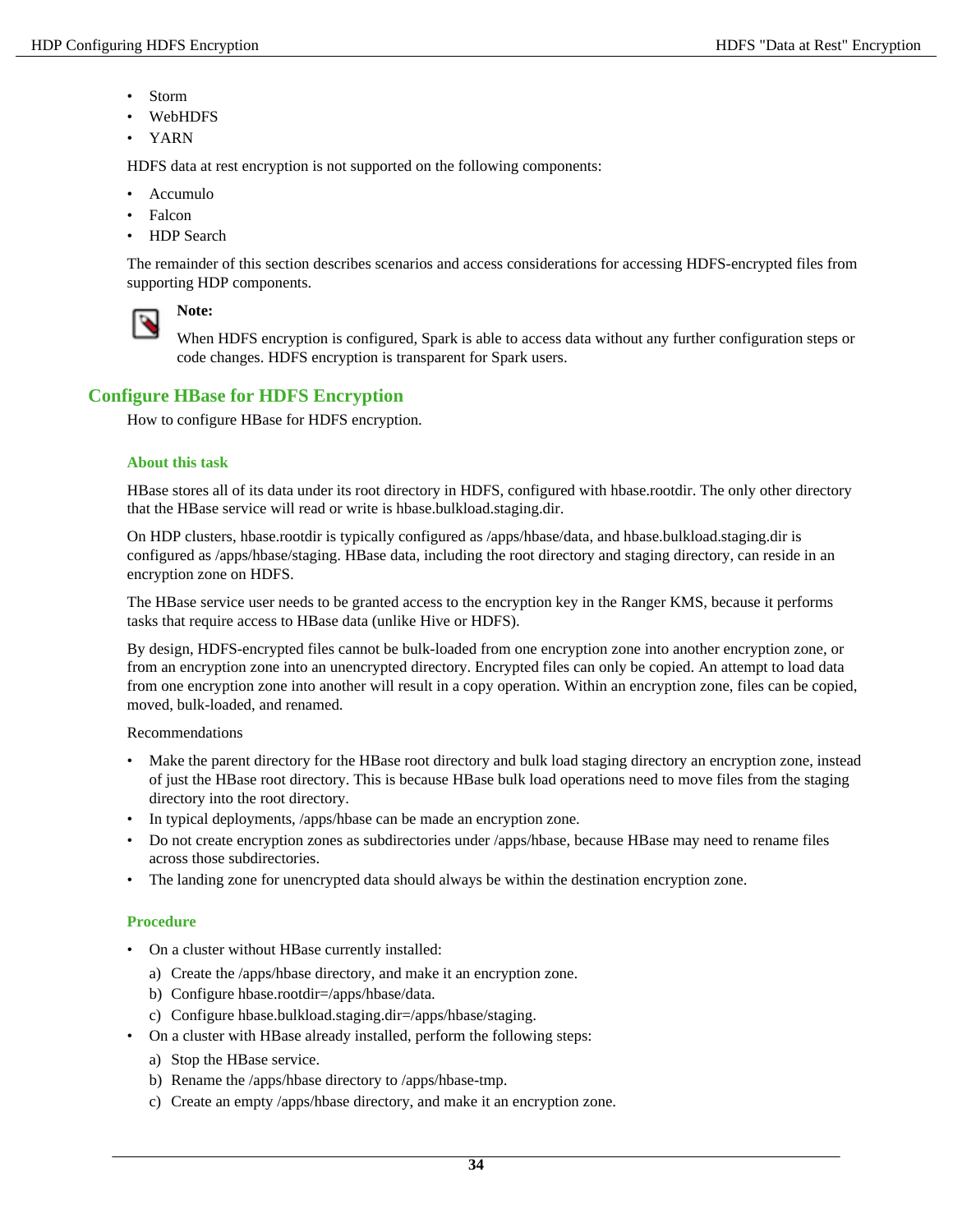- Storm
- WebHDFS
- YARN

HDFS data at rest encryption is not supported on the following components:

- Accumulo
- **Falcon**
- HDP Search

The remainder of this section describes scenarios and access considerations for accessing HDFS-encrypted files from supporting HDP components.



**Note:**

When HDFS encryption is configured, Spark is able to access data without any further configuration steps or code changes. HDFS encryption is transparent for Spark users.

# <span id="page-33-0"></span>**Configure HBase for HDFS Encryption**

How to configure HBase for HDFS encryption.

#### **About this task**

HBase stores all of its data under its root directory in HDFS, configured with hbase.rootdir. The only other directory that the HBase service will read or write is hbase.bulkload.staging.dir.

On HDP clusters, hbase.rootdir is typically configured as /apps/hbase/data, and hbase.bulkload.staging.dir is configured as /apps/hbase/staging. HBase data, including the root directory and staging directory, can reside in an encryption zone on HDFS.

The HBase service user needs to be granted access to the encryption key in the Ranger KMS, because it performs tasks that require access to HBase data (unlike Hive or HDFS).

By design, HDFS-encrypted files cannot be bulk-loaded from one encryption zone into another encryption zone, or from an encryption zone into an unencrypted directory. Encrypted files can only be copied. An attempt to load data from one encryption zone into another will result in a copy operation. Within an encryption zone, files can be copied, moved, bulk-loaded, and renamed.

Recommendations

- Make the parent directory for the HBase root directory and bulk load staging directory an encryption zone, instead of just the HBase root directory. This is because HBase bulk load operations need to move files from the staging directory into the root directory.
- In typical deployments, /apps/hbase can be made an encryption zone.
- Do not create encryption zones as subdirectories under /apps/hbase, because HBase may need to rename files across those subdirectories.
- The landing zone for unencrypted data should always be within the destination encryption zone.

- On a cluster without HBase currently installed:
	- a) Create the /apps/hbase directory, and make it an encryption zone.
	- b) Configure hbase.rootdir=/apps/hbase/data.
	- c) Configure hbase.bulkload.staging.dir=/apps/hbase/staging.
- On a cluster with HBase already installed, perform the following steps:
	- a) Stop the HBase service.
	- b) Rename the /apps/hbase directory to /apps/hbase-tmp.
	- c) Create an empty /apps/hbase directory, and make it an encryption zone.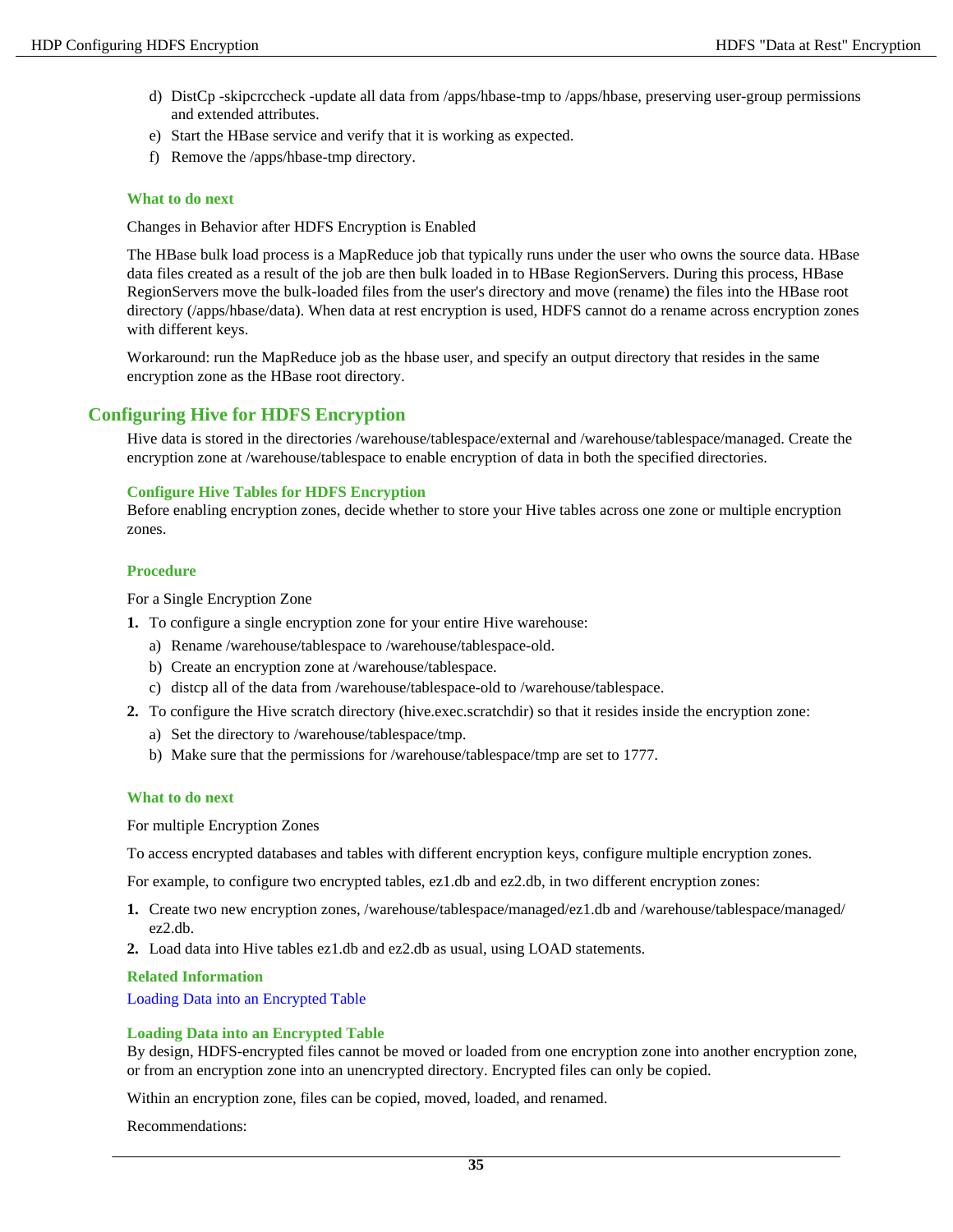- d) DistCp -skipcrccheck -update all data from /apps/hbase-tmp to /apps/hbase, preserving user-group permissions and extended attributes.
- e) Start the HBase service and verify that it is working as expected.
- f) Remove the /apps/hbase-tmp directory.

#### **What to do next**

Changes in Behavior after HDFS Encryption is Enabled

The HBase bulk load process is a MapReduce job that typically runs under the user who owns the source data. HBase data files created as a result of the job are then bulk loaded in to HBase RegionServers. During this process, HBase RegionServers move the bulk-loaded files from the user's directory and move (rename) the files into the HBase root directory (/apps/hbase/data). When data at rest encryption is used, HDFS cannot do a rename across encryption zones with different keys.

Workaround: run the MapReduce job as the hbase user, and specify an output directory that resides in the same encryption zone as the HBase root directory.

## <span id="page-34-0"></span>**Configuring Hive for HDFS Encryption**

Hive data is stored in the directories /warehouse/tablespace/external and /warehouse/tablespace/managed. Create the encryption zone at /warehouse/tablespace to enable encryption of data in both the specified directories.

#### **Configure Hive Tables for HDFS Encryption**

Before enabling encryption zones, decide whether to store your Hive tables across one zone or multiple encryption zones.

#### **Procedure**

For a Single Encryption Zone

- **1.** To configure a single encryption zone for your entire Hive warehouse:
	- a) Rename /warehouse/tablespace to /warehouse/tablespace-old.
	- b) Create an encryption zone at /warehouse/tablespace.
	- c) distcp all of the data from /warehouse/tablespace-old to /warehouse/tablespace.
- **2.** To configure the Hive scratch directory (hive.exec.scratchdir) so that it resides inside the encryption zone:
	- a) Set the directory to /warehouse/tablespace/tmp.
	- b) Make sure that the permissions for /warehouse/tablespace/tmp are set to 1777.

#### **What to do next**

For multiple Encryption Zones

To access encrypted databases and tables with different encryption keys, configure multiple encryption zones.

For example, to configure two encrypted tables, ez1.db and ez2.db, in two different encryption zones:

- **1.** Create two new encryption zones, /warehouse/tablespace/managed/ez1.db and /warehouse/tablespace/managed/ ez2.db.
- **2.** Load data into Hive tables ez1.db and ez2.db as usual, using LOAD statements.

**Related Information**

[Loading Data into an Encrypted Table](#page-34-1)

#### <span id="page-34-1"></span>**Loading Data into an Encrypted Table**

By design, HDFS-encrypted files cannot be moved or loaded from one encryption zone into another encryption zone, or from an encryption zone into an unencrypted directory. Encrypted files can only be copied.

Within an encryption zone, files can be copied, moved, loaded, and renamed.

Recommendations: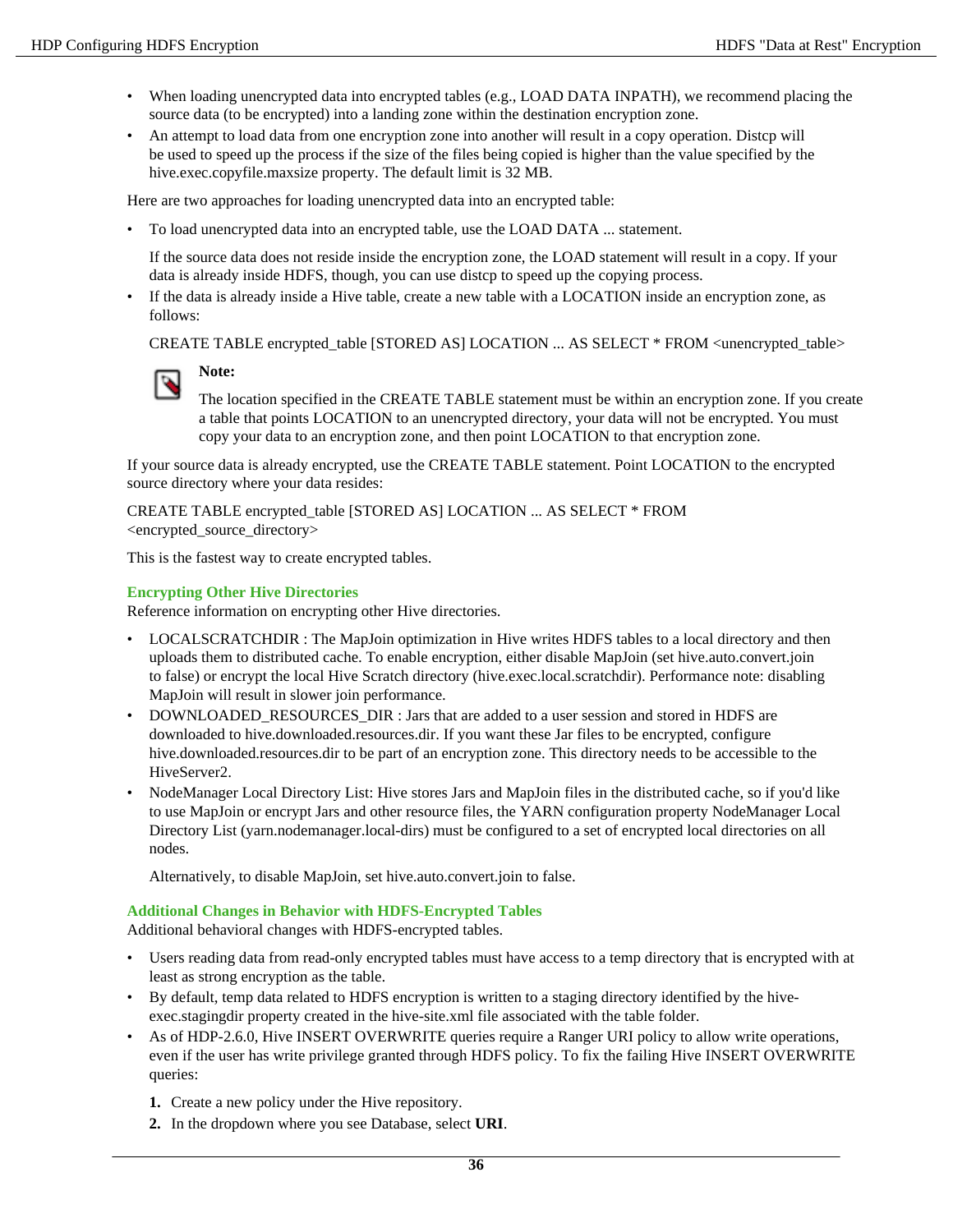- When loading unencrypted data into encrypted tables (e.g., LOAD DATA INPATH), we recommend placing the source data (to be encrypted) into a landing zone within the destination encryption zone.
- An attempt to load data from one encryption zone into another will result in a copy operation. Distcp will be used to speed up the process if the size of the files being copied is higher than the value specified by the hive.exec.copyfile.maxsize property. The default limit is 32 MB.

Here are two approaches for loading unencrypted data into an encrypted table:

• To load unencrypted data into an encrypted table, use the LOAD DATA ... statement.

If the source data does not reside inside the encryption zone, the LOAD statement will result in a copy. If your data is already inside HDFS, though, you can use distcp to speed up the copying process.

• If the data is already inside a Hive table, create a new table with a LOCATION inside an encryption zone, as follows:

CREATE TABLE encrypted\_table [STORED AS] LOCATION ... AS SELECT \* FROM <unencrypted\_table>

**Note:**

The location specified in the CREATE TABLE statement must be within an encryption zone. If you create a table that points LOCATION to an unencrypted directory, your data will not be encrypted. You must copy your data to an encryption zone, and then point LOCATION to that encryption zone.

If your source data is already encrypted, use the CREATE TABLE statement. Point LOCATION to the encrypted source directory where your data resides:

CREATE TABLE encrypted\_table [STORED AS] LOCATION ... AS SELECT \* FROM <encrypted\_source\_directory>

This is the fastest way to create encrypted tables.

#### **Encrypting Other Hive Directories**

Reference information on encrypting other Hive directories.

- LOCALSCRATCHDIR : The MapJoin optimization in Hive writes HDFS tables to a local directory and then uploads them to distributed cache. To enable encryption, either disable MapJoin (set hive.auto.convert.join to false) or encrypt the local Hive Scratch directory (hive.exec.local.scratchdir). Performance note: disabling MapJoin will result in slower join performance.
- DOWNLOADED\_RESOURCES\_DIR : Jars that are added to a user session and stored in HDFS are downloaded to hive.downloaded.resources.dir. If you want these Jar files to be encrypted, configure hive.downloaded.resources.dir to be part of an encryption zone. This directory needs to be accessible to the HiveServer2.
- NodeManager Local Directory List: Hive stores Jars and MapJoin files in the distributed cache, so if you'd like to use MapJoin or encrypt Jars and other resource files, the YARN configuration property NodeManager Local Directory List (yarn.nodemanager.local-dirs) must be configured to a set of encrypted local directories on all nodes.

Alternatively, to disable MapJoin, set hive.auto.convert.join to false.

#### **Additional Changes in Behavior with HDFS-Encrypted Tables**

Additional behavioral changes with HDFS-encrypted tables.

- Users reading data from read-only encrypted tables must have access to a temp directory that is encrypted with at least as strong encryption as the table.
- By default, temp data related to HDFS encryption is written to a staging directory identified by the hiveexec.stagingdir property created in the hive-site.xml file associated with the table folder.
- As of HDP-2.6.0, Hive INSERT OVERWRITE queries require a Ranger URI policy to allow write operations, even if the user has write privilege granted through HDFS policy. To fix the failing Hive INSERT OVERWRITE queries:
	- **1.** Create a new policy under the Hive repository.
	- **2.** In the dropdown where you see Database, select **URI**.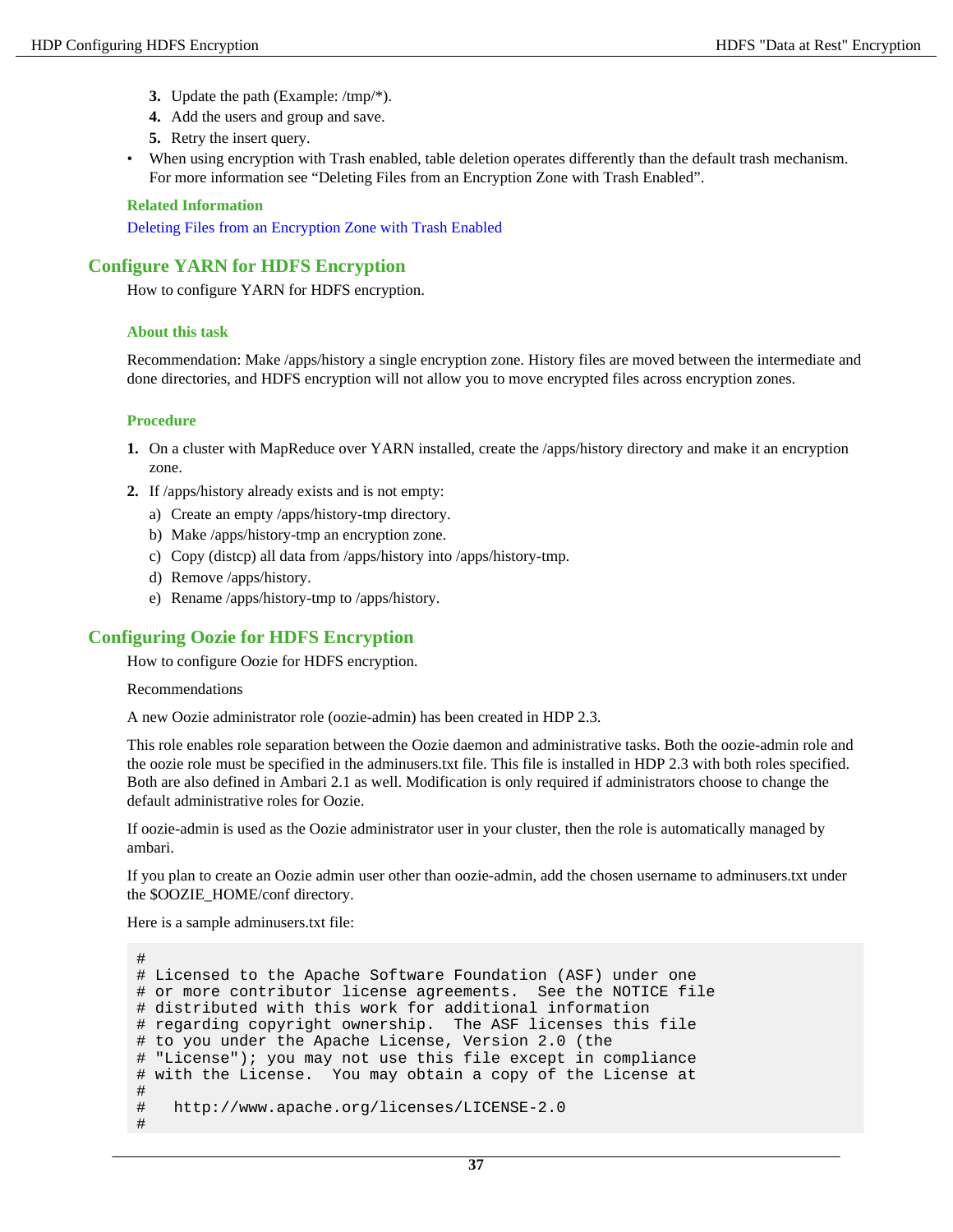- **3.** Update the path (Example: /tmp/\*).
- **4.** Add the users and group and save.
- **5.** Retry the insert query.
- When using encryption with Trash enabled, table deletion operates differently than the default trash mechanism. For more information see "Deleting Files from an Encryption Zone with Trash Enabled".

#### **Related Information**

[Deleting Files from an Encryption Zone with Trash Enabled](#page-31-0)

## <span id="page-36-0"></span>**Configure YARN for HDFS Encryption**

How to configure YARN for HDFS encryption.

#### **About this task**

Recommendation: Make /apps/history a single encryption zone. History files are moved between the intermediate and done directories, and HDFS encryption will not allow you to move encrypted files across encryption zones.

#### **Procedure**

- **1.** On a cluster with MapReduce over YARN installed, create the /apps/history directory and make it an encryption zone.
- **2.** If /apps/history already exists and is not empty:
	- a) Create an empty /apps/history-tmp directory.
	- b) Make /apps/history-tmp an encryption zone.
	- c) Copy (distcp) all data from /apps/history into /apps/history-tmp.
	- d) Remove /apps/history.
	- e) Rename /apps/history-tmp to /apps/history.

## <span id="page-36-1"></span>**Configuring Oozie for HDFS Encryption**

How to configure Oozie for HDFS encryption.

Recommendations

A new Oozie administrator role (oozie-admin) has been created in HDP 2.3.

This role enables role separation between the Oozie daemon and administrative tasks. Both the oozie-admin role and the oozie role must be specified in the adminusers.txt file. This file is installed in HDP 2.3 with both roles specified. Both are also defined in Ambari 2.1 as well. Modification is only required if administrators choose to change the default administrative roles for Oozie.

If oozie-admin is used as the Oozie administrator user in your cluster, then the role is automatically managed by ambari.

If you plan to create an Oozie admin user other than oozie-admin, add the chosen username to adminusers.txt under the \$OOZIE\_HOME/conf directory.

Here is a sample adminusers.txt file:

```
#
# Licensed to the Apache Software Foundation (ASF) under one
# or more contributor license agreements. See the NOTICE file
# distributed with this work for additional information
# regarding copyright ownership. The ASF licenses this file
# to you under the Apache License, Version 2.0 (the
# "License"); you may not use this file except in compliance
# with the License. You may obtain a copy of the License at
#
# http://www.apache.org/licenses/LICENSE-2.0
#
```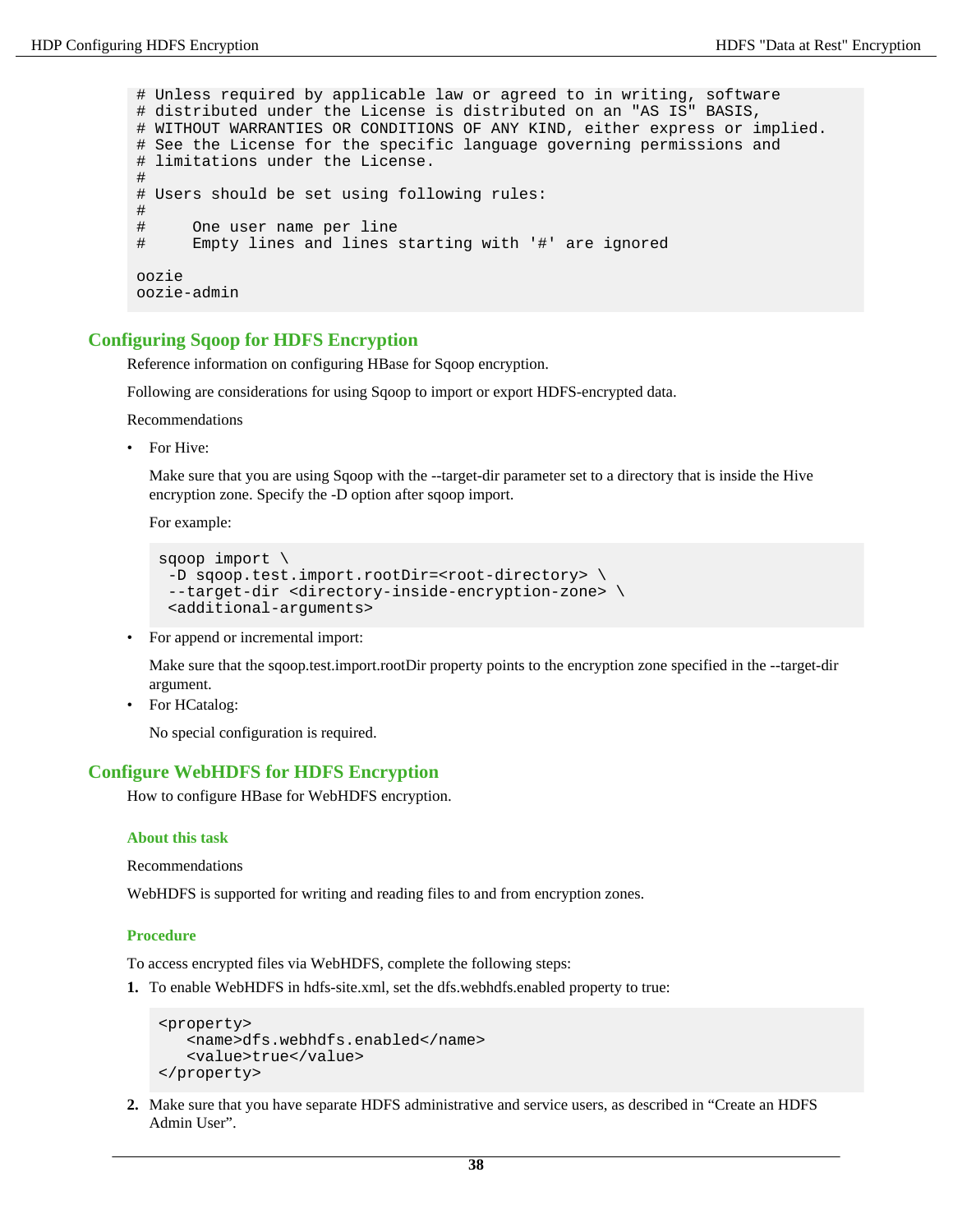# Unless required by applicable law or agreed to in writing, software # distributed under the License is distributed on an "AS IS" BASIS, # WITHOUT WARRANTIES OR CONDITIONS OF ANY KIND, either express or implied. # See the License for the specific language governing permissions and # limitations under the License. # # Users should be set using following rules: # # One user name per line Empty lines and lines starting with '#' are ignored oozie oozie-admin

# <span id="page-37-0"></span>**Configuring Sqoop for HDFS Encryption**

Reference information on configuring HBase for Sqoop encryption.

Following are considerations for using Sqoop to import or export HDFS-encrypted data.

Recommendations

• For Hive:

Make sure that you are using Sqoop with the --target-dir parameter set to a directory that is inside the Hive encryption zone. Specify the -D option after sqoop import.

For example:

```
sqoop import \ 
 -D sqoop.test.import.rootDir=<root-directory> \ 
 --target-dir <directory-inside-encryption-zone> \ 
 <additional-arguments>
```
For append or incremental import:

Make sure that the sqoop.test.import.rootDir property points to the encryption zone specified in the --target-dir argument.

• For HCatalog:

No special configuration is required.

#### <span id="page-37-1"></span>**Configure WebHDFS for HDFS Encryption**

How to configure HBase for WebHDFS encryption.

#### **About this task**

Recommendations

WebHDFS is supported for writing and reading files to and from encryption zones.

#### **Procedure**

To access encrypted files via WebHDFS, complete the following steps:

**1.** To enable WebHDFS in hdfs-site.xml, set the dfs.webhdfs.enabled property to true:

```
<property>
    <name>dfs.webhdfs.enabled</name>
    <value>true</value>
</property>
```
**2.** Make sure that you have separate HDFS administrative and service users, as described in "Create an HDFS Admin User".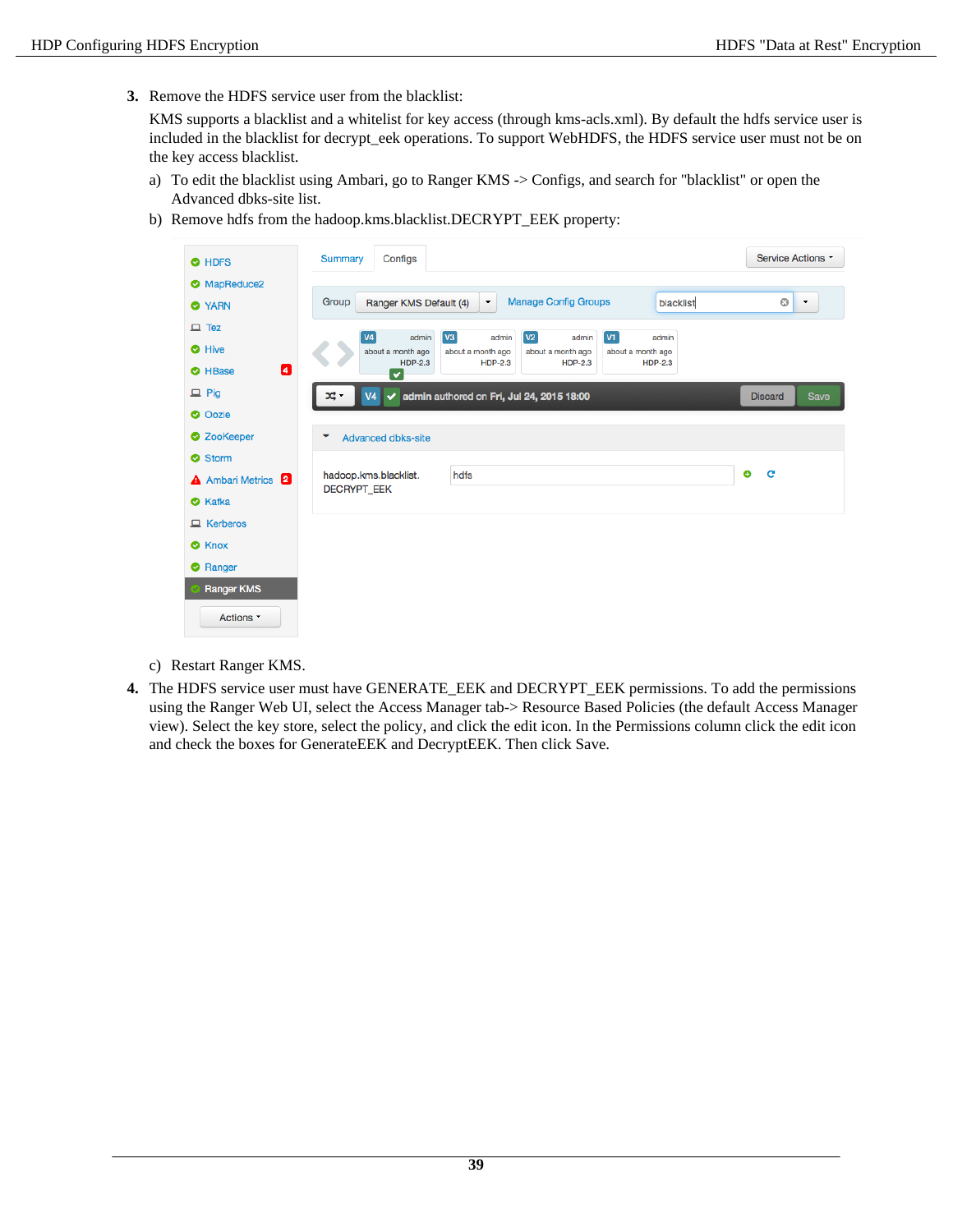**3.** Remove the HDFS service user from the blacklist:

KMS supports a blacklist and a whitelist for key access (through kms-acls.xml). By default the hdfs service user is included in the blacklist for decrypt\_eek operations. To support WebHDFS, the HDFS service user must not be on the key access blacklist.

- a) To edit the blacklist using Ambari, go to Ranger KMS -> Configs, and search for "blacklist" or open the Advanced dbks-site list.
- b) Remove hdfs from the hadoop.kms.blacklist.DECRYPT\_EEK property:

| <b>O</b> HDFS                      | Service Actions<br>Configs<br><b>Summary</b>                                                                                         |
|------------------------------------|--------------------------------------------------------------------------------------------------------------------------------------|
| MapReduce2                         |                                                                                                                                      |
| <b>O</b> YARN                      | <b>Manage Config Groups</b><br>Group<br>blacklist<br>o<br>Ranger KMS Default (4)<br>$\blacktriangledown$<br>$\overline{\phantom{a}}$ |
| $\Box$ Tez                         | V3<br>V2<br>VI<br><b>V4</b><br>admin<br>admin<br>admin<br>admin                                                                      |
| <b>O</b> Hive                      | about a month ago<br>about a month ago<br>about a month ago<br>about a month ago                                                     |
| $\boldsymbol{a}$<br><b>O</b> HBase | $HDP-2.3$<br>$HDP-2.3$<br>$HDP-2.3$<br><b>HDP-2.3</b><br>$\checkmark$                                                                |
| $\Box$ Pig                         | $\blacktriangleright$ admin authored on Fri, Jul 24, 2015 18:00<br>V <sub>4</sub><br><b>Save</b><br><b>Discard</b>                   |
| <b>O</b> Oozie                     |                                                                                                                                      |
| <b>2</b> ZooKeeper                 | <b>Advanced dbks-site</b><br>▼                                                                                                       |
| Storm                              |                                                                                                                                      |
| <b>A</b> Ambari Metrics 2          | ۰<br>C<br>hadoop.kms.blacklist.<br>hdfs<br><b>DECRYPT EEK</b>                                                                        |
| <b>O</b> Kafka                     |                                                                                                                                      |
| $\Box$ Kerberos                    |                                                                                                                                      |
| <b>8</b> Knox                      |                                                                                                                                      |
| Ranger                             |                                                                                                                                      |
| <b>Ranger KMS</b>                  |                                                                                                                                      |
| Actions -                          |                                                                                                                                      |

- c) Restart Ranger KMS.
- **4.** The HDFS service user must have GENERATE\_EEK and DECRYPT\_EEK permissions. To add the permissions using the Ranger Web UI, select the Access Manager tab-> Resource Based Policies (the default Access Manager view). Select the key store, select the policy, and click the edit icon. In the Permissions column click the edit icon and check the boxes for GenerateEEK and DecryptEEK. Then click Save.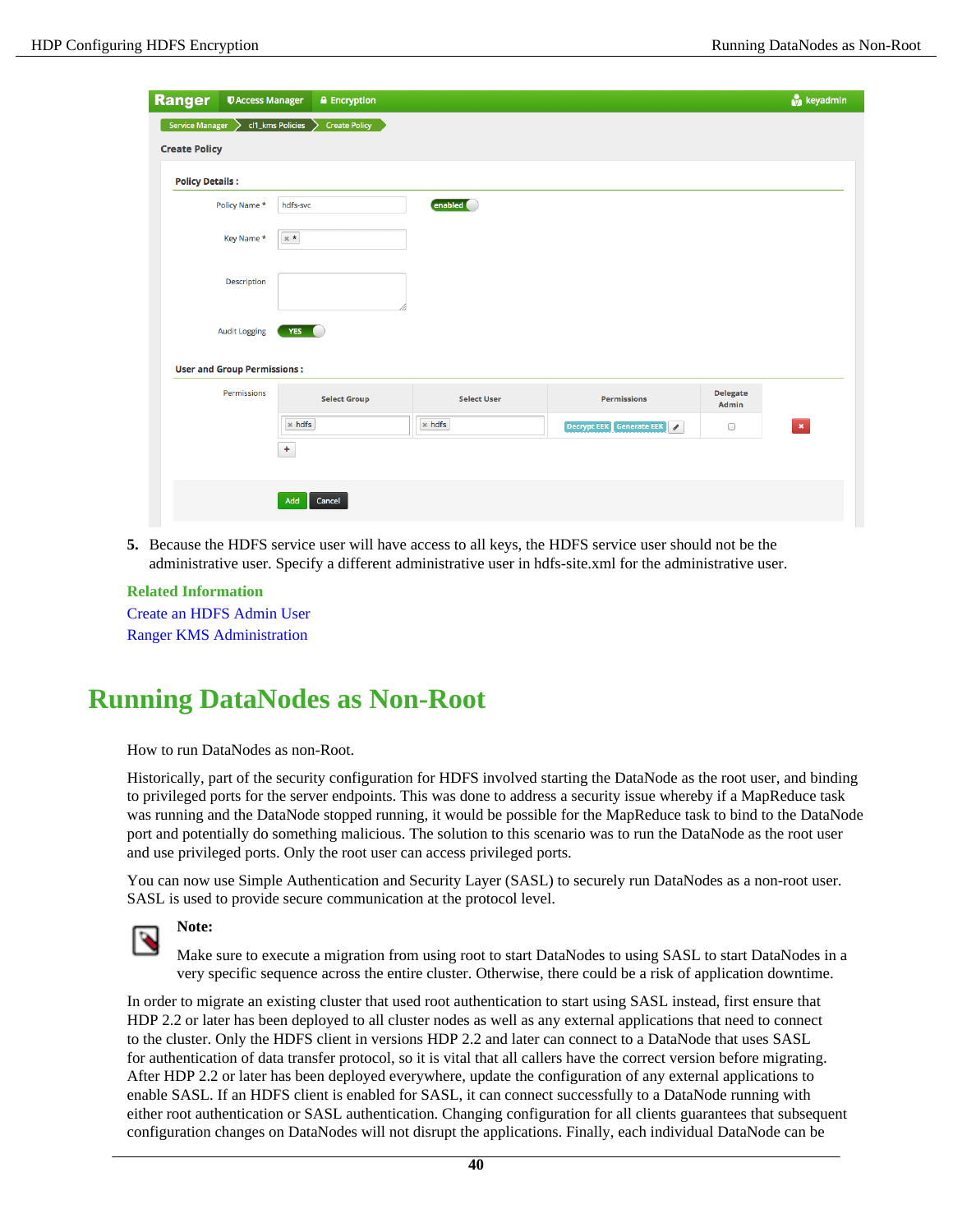| <b>Ranger</b>                                  | <b><i>UAccess Manager</i></b><br><b>A</b> Encryption |                    |                                           | keyadmin                               |
|------------------------------------------------|------------------------------------------------------|--------------------|-------------------------------------------|----------------------------------------|
| <b>Service Manager</b><br><b>Create Policy</b> | cl1_kms Policies<br><b>Create Policy</b>             |                    |                                           |                                        |
| <b>Policy Details:</b>                         |                                                      |                    |                                           |                                        |
| Policy Name *                                  | hdfs-svc                                             | enabled            |                                           |                                        |
| Key Name *                                     | $\times$ $\star$                                     |                    |                                           |                                        |
| Description                                    |                                                      |                    |                                           |                                        |
| <b>Audit Logging</b>                           | YES O                                                |                    |                                           |                                        |
| <b>User and Group Permissions:</b>             |                                                      |                    |                                           |                                        |
| Permissions                                    | <b>Select Group</b>                                  | <b>Select User</b> | <b>Permissions</b>                        | <b>Delegate</b><br>Admin               |
|                                                | $\times$ hdfs                                        | $\times$ hdfs      | Decrypt EEK Generate EEK<br>$\mathcal{S}$ | $\pmb{\times}$<br>$\qquad \qquad \Box$ |
|                                                | $\ddag$                                              |                    |                                           |                                        |
|                                                | Add<br>Cancel                                        |                    |                                           |                                        |

**5.** Because the HDFS service user will have access to all keys, the HDFS service user should not be the administrative user. Specify a different administrative user in hdfs-site.xml for the administrative user.

**Related Information** [Create an HDFS Admin User](#page-31-1) [Ranger KMS Administration](#page-2-1)

# <span id="page-39-0"></span>**Running DataNodes as Non-Root**

How to run DataNodes as non-Root.

Historically, part of the security configuration for HDFS involved starting the DataNode as the root user, and binding to privileged ports for the server endpoints. This was done to address a security issue whereby if a MapReduce task was running and the DataNode stopped running, it would be possible for the MapReduce task to bind to the DataNode port and potentially do something malicious. The solution to this scenario was to run the DataNode as the root user and use privileged ports. Only the root user can access privileged ports.

You can now use Simple Authentication and Security Layer (SASL) to securely run DataNodes as a non-root user. SASL is used to provide secure communication at the protocol level.



# **Note:**

Make sure to execute a migration from using root to start DataNodes to using SASL to start DataNodes in a very specific sequence across the entire cluster. Otherwise, there could be a risk of application downtime.

In order to migrate an existing cluster that used root authentication to start using SASL instead, first ensure that HDP 2.2 or later has been deployed to all cluster nodes as well as any external applications that need to connect to the cluster. Only the HDFS client in versions HDP 2.2 and later can connect to a DataNode that uses SASL for authentication of data transfer protocol, so it is vital that all callers have the correct version before migrating. After HDP 2.2 or later has been deployed everywhere, update the configuration of any external applications to enable SASL. If an HDFS client is enabled for SASL, it can connect successfully to a DataNode running with either root authentication or SASL authentication. Changing configuration for all clients guarantees that subsequent configuration changes on DataNodes will not disrupt the applications. Finally, each individual DataNode can be